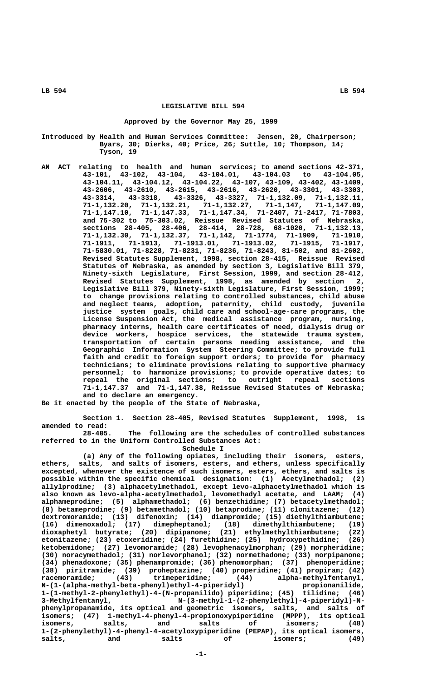### **LEGISLATIVE BILL 594**

### **Approved by the Governor May 25, 1999**

- **Introduced by Health and Human Services Committee: Jensen, 20, Chairperson; Byars, 30; Dierks, 40; Price, 26; Suttle, 10; Thompson, 14; Tyson, 19**
	- **AN ACT relating to health and human services; to amend sections 42-371, 43-101, 43-102, 43-104, 43-104.01, 43-104.03 to 43-104.05, 43-104.11, 43-104.12, 43-104.22, 43-107, 43-109, 43-402, 43-1409, 43-2606, 43-2610, 43-2615, 43-2616, 43-2620, 43-3301, 43-3303, 43-3314, 43-3318, 43-3326, 43-3327, 71-1,132.09, 71-1,132.11, 71-1,132.20, 71-1,132.21, 71-1,132.27, 71-1,147, 71-1,147.09, 71-1,147.10, 71-1,147.33, 71-1,147.34, 71-2407, 71-2417, 71-7803, and 75-302 to 75-303.02, Reissue Revised Statutes of Nebraska, sections 28-405, 28-406, 28-414, 28-728, 68-1020, 71-1,132.13, 71-1,132.30, 71-1,132.37, 71-1,142, 71-1774, 71-1909, 71-1910, 71-1911, 71-1913, 71-1913.01, 71-1913.02, 71-1915, 71-1917, 71-5830.01, 71-8228, 71-8231, 71-8236, 71-8243, 81-502, and 81-2602, Revised Statutes Supplement, 1998, section 28-415, Reissue Revised Statutes of Nebraska, as amended by section 3, Legislative Bill 379, Ninety-sixth Legislature, First Session, 1999, and section 28-412, Revised Statutes Supplement, 1998, as amended by section 2, Legislative Bill 379, Ninety-sixth Legislature, First Session, 1999; to change provisions relating to controlled substances, child abuse and neglect teams, adoption, paternity, child custody, juvenile justice system goals, child care and school-age-care programs, the License Suspension Act, the medical assistance program, nursing, pharmacy interns, health care certificates of need, dialysis drug or device workers, hospice services, the statewide trauma system, transportation of certain persons needing assistance, and the Geographic Information System Steering Committee; to provide full faith and credit to foreign support orders; to provide for pharmacy technicians; to eliminate provisions relating to supportive pharmacy personnel; to harmonize provisions; to provide operative dates; to repeal the original sections; to outright repeal sections 71-1,147.37 and 71-1,147.38, Reissue Revised Statutes of Nebraska; and to declare an emergency.**

**Be it enacted by the people of the State of Nebraska,**

**Section 1. Section 28-405, Revised Statutes Supplement, 1998, is amended to read:**

**28-405. The following are the schedules of controlled substances referred to in the Uniform Controlled Substances Act:**

 **Schedule I**

**(a) Any of the following opiates, including their isomers, esters, ethers, salts, and salts of isomers, esters, and ethers, unless specifically excepted, whenever the existence of such isomers, esters, ethers, and salts is possible within the specific chemical designation: (1) Acetylmethadol; (2) allylprodine; (3) alphacetylmethadol, except levo-alphacetylmethadol which is also known as levo-alpha-acetylmethadol, levomethadyl acetate, and LAAM; (4) alphameprodine; (5) alphamethadol; (6) benzethidine; (7) betacetylmethadol; (8) betameprodine; (9) betamethadol; (10) betaprodine; (11) clonitazene; (12) dextromoramide; (13) difenoxin; (14) diampromide; (15) diethylthiambutene; (16) dimenoxadol; (17) dimepheptanol; (18) dimethylthiambutene; (19) dioxaphetyl butyrate; (20) dipipanone; (21) ethylmethylthiambutene; (22) etonitazene; (23) etoxeridine; (24) furethidine; (25) hydroxypethidine; (26) ketobemidone; (27) levomoramide; (28) levophenacylmorphan; (29) morpheridine; (30) noracymethadol; (31) norlevorphanol; (32) normethadone; (33) norpipanone; (34) phenadoxone; (35) phenampromide; (36) phenomorphan; (37) phenoperidine; (38) piritramide; (39) proheptazine; (40) properidine; (41) propiram; (42) racemoramide; (43) trimeperidine; (44) alpha-methylfentanyl, N-(1-(alpha-methyl-beta-phenyl)ethyl-4-piperidyl) propionanilide, 1-(1-methyl-2-phenylethyl)-4-(N-propanilido) piperidine; (45) tilidine; (46) 3-Methylfentanyl, N-(3-methyl-1-(2-phenylethyl)-4-piperidyl)-Nphenylpropanamide, its optical and geometric isomers, salts, and salts of isomers; (47) 1-methyl-4-phenyl-4-propionoxypiperidine (MPPP), its optical isomers, salts, and salts of isomers; (48) 1-(2-phenylethyl)-4-phenyl-4-acetyloxypiperidine (PEPAP), its optical isomers,** salts, and salts of isomers; (49)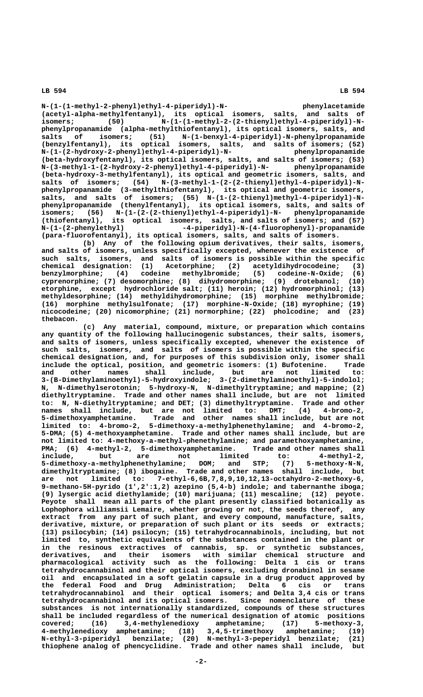**N-(1-(1-methyl-2-phenyl)ethyl-4-piperidyl)-N- phenylacetamide (acetyl-alpha-methylfentanyl), its optical isomers, salts, and salts of** isomers; (50) N-(1-(1-methyl-2-(2-thienyl)ethyl-4-piperidyl)-N**phenylpropanamide (alpha-methylthiofentanyl), its optical isomers, salts, and salts of isomers; (51) N-(1-benxyl-4-piperidyl)-N-phenylpropanamide (benzylfentanyl), its optical isomers, salts, and salts of isomers; (52) N-(1-(2-hydroxy-2-phenyl)ethyl-4-piperidyl)-N- phenylpropanamide (beta-hydroxyfentanyl), its optical isomers, salts, and salts of isomers; (53) N-(3-methyl-1-(2-hydroxy-2-phenyl)ethyl-4-piperidyl)-N- phenylpropanamide (beta-hydroxy-3-methylfentanyl), its optical and geometric isomers, salts, and** salts of isomers; (54) N-(3-methyl-1-(2-(2-thienyl)ethyl-4-piperidyl)-N**phenylpropanamide (3-methylthiofentanyl), its optical and geometric isomers, salts, and salts of isomers; (55) N-(1-(2-thienyl)methyl-4-piperidyl)-Nphenylpropanamide (thenylfentanyl), its optical isomers, salts, and salts of isomers; (56) N-(1-(2-(2-thienyl)ethyl-4-piperidyl)-N- phenylpropanamide (thiofentanyl), its optical isomers, salts, and salts of isomers; and (57) N-(1-(2-phenylethyl) -4-piperidyl)-N-(4-fluorophenyl)-propanamide (para-fluorofentanyl), its optical isomers, salts, and salts of isomers.**

**(b) Any of the following opium derivatives, their salts, isomers, and salts of isomers, unless specifically excepted, whenever the existence of such salts, isomers, and salts of isomers is possible within the specific chemical designation: (1) Acetorphine; (2) acetyldihydrocodeine; (3)** chemical designation: (1) Acetorphine; (2) acetyldihydrocodeine; (3)<br>benzylmorphine; (4) codeine methylbromide; (5) codeine-N-Oxide; (6)<br>cyprenorphine; (7) desomorphine; (8) dihydromorphine; (9) drotebanol; (10) cyprenorphine; (7) desomorphine; (8) dihydromorphine; **etorphine, except hydrochloride salt; (11) heroin; (12) hydromorphinol; (13) methyldesorphine; (14) methyldihydromorphine; (15) morphine methylbromide; (16) morphine methylsulfonate; (17) morphine-N-Oxide; (18) myrophine; (19) nicocodeine; (20) nicomorphine; (21) normorphine; (22) pholcodine; and (23) thebacon.**

**(c) Any material, compound, mixture, or preparation which contains any quantity of the following hallucinogenic substances, their salts, isomers, and salts of isomers, unless specifically excepted, whenever the existence of such salts, isomers, and salts of isomers is possible within the specific chemical designation, and, for purposes of this subdivision only, isomer shall include the optical, position, and geometric isomers: (1) Bufotenine. Trade and other names shall include, but are not limited to: 3-(B-Dimethylaminoethyl)-5-hydroxyindole; 3-(2-dimethylaminoethyl)-5-indolol; N, N-dimethylserotonin; 5-hydroxy-N, N-dimethyltryptamine; and mappine; (2) diethyltryptamine. Trade and other names shall include, but are not limited to: N, N-diethyltryptamine; and DET; (3) dimethyltryptamine. Trade and other names shall include, but are not limited to: DMT; (4) 4-bromo-2, 5-dimethoxyamphetamine. Trade and other names shall include, but are not limited to: 4-bromo-2, 5-dimethoxy-a-methylphenethylamine; and 4-bromo-2, 5-DMA; (5) 4-methoxyamphetamine. Trade and other names shall include, but are not limited to: 4-methoxy-a-methyl-phenethylamine; and paramethoxyamphetamine, PMA;** (6) 4-methyl-2, 5-dimethoxyamphetamine. Trade and other names shall include, but are not limited to: 4-methyl-2, **include, but are not limited to: 4-methyl-2, 5-dimethoxy-a-methylphenethylamine; DOM; and STP; (7) 5-methoxy-N-N, dimethyltryptamine; (8) ibogaine. Trade and other names shall include, but are not limited to: 7-ethyl-6,6B,7,8,9,10,12,13-octahydro-2-methoxy-6, 9-methano-5H-pyrido (1',2':1,2) azepino (5,4-b) indole; and tabernanthe iboga; (9) lysergic acid diethylamide; (10) marijuana; (11) mescaline; (12) peyote. Peyote shall mean all parts of the plant presently classified botanically as Lophophora williamsii Lemaire, whether growing or not, the seeds thereof, any extract from any part of such plant, and every compound, manufacture, salts, derivative, mixture, or preparation of such plant or its seeds or extracts; (13) psilocybin; (14) psilocyn; (15) tetrahydrocannabinols, including, but not limited to, synthetic equivalents of the substances contained in the plant or in the resinous extractives of cannabis, sp. or synthetic substances, derivatives, and their isomers with similar chemical structure and pharmacological activity such as the following: Delta 1 cis or trans tetrahydrocannabinol and their optical isomers, excluding dronabinol in sesame oil and encapsulated in a soft gelatin capsule in a drug product approved by the federal Food and Drug Administration; Delta 6 cis or trans tetrahydrocannabinol and their optical isomers; and Delta 3,4 cis or trans tetrahydrocannabinol and its optical isomers. Since nomenclature of these substances is not internationally standardized, compounds of these structures shall be included regardless of the numerical designation of atomic positions covered; (16) 3,4-methylenedioxy amphetamine; (17) 5-methoxy-3, 4-methylenedioxy amphetamine; (18) 3,4,5-trimethoxy amphetamine; (19) N-ethyl-3-piperidyl benzilate; (20) N-methyl-3-peperidyl benzilate; (21) thiophene analog of phencyclidine. Trade and other names shall include, but**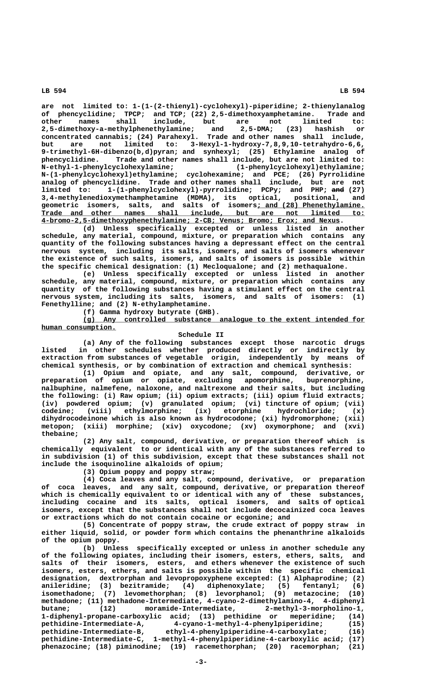**are not limited to: 1-(1-(2-thienyl)-cyclohexyl)-piperidine; 2-thienylanalog of phencyclidine; TPCP; and TCP; (22) 2,5-dimethoxyamphetamine. Trade and other names shall include, but are not limited to: 2,5-dimethoxy-a-methylphenethylamine; and 2,5-DMA; (23) hashish or concentrated cannabis; (24) Parahexyl. Trade and other names shall include, but are not limited to: 3-Hexyl-1-hydroxy-7,8,9,10-tetrahydro-6,6, 9-trimethyl-6H-dibenzo(b,d)pyran; and synhexyl; (25) Ethylamine analog of phencyclidine. Trade and other names shall include, but are not limited to: N-ethyl-1-phenylcyclohexylamine; (1-phenylcyclohexyl)ethylamine; N-(1-phenylcyclohexyl)ethylamine; cyclohexamine; and PCE; (26) Pyrrolidine analog of phencyclidine. Trade and other names shall include, but are not limited to: 1-(1-phenylcyclohexyl)-pyrrolidine; PCPy; and PHP; and (27) ——— 3,4-methylenedioxymethamphetamine (MDMA), its optical, positional, and** 3,4-methylenedioxymethamphetamine (MDMA), its optical, positional, and geometric isomers, salts, and salts of isomers<u>; and (28) Phenethylamine.</u>  $$  **\_\_\_\_\_\_\_\_\_\_\_\_\_\_\_\_\_\_\_\_\_\_\_\_\_\_\_\_\_\_\_\_\_\_\_\_\_\_\_\_\_\_\_\_\_\_\_\_\_\_\_\_\_\_\_\_\_\_\_\_\_\_\_\_\_\_\_\_\_\_\_\_ 4-bromo-2,5-dimethoxyphenethylamine; 2-CB; Venus; Bromo; Erox; and Nexus.**

**(d) Unless specifically excepted or unless listed in another schedule, any material, compound, mixture, or preparation which contains any quantity of the following substances having a depressant effect on the central nervous system, including its salts, isomers, and salts of isomers whenever the existence of such salts, isomers, and salts of isomers is possible within the specific chemical designation: (1) Mecloqualone; and (2) methaqualone.**

**(e) Unless specifically excepted or unless listed in another schedule, any material, compound, mixture, or preparation which contains any quantity of the following substances having a stimulant effect on the central nervous system, including its salts, isomers, and salts of isomers: (1) Fenethylline; and (2) N-ethylamphetamine.**

**(f) Gamma hydroxy butyrate (GHB).**

 **\_\_\_\_\_\_\_\_\_\_\_\_\_\_\_\_\_\_\_\_\_\_\_\_\_\_\_\_\_\_\_\_\_\_\_\_\_\_\_\_\_\_\_\_\_\_\_\_\_\_\_\_\_\_\_\_\_\_\_\_\_\_\_\_\_\_\_\_ (g) Any controlled substance analogue to the extent intended for human consumption. \_\_\_\_\_\_\_\_\_\_\_\_\_\_\_\_\_\_**

## **Schedule II**

**(a) Any of the following substances except those narcotic drugs listed in other schedules whether produced directly or indirectly by extraction from substances of vegetable origin, independently by means of chemical synthesis, or by combination of extraction and chemical synthesis:**

**(1) Opium and opiate, and any salt, compound, derivative, or preparation of opium or opiate, excluding apomorphine, buprenorphine, nalbuphine, nalmefene, naloxone, and naltrexone and their salts, but including the following: (i) Raw opium; (ii) opium extracts; (iii) opium fluid extracts; (iv) powdered opium; (v) granulated opium; (vi) tincture of opium; (vii) codeine; (viii) ethylmorphine; (ix) etorphine hydrochloride; (x) dihydrocodeinone which is also known as hydrocodone; (xi) hydromorphone; (xii) metopon; (xiii) morphine; (xiv) oxycodone; (xv) oxymorphone; and (xvi) thebaine;**

**(2) Any salt, compound, derivative, or preparation thereof which is chemically equivalent to or identical with any of the substances referred to in subdivision (1) of this subdivision, except that these substances shall not include the isoquinoline alkaloids of opium;**

**(3) Opium poppy and poppy straw;**

**(4) Coca leaves and any salt, compound, derivative, or preparation of coca leaves, and any salt, compound, derivative, or preparation thereof which is chemically equivalent to or identical with any of these substances, including cocaine and its salts, optical isomers, and salts of optical isomers, except that the substances shall not include decocainized coca leaves or extractions which do not contain cocaine or ecgonine; and**

**(5) Concentrate of poppy straw, the crude extract of poppy straw in either liquid, solid, or powder form which contains the phenanthrine alkaloids of the opium poppy.**

**(b) Unless specifically excepted or unless in another schedule any of the following opiates, including their isomers, esters, ethers, salts, and salts of their isomers, esters, and ethers whenever the existence of such isomers, esters, ethers, and salts is possible within the specific chemical designation, dextrorphan and levopropoxyphene excepted: (1) Alphaprodine; (2) anileridine; (3) bezitramide; (4) diphenoxylate; (5) fentanyl; (6) isomethadone; (7) levomethorphan; (8) levorphanol; (9) metazocine; (10) methadone; (11) methadone-Intermediate, 4-cyano-2-dimethylamino-4, 4-diphenyl butane; (12) moramide-Intermediate, 2-methyl-3-morpholino-1, 1-diphenyl-propane-carboxylic acid; (13) pethidine or meperidine; (14) pethidine-Intermediate-A, 4-cyano-1-methyl-4-phenylpiperidine; (15) pethidine-Intermediate-B, ethyl-4-phenylpiperidine-4-carboxylate; (16) pethidine-Intermediate-C, 1-methyl-4-phenylpiperidine-4-carboxylic acid; (17) phenazocine; (18) piminodine; (19) racemethorphan; (20) racemorphan; (21)**

 **LB 594 LB 594**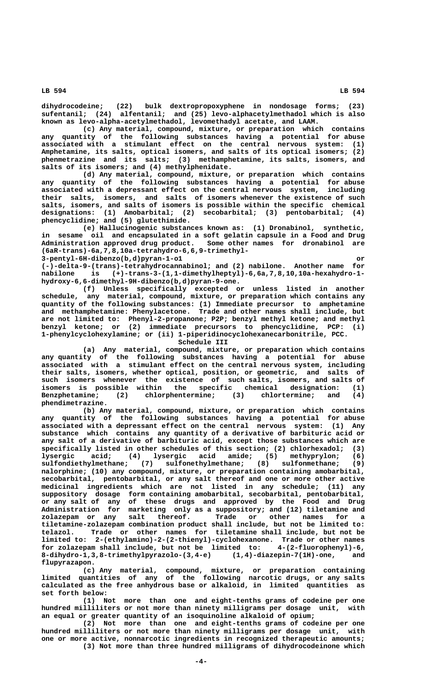**dihydrocodeine; (22) bulk dextropropoxyphene in nondosage forms; (23) sufentanil; (24) alfentanil; and (25) levo-alphacetylmethadol which is also known as levo-alpha-acetylmethadol, levomethadyl acetate, and LAAM.**

**(c) Any material, compound, mixture, or preparation which contains any quantity of the following substances having a potential for abuse associated with a stimulant effect on the central nervous system: (1) Amphetamine, its salts, optical isomers, and salts of its optical isomers; (2) phenmetrazine and its salts; (3) methamphetamine, its salts, isomers, and salts of its isomers; and (4) methylphenidate.**

**(d) Any material, compound, mixture, or preparation which contains any quantity of the following substances having a potential for abuse associated with a depressant effect on the central nervous system, including their salts, isomers, and salts of isomers whenever the existence of such salts, isomers, and salts of isomers is possible within the specific chemical designations: (1) Amobarbital; (2) secobarbital; (3) pentobarbital; (4) phencyclidine; and (5) glutethimide.**

**(e) Hallucinogenic substances known as: (1) Dronabinol, synthetic, in sesame oil and encapsulated in a soft gelatin capsule in a Food and Drug Administration approved drug product. Some other names for dronabinol are (6aR-trans)-6a,7,8,10a-tetrahydro-6,6,9-trimethyl-**

 **3-pentyl-6H-dibenzo(b,d)pyran-1-o1 or**

**(-)-delta-9-(trans)-tetrahydrocannabinol; and (2) nabilone. Another name for nabilone is (+)-trans-3-(1,1-dimethylheptyl)-6,6a,7,8,10,10a-hexahydro-1 hydroxy-6,6-dimethyl-9H-dibenzo(b,d)pyran-9-one.**

**(f) Unless specifically excepted or unless listed in another schedule, any material, compound, mixture, or preparation which contains any quantity of the following substances: (1) Immediate precursor to amphetamine and methamphetamine: Phenylacetone. Trade and other names shall include, but are not limited to: Phenyl-2-propanone; P2P; benzyl methyl ketone; and methyl benzyl ketone; or (2) immediate precursors to phencyclidine, PCP: (i) 1-phenylcyclohexylamine; or (ii) 1-piperidinocyclohexanecarbonitrile, PCC. Schedule III**

**(a) Any material, compound, mixture, or preparation which contains any quantity of the following substances having a potential for abuse associated with a stimulant effect on the central nervous system, including their salts, isomers, whether optical, position, or geometric, and salts of such isomers whenever the existence of such salts, isomers, and salts of isomers is possible within the specific chemical designation: (1) Benzphetamine; (2) chlorphentermine; (3) chlortermine; and (4) phendimetrazine.**

**(b) Any material, compound, mixture, or preparation which contains any quantity of the following substances having a potential for abuse associated with a depressant effect on the central nervous system: (1) Any substance which contains any quantity of a derivative of barbituric acid or any salt of a derivative of barbituric acid, except those substances which are specifically listed in other schedules of this section; (2) chlorhexadol; (3) lysergic acid; (4) lysergic acid amide; (5) methyprylon; (6) sulfondiethylmethane; (7) sulfonethylmethane; (8) sulfonmethane; (9) nalorphine; (10) any compound, mixture, or preparation containing amobarbital, secobarbital, pentobarbital, or any salt thereof and one or more other active medicinal ingredients which are not listed in any schedule; (11) any suppository dosage form containing amobarbital, secobarbital, pentobarbital, or any salt of any of these drugs and approved by the Food and Drug Administration for marketing only as a suppository; and (12) tiletamine and zolazepam or any salt thereof. Trade or other names for a tiletamine-zolazepam combination product shall include, but not be limited to: telazol. Trade or other names for tiletamine shall include, but not be limited to: 2-(ethylamino)-2-(2-thienyl)-cyclohexanone. Trade or other names for zolazepam shall include, but not be limited to: 4-(2-fluorophenyl)-6, 8-dihydro-1,3,8-trimethylpyrazolo-(3,4-e) (1,4)-diazepin-7(1H)-one, and flupyrazapon.**

**(c) Any material, compound, mixture, or preparation containing limited quantities of any of the following narcotic drugs, or any salts calculated as the free anhydrous base or alkaloid, in limited quantities as set forth below:**

**(1) Not more than one and eight-tenths grams of codeine per one hundred milliliters or not more than ninety milligrams per dosage unit, with an equal or greater quantity of an isoquinoline alkaloid of opium;**

**(2) Not more than one and eight-tenths grams of codeine per one hundred milliliters or not more than ninety milligrams per dosage unit, with one or more active, nonnarcotic ingredients in recognized therapeutic amounts; (3) Not more than three hundred milligrams of dihydrocodeinone which**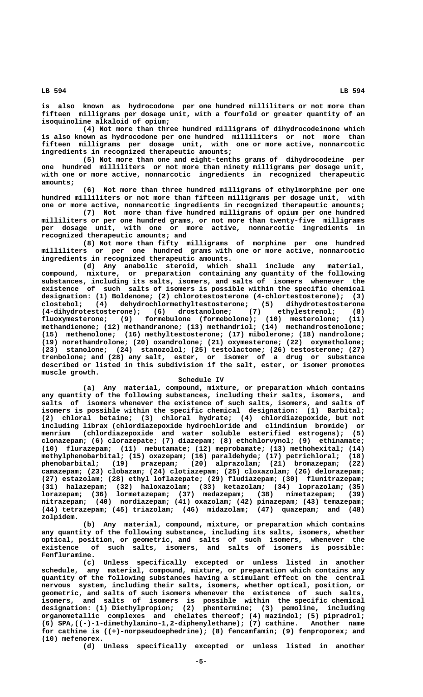**is also known as hydrocodone per one hundred milliliters or not more than fifteen milligrams per dosage unit, with a fourfold or greater quantity of an isoquinoline alkaloid of opium;**

**(4) Not more than three hundred milligrams of dihydrocodeinone which is also known as hydrocodone per one hundred milliliters or not more than fifteen milligrams per dosage unit, with one or more active, nonnarcotic ingredients in recognized therapeutic amounts;**

**(5) Not more than one and eight-tenths grams of dihydrocodeine per one hundred milliliters or not more than ninety milligrams per dosage unit, with one or more active, nonnarcotic ingredients in recognized therapeutic amounts;**

**(6) Not more than three hundred milligrams of ethylmorphine per one hundred milliliters or not more than fifteen milligrams per dosage unit, with one or more active, nonnarcotic ingredients in recognized therapeutic amounts;**

**(7) Not more than five hundred milligrams of opium per one hundred milliliters or per one hundred grams, or not more than twenty-five milligrams per dosage unit, with one or more active, nonnarcotic ingredients in recognized therapeutic amounts; and**

**(8) Not more than fifty milligrams of morphine per one hundred milliliters or per one hundred grams with one or more active, nonnarcotic ingredients in recognized therapeutic amounts.**

**(d) Any anabolic steroid, which shall include any material, compound, mixture, or preparation containing any quantity of the following substances, including its salts, isomers, and salts of isomers whenever the existence of such salts of isomers is possible within the specific chemical** designation: (1) Boldenone; (2) chlorotestosterone (4-chlortestosterone); (3) clostebol; (4) dehydrochlormethyltestosterone; (5) dihydrotestosterone (4-dihydrotestosterone); (6) drostanolone; (7) ethylestrenol; (8) **clostebol; (4) dehydrochlormethyltestosterone; (5) dihydrotestosterone (4-dihydrotestosterone); (6) drostanolone; (7) ethylestrenol; (8) fluoxymesterone; (9) formebulone (formebolone); (10) mesterolone; (11) methandienone; (12) methandranone; (13) methandriol; (14) methandrostenolone; (15) methenolone; (16) methyltestosterone; (17) mibolerone; (18) nandrolone; (19) norethandrolone; (20) oxandrolone; (21) oxymesterone; (22) oxymetholone; (23) stanolone; (24) stanozolol; (25) testolactone; (26) testosterone; (27) trenbolone; and (28) any salt, ester, or isomer of a drug or substance described or listed in this subdivision if the salt, ester, or isomer promotes muscle growth.**

### **Schedule IV**

**(a) Any material, compound, mixture, or preparation which contains any quantity of the following substances, including their salts, isomers, and salts of isomers whenever the existence of such salts, isomers, and salts of isomers is possible within the specific chemical designation: (1) Barbital; (2) chloral betaine; (3) chloral hydrate; (4) chlordiazepoxide, but not including librax (chlordiazepoxide hydrochloride and clindinium bromide) or menrium (chlordiazepoxide and water soluble esterified estrogens); (5) clonazepam; (6) clorazepate; (7) diazepam; (8) ethchlorvynol; (9) ethinamate; (10) flurazepam; (11) mebutamate; (12) meprobamate; (13) methohexital; (14) methylphenobarbital; (15) oxazepam; (16) paraldehyde; (17) petrichloral; (18) phenobarbital; (19) prazepam; (20) alprazolam; (21) bromazepam; (22) camazepam; (23) clobazam; (24) clotiazepam; (25) cloxazolam; (26) delorazepam; (27) estazolam; (28) ethyl loflazepate; (29) fludiazepam; (30) flunitrazepam; (31) halazepam; (32) haloxazolam; (33) ketazolam; (34) loprazolam; (35) lorazepam; (36) lormetazepam; (37) medazepam; (38) nimetazepam; (39) nitrazepam; (40) nordiazepam; (41) oxazolam; (42) pinazepam; (43) temazepam; (44) tetrazepam; (45) triazolam; (46) midazolam; (47) quazepam; and (48) zolpidem.**

**(b) Any material, compound, mixture, or preparation which contains any quantity of the following substance, including its salts, isomers, whether optical, position, or geometric, and salts of such isomers, whenever the existence of such salts, isomers, and salts of isomers is possible: Fenfluramine.**

**(c) Unless specifically excepted or unless listed in another schedule, any material, compound, mixture, or preparation which contains any quantity of the following substances having a stimulant effect on the central nervous system, including their salts, isomers, whether optical, position, or geometric, and salts of such isomers whenever the existence of such salts, isomers, and salts of isomers is possible within the specific chemical designation: (1) Diethylpropion; (2) phentermine; (3) pemoline, including organometallic complexes and chelates thereof; (4) mazindol; (5) pipradrol; (6) SPA,((-)-1-dimethylamino-1,2-diphenylethane); (7) cathine. Another name for cathine is ((+)-norpseudoephedrine); (8) fencamfamin; (9) fenproporex; and (10) mefenorex.**

**(d) Unless specifically excepted or unless listed in another**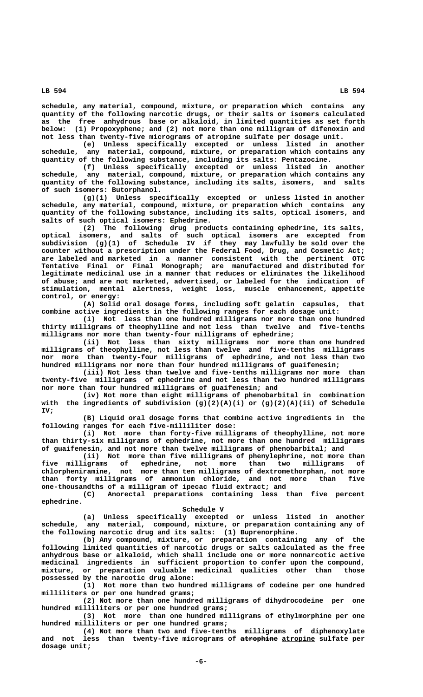**schedule, any material, compound, mixture, or preparation which contains any quantity of the following narcotic drugs, or their salts or isomers calculated as the free anhydrous base or alkaloid, in limited quantities as set forth below: (1) Propoxyphene; and (2) not more than one milligram of difenoxin and not less than twenty-five micrograms of atropine sulfate per dosage unit.**

**(e) Unless specifically excepted or unless listed in another schedule, any material, compound, mixture, or preparation which contains any quantity of the following substance, including its salts: Pentazocine.**

**(f) Unless specifically excepted or unless listed in another schedule, any material, compound, mixture, or preparation which contains any quantity of the following substance, including its salts, isomers, and salts of such isomers: Butorphanol.**

**(g)(1) Unless specifically excepted or unless listed in another schedule, any material, compound, mixture, or preparation which contains any quantity of the following substance, including its salts, optical isomers, and salts of such optical isomers: Ephedrine.**

**(2) The following drug products containing ephedrine, its salts, optical isomers, and salts of such optical isomers are excepted from subdivision (g)(1) of Schedule IV if they may lawfully be sold over the counter without a prescription under the Federal Food, Drug, and Cosmetic Act; are labeled and marketed in a manner consistent with the pertinent OTC Tentative Final or Final Monograph; are manufactured and distributed for legitimate medicinal use in a manner that reduces or eliminates the likelihood of abuse; and are not marketed, advertised, or labeled for the indication of stimulation, mental alertness, weight loss, muscle enhancement, appetite control, or energy:**

**(A) Solid oral dosage forms, including soft gelatin capsules, that combine active ingredients in the following ranges for each dosage unit:**

**(i) Not less than one hundred milligrams nor more than one hundred thirty milligrams of theophylline and not less than twelve and five-tenths milligrams nor more than twenty-four milligrams of ephedrine;**

**(ii) Not less than sixty milligrams nor more than one hundred milligrams of theophylline, not less than twelve and five-tenths milligrams nor more than twenty-four milligrams of ephedrine, and not less than two hundred milligrams nor more than four hundred milligrams of guaifenesin;**

**(iii) Not less than twelve and five-tenths milligrams nor more than twenty-five milligrams of ephedrine and not less than two hundred milligrams nor more than four hundred milligrams of guaifenesin; and**

**(iv) Not more than eight milligrams of phenobarbital in combination with the ingredients of subdivision (g)(2)(A)(i) or (g)(2)(A)(ii) of Schedule IV;**

**(B) Liquid oral dosage forms that combine active ingredients in the following ranges for each five-milliliter dose:**

**(i) Not more than forty-five milligrams of theophylline, not more than thirty-six milligrams of ephedrine, not more than one hundred milligrams of guaifenesin, and not more than twelve milligrams of phenobarbital; and**

**(ii) Not more than five milligrams of phenylephrine, not more than five milligrams of ephedrine, not more than two milligrams of chlorpheniramine, not more than ten milligrams of dextromethorphan, not more than forty milligrams of ammonium chloride, and not more than five one-thousandths of a milligram of ipecac fluid extract; and**

**(C) Anorectal preparations containing less than five percent ephedrine.**

 **Schedule V**

**(a) Unless specifically excepted or unless listed in another schedule, any material, compound, mixture, or preparation containing any of the following narcotic drug and its salts: (1) Buprenorphine.**

**(b) Any compound, mixture, or preparation containing any of the following limited quantities of narcotic drugs or salts calculated as the free anhydrous base or alkaloid, which shall include one or more nonnarcotic active medicinal ingredients in sufficient proportion to confer upon the compound, mixture, or preparation valuable medicinal qualities other than those possessed by the narcotic drug alone:**

**(1) Not more than two hundred milligrams of codeine per one hundred milliliters or per one hundred grams;**

**(2) Not more than one hundred milligrams of dihydrocodeine per one hundred milliliters or per one hundred grams;**

**(3) Not more than one hundred milligrams of ethylmorphine per one hundred milliliters or per one hundred grams;**

**(4) Not more than two and five-tenths milligrams of diphenoxylate** and not less than twenty-five micrograms of atrophine atropine sulfate per  **dosage unit;**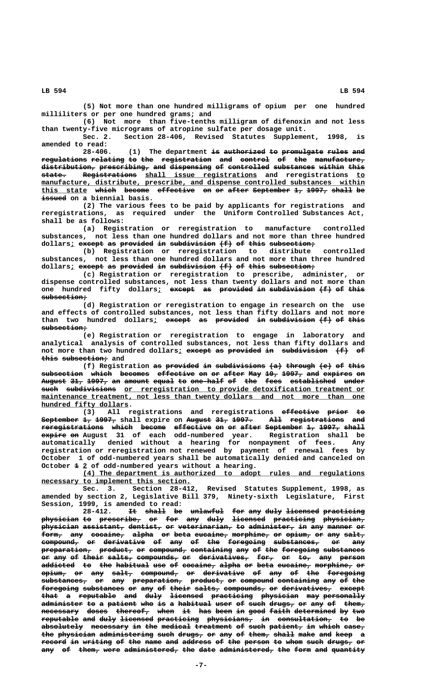**(5) Not more than one hundred milligrams of opium per one hundred milliliters or per one hundred grams; and**

**(6) Not more than five-tenths milligram of difenoxin and not less than twenty-five micrograms of atropine sulfate per dosage unit.**

**Sec. 2. Section 28-406, Revised Statutes Supplement, 1998, is amended to read:**

28-406. (1) The department is authorized to promulgate rules and **regulations relating to the registration and control of the manufacture, ——————————— ———————— —— ——— ———————————— ——— ——————— —— ——— ———————————** distribution, prescribing, and dispensing of controlled substances within this  **—————— ————————————— \_\_\_\_\_\_\_\_\_\_\_\_\_\_\_\_\_\_\_\_\_\_\_\_\_\_\_ \_\_ state. Registrations shall issue registrations and reregistrations to**  $manufacture, distribute, prescribe, and dispense controlled substances within$ **this state which become effective on or after September 1, 1997, shall be \_\_\_\_\_\_\_\_\_\_\_ ————— —————— ————————— —— —— ————— ————————— —— ————— ————— —— —————— issued on a biennial basis.**

**(2) The various fees to be paid by applicants for registrations and reregistrations, as required under the Uniform Controlled Substances Act, shall be as follows:**

**(a) Registration or reregistration to manufacture controlled substances, not less than one hundred dollars and not more than three hundred** dollars<sub>i</sub> except as provided in subdivision  $(f)$  of this subsection;

**(b) Registration or reregistration to distribute controlled substances, not less than one hundred dollars and not more than three hundred** dollars<sub>*i*</sub> except as provided in subdivision  $(f)$  of this subsection;

**(c) Registration or reregistration to prescribe, administer, or dispense controlled substances, not less than twenty dollars and not more than** one hundred fifty dollars<sub>i</sub> except as provided in subdivision (f) of this  **subsection; ———————————**

**(d) Registration or reregistration to engage in research on the use and effects of controlled substances, not less than fifty dollars and not more** than two hundred dollars<sub>*i*</sub> except as provided in subdivision (f) of this  $<sub>subsection</sub>$ </sub>

**(e) Registration or reregistration to engage in laboratory and analytical analysis of controlled substances, not less than fifty dollars and** not more than two hundred dollars; except as provided in subdivision  $(f)$  of  **———— ——————————— this subsection; and**

**(f)** Registration <del>as provided in subdivisions (a) through (e) of this</del> subsection which becomes effective on or after May 10, 1997, and expires on August 31, 1997, an amount equal to one-half of the fees established under  $\overbrace{\text{such}}$  subdivisions or reregistration to provide detoxification treatment or maintenance treatment, not less than twenty dollars and not more than one  **\_\_\_\_\_\_\_\_\_\_\_\_\_\_\_\_\_\_\_\_\_ hundred fifty dollars.**

(3) All registrations and reregistrations effective prior to September 1, 1997, shall expire on August 31, 1997. All registrations and **reregistrations which become effective on or after September 1, 1997, shall ——————————————— ————— —————— ————————— —— —— ————— ————————— —— ————— ————— —————— —— expire on August 31 of each odd-numbered year. Registration shall be automatically denied without a hearing for nonpayment of fees. Any registration or reregistration not renewed by payment of renewal fees by October 1 of odd-numbered years shall be automatically denied and canceled on** October  $\pm$  2 of odd-numbered years without a hearing.

> **\_\_\_\_\_\_\_\_\_\_\_\_\_\_\_\_\_\_\_\_\_\_\_\_\_\_\_\_\_\_\_\_\_\_\_\_\_\_\_\_\_\_\_\_\_\_\_\_\_\_\_\_\_\_\_\_\_\_\_\_\_\_\_\_\_\_\_\_ (4) The department is authorized to adopt rules and regulations \_\_\_\_\_\_\_\_\_\_\_\_\_\_\_\_\_\_\_\_\_\_\_\_\_\_\_\_\_\_\_\_\_\_\_\_ necessary to implement this section.**

> **Sec. 3. Section 28-412, Revised Statutes Supplement, 1998, as amended by section 2, Legislative Bill 379, Ninety-sixth Legislature, First Session, 1999, is amended to read:**

> 28-412. It shall be unlawful for any duly licensed practicing  ${\bf physical}$  physician to prescribe, or for any duly licensed practicing physician,  $phy$ sician assistant, dentist, or veterinarian, to administer, in any manner or form, any cocaine, alpha or beta eucaine, morphine, or opium, or any salt,  $\epsilon$ ompound, or derivative of any of the foregoing substances, or any  $preparation$ ,  $preduct$ , or  $compound$ , containing any of the foregoing substances or any of their salts, compounds, or derivatives, for, or to, any person addicted to the habitual use of cocaine, alpha or beta eucaine, morphine, or  $\phi$ <sub>ium,</sub> or any salt, compound, or derivative of any of the foregoing  $substates$ , or any preparation, product, or compound containing any of the foregoing substances or any of their salts, compounds, or derivatives, except that a reputable and duly licensed practicing physician may-personally a<del>dminister</del> to a patient who is a habitual user of such drugs, or any of them,  $\frac{1}{100}$  and  $\frac{1}{100}$  and  $\frac{1}{100}$  and  $\frac{1}{100}$  when it has been in good faith determined by two  ${\tt reputable}$  and duly licensed practicing physicians, in consultation, to be  $a$ bsolutely necessary in the medical treatment of such patient, in which case, the physician administering such drugs, or any of them, shall make and keep a record in writing of the name and address of the person to whom such drugs<sub>7</sub> or any of them, were administered, the date administered, the form and quantity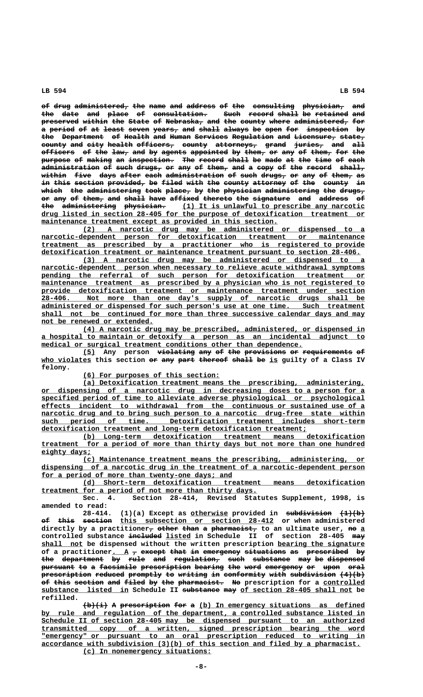of drug administered, the name and address of the consulting physician, and the date and place of consultation. Such record shall be retained and **preserved within the State of Nebraska, and the county where administered, for** a period of at least seven years, and shall always be open for inspection by the Department of Health and Human Services Regulation and Licensure, state, county and city health officers, county attorneys, grand juries, and all officers of the law, and by agents appointed by them, or any of them, for the purpose of making an inspection. The record shall be made at the time of each administration of such drugs, or any of them, and a copy of the record shall, within five days after each administration of such drugs, or any of them, as i<del>n</del> this section provided, be filed with the county attorney of the county in which the administering took place, by the physician administering the drugs, **or any of them, and shall have affixed thereto the signature and address of —— ——— —— ————— ——— ————— ———— ——————— ——————— ——— ————————— ——— ——————— — the administering physician. (1) It is unlawful to prescribe any narcotic ——— ————————————— —————————— \_\_\_\_\_\_\_\_\_\_\_\_\_\_\_\_\_\_\_\_\_\_\_\_\_\_\_\_\_\_\_\_\_\_\_\_\_\_\_\_\_\_\_\_ \_\_\_\_\_\_\_\_\_\_\_\_\_\_\_\_\_\_\_\_\_\_\_\_\_\_\_\_\_\_\_\_\_\_\_\_\_\_\_\_\_\_\_\_\_\_\_\_\_\_\_\_\_\_\_\_\_\_\_\_\_\_\_\_\_\_\_\_\_\_\_\_\_\_\_\_\_\_ drug listed in section 28-405 for the purpose of detoxification treatment or** maintenance treatment except as provided in this section.

 **\_\_\_\_\_\_\_\_\_\_\_\_\_\_\_\_\_\_\_\_\_\_\_\_\_\_\_\_\_\_\_\_\_\_\_\_\_\_\_\_\_\_\_\_\_\_\_\_\_\_\_\_\_\_\_\_\_\_\_\_\_\_\_\_\_\_\_\_ (2) A narcotic drug may be administered or dispensed to a \_\_\_\_\_\_\_\_\_\_\_\_\_\_\_\_\_\_\_\_\_\_\_\_\_\_\_\_\_\_\_\_\_\_\_\_\_\_\_\_\_\_\_\_\_\_\_\_\_\_\_\_\_\_\_\_\_\_\_\_\_\_\_\_\_\_\_\_\_\_\_\_\_\_\_\_\_\_ narcotic-dependent person for detoxification treatment or maintenance \_\_\_\_\_\_\_\_\_\_\_\_\_\_\_\_\_\_\_\_\_\_\_\_\_\_\_\_\_\_\_\_\_\_\_\_\_\_\_\_\_\_\_\_\_\_\_\_\_\_\_\_\_\_\_\_\_\_\_\_\_\_\_\_\_\_\_\_\_\_\_\_\_\_\_\_\_\_ treatment as prescribed by a practitioner who is registered to provide \_\_\_\_\_\_\_\_\_\_\_\_\_\_\_\_\_\_\_\_\_\_\_\_\_\_\_\_\_\_\_\_\_\_\_\_\_\_\_\_\_\_\_\_\_\_\_\_\_\_\_\_\_\_\_\_\_\_\_\_\_\_\_\_\_\_\_\_\_\_\_\_\_\_\_\_\_ detoxification treatment or maintenance treatment pursuant to section 28-406.**

 **\_\_\_\_\_\_\_\_\_\_\_\_\_\_\_\_\_\_\_\_\_\_\_\_\_\_\_\_\_\_\_\_\_\_\_\_\_\_\_\_\_\_\_\_\_\_\_\_\_\_\_\_\_\_\_\_\_\_\_\_\_\_\_\_\_\_\_\_ (3) A narcotic drug may be administered or dispensed to a**  $\frac{macrotic-dependent\quad person\ when\ necessary\ to\ relative\ acute\ without\ symbol.}$ pending the referral of such person for detoxification treatment or  $main$ tenance treatment as prescribed by a physician who is not registered to  **\_\_\_\_\_\_\_\_\_\_\_\_\_\_\_\_\_\_\_\_\_\_\_\_\_\_\_\_\_\_\_\_\_\_\_\_\_\_\_\_\_\_\_\_\_\_\_\_\_\_\_\_\_\_\_\_\_\_\_\_\_\_\_\_\_\_\_\_\_\_\_\_\_\_\_\_\_\_ provide detoxification treatment or maintenance treatment under section \_\_\_\_\_\_\_\_\_\_\_\_\_\_\_\_\_\_\_\_\_\_\_\_\_\_\_\_\_\_\_\_\_\_\_\_\_\_\_\_\_\_\_\_\_\_\_\_\_\_\_\_\_\_\_\_\_\_\_\_\_\_\_\_\_\_\_\_\_\_\_\_\_\_\_\_\_\_ 28-406. Not more than one day's supply of narcotic drugs shall be \_\_\_\_\_\_\_\_\_\_\_\_\_\_\_\_\_\_\_\_\_\_\_\_\_\_\_\_\_\_\_\_\_\_\_\_\_\_\_\_\_\_\_\_\_\_\_\_\_\_\_\_\_\_\_\_\_\_\_\_\_\_\_\_\_\_\_\_\_\_\_\_\_\_\_\_\_\_ administered or dispensed for such person's use at one time. Such treatment** shall not be continued for more than three successive calendar days and may  **\_\_\_\_\_\_\_\_\_\_\_\_\_\_\_\_\_\_\_\_\_\_\_\_\_\_\_ not be renewed or extended.**

 **\_\_\_\_\_\_\_\_\_\_\_\_\_\_\_\_\_\_\_\_\_\_\_\_\_\_\_\_\_\_\_\_\_\_\_\_\_\_\_\_\_\_\_\_\_\_\_\_\_\_\_\_\_\_\_\_\_\_\_\_\_\_\_\_\_\_\_\_ (4) A narcotic drug may be prescribed, administered, or dispensed in \_\_\_\_\_\_\_\_\_\_\_\_\_\_\_\_\_\_\_\_\_\_\_\_\_\_\_\_\_\_\_\_\_\_\_\_\_\_\_\_\_\_\_\_\_\_\_\_\_\_\_\_\_\_\_\_\_\_\_\_\_\_\_\_\_\_\_\_\_\_\_\_\_\_\_\_\_\_ a hospital to maintain or detoxify a person as an incidental adjunct to \_\_\_\_\_\_\_\_\_\_\_\_\_\_\_\_\_\_\_\_\_\_\_\_\_\_\_\_\_\_\_\_\_\_\_\_\_\_\_\_\_\_\_\_\_\_\_\_\_\_\_\_\_\_\_\_\_\_\_\_\_\_\_ medical or surgical treatment conditions other than dependence.**

**(5) Any person violating any of the provisions or requirements of \_\_\_ ————————— ——— —— ——— —————————— —— ———————————— —** who violates this section or any part thereof shall be is guilty of a Class IV  **felony.**

 **\_\_\_\_\_\_\_\_\_\_\_\_\_\_\_\_\_\_\_\_\_\_\_\_\_\_\_\_\_\_\_\_\_ (6) For purposes of this section:**

 **\_\_\_\_\_\_\_\_\_\_\_\_\_\_\_\_\_\_\_\_\_\_\_\_\_\_\_\_\_\_\_\_\_\_\_\_\_\_\_\_\_\_\_\_\_\_\_\_\_\_\_\_\_\_\_\_\_\_\_\_\_\_\_\_\_\_\_\_ (a) Detoxification treatment means the prescribing, administering, \_\_\_\_\_\_\_\_\_\_\_\_\_\_\_\_\_\_\_\_\_\_\_\_\_\_\_\_\_\_\_\_\_\_\_\_\_\_\_\_\_\_\_\_\_\_\_\_\_\_\_\_\_\_\_\_\_\_\_\_\_\_\_\_\_\_\_\_\_\_\_\_\_\_\_\_\_\_ or dispensing of a narcotic drug in decreasing doses to a person for a \_\_\_\_\_\_\_\_\_\_\_\_\_\_\_\_\_\_\_\_\_\_\_\_\_\_\_\_\_\_\_\_\_\_\_\_\_\_\_\_\_\_\_\_\_\_\_\_\_\_\_\_\_\_\_\_\_\_\_\_\_\_\_\_\_\_\_\_\_\_\_\_\_\_\_\_\_\_ specified period of time to alleviate adverse physiological or psychological \_\_\_\_\_\_\_\_\_\_\_\_\_\_\_\_\_\_\_\_\_\_\_\_\_\_\_\_\_\_\_\_\_\_\_\_\_\_\_\_\_\_\_\_\_\_\_\_\_\_\_\_\_\_\_\_\_\_\_\_\_\_\_\_\_\_\_\_\_\_\_\_\_\_\_\_\_\_ effects incident to withdrawal from the continuous or sustained use of a**  $n$ arcotic drug and to bring such person to a narcotic drug-free state within  **\_\_\_\_\_\_\_\_\_\_\_\_\_\_\_\_\_\_\_\_\_\_\_\_\_\_\_\_\_\_\_\_\_\_\_\_\_\_\_\_\_\_\_\_\_\_\_\_\_\_\_\_\_\_\_\_\_\_\_\_\_\_\_\_\_\_\_\_\_\_\_\_\_\_\_\_\_\_ such period of time. Detoxification treatment includes short-term \_\_\_\_\_\_\_\_\_\_\_\_\_\_\_\_\_\_\_\_\_\_\_\_\_\_\_\_\_\_\_\_\_\_\_\_\_\_\_\_\_\_\_\_\_\_\_\_\_\_\_\_\_\_\_\_\_\_\_\_\_\_\_\_ detoxification treatment and long-term detoxification treatment;**

 **\_\_\_\_\_\_\_\_\_\_\_\_\_\_\_\_\_\_\_\_\_\_\_\_\_\_\_\_\_\_\_\_\_\_\_\_\_\_\_\_\_\_\_\_\_\_\_\_\_\_\_\_\_\_\_\_\_\_\_\_\_\_\_\_\_\_\_\_ (b) Long-term detoxification treatment means detoxification \_\_\_\_\_\_\_\_\_\_\_\_\_\_\_\_\_\_\_\_\_\_\_\_\_\_\_\_\_\_\_\_\_\_\_\_\_\_\_\_\_\_\_\_\_\_\_\_\_\_\_\_\_\_\_\_\_\_\_\_\_\_\_\_\_\_\_\_\_\_\_\_\_\_\_\_\_\_ treatment for a period of more than thirty days but not more than one hundred eighty days; \_\_\_\_\_\_\_\_\_\_\_\_**

 **\_\_\_\_\_\_\_\_\_\_\_\_\_\_\_\_\_\_\_\_\_\_\_\_\_\_\_\_\_\_\_\_\_\_\_\_\_\_\_\_\_\_\_\_\_\_\_\_\_\_\_\_\_\_\_\_\_\_\_\_\_\_\_\_\_\_\_\_ (c) Maintenance treatment means the prescribing, administering, or \_\_\_\_\_\_\_\_\_\_\_\_\_\_\_\_\_\_\_\_\_\_\_\_\_\_\_\_\_\_\_\_\_\_\_\_\_\_\_\_\_\_\_\_\_\_\_\_\_\_\_\_\_\_\_\_\_\_\_\_\_\_\_\_\_\_\_\_\_\_\_\_\_\_\_\_\_\_ dispensing of a narcotic drug in the treatment of a narcotic-dependent person** for a period of more than twenty-one days; and

 **\_\_\_\_\_\_\_\_\_\_\_\_\_\_\_\_\_\_\_\_\_\_\_\_\_\_\_\_\_\_\_\_\_\_\_\_\_\_\_\_\_\_\_\_\_\_\_\_\_\_\_\_\_\_\_\_\_\_\_\_\_\_\_\_\_\_\_\_ (d) Short-term detoxification treatment means detoxification \_\_\_\_\_\_\_\_\_\_\_\_\_\_\_\_\_\_\_\_\_\_\_\_\_\_\_\_\_\_\_\_\_\_\_\_\_\_\_\_\_\_\_\_\_\_\_\_\_\_\_\_ treatment for a period of not more than thirty days.**

**Sec. 4. Section 28-414, Revised Statutes Supplement, 1998, is amended to read:**

 **\_\_\_\_\_\_\_\_\_ ——————————— —————— 28-414. (1)(a) Except as otherwise provided in subdivision (1)(b) of this section** this subsection or section 28-412 or when administered  $\text{directly by a practitioner}_{\tau} \text{ other than a parameter}_{\tau}$  to an ultimate user, no a controlled substance included listed in Schedule II of section 28-405 may  **\_\_\_\_\_\_\_\_\_\_ \_\_\_\_\_\_\_\_\_\_\_\_\_\_\_\_\_\_\_\_\_ shall not be dispensed without the written prescription bearing the signature** of a practitioner. A  $_7$  except that in emergency situations as prescribed by the department by rule and regulation, such substance may be dispensed pursuant to a facsimile prescription bearing the word emergency or upon oral prescription reduced promptly to writing in conformity with subdivision  $(4)(b)$ of this section and filed by the pharmacist. No prescription for a controlled substance listed in Schedule II substance may of section 28-405 shall not be  **refilled.**

 $\frac{1}{2}$  +b)(i) A prescription for a (b) In emergency situations as defined  **\_\_\_\_\_\_\_\_\_\_\_\_\_\_\_\_\_\_\_\_\_\_\_\_\_\_\_\_\_\_\_\_\_\_\_\_\_\_\_\_\_\_\_\_\_\_\_\_\_\_\_\_\_\_\_\_\_\_\_\_\_\_\_\_\_\_\_\_\_\_\_\_\_\_\_\_\_\_ by rule and regulation of the department, a controlled substance listed in \_\_\_\_\_\_\_\_\_\_\_\_\_\_\_\_\_\_\_\_\_\_\_\_\_\_\_\_\_\_\_\_\_\_\_\_\_\_\_\_\_\_\_\_\_\_\_\_\_\_\_\_\_\_\_\_\_\_\_\_\_\_\_\_\_\_\_\_\_\_\_\_\_\_\_\_\_\_ Schedule II of section 28-405 may be dispensed pursuant to an authorized \_\_\_\_\_\_\_\_\_\_\_\_\_\_\_\_\_\_\_\_\_\_\_\_\_\_\_\_\_\_\_\_\_\_\_\_\_\_\_\_\_\_\_\_\_\_\_\_\_\_\_\_\_\_\_\_\_\_\_\_\_\_\_\_\_\_\_\_\_\_\_\_\_\_\_\_\_\_ transmitted copy of a written, signed prescription bearing the word**  $\blacksquare$  **emergency"** or pursuant to an oral prescription reduced to writing in  **\_\_\_\_\_\_\_\_\_\_\_\_\_\_\_\_\_\_\_\_\_\_\_\_\_\_\_\_\_\_\_\_\_\_\_\_\_\_\_\_\_\_\_\_\_\_\_\_\_\_\_\_\_\_\_\_\_\_\_\_\_\_\_\_\_\_\_\_\_\_\_\_\_\_\_\_\_ accordance with subdivision (3)(b) of this section and filed by a pharmacist. \_\_\_\_\_\_\_\_\_\_\_\_\_\_\_\_\_\_\_\_\_\_\_\_\_\_\_\_\_\_\_ (c) In nonemergency situations:**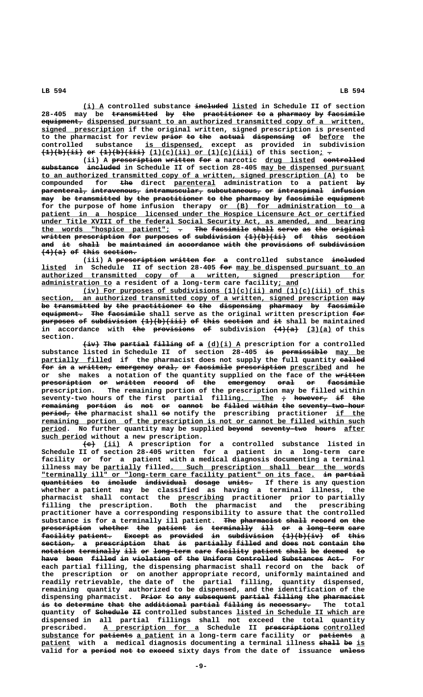**\_\_\_\_\_ ———————— \_\_\_\_\_\_ (i) A controlled substance included listed in Schedule II of section** 28-405 may be <del>transmitted</del> by the practitioner to a pharmacy by facsimile  $equ$ ipment, dispensed pursuant to an authorized transmitted copy of a written,  **\_\_\_\_\_\_\_\_\_\_\_\_\_\_\_\_\_\_\_\_ signed prescription if the original written, signed prescription is presented** to the pharmacist for review prior to the actual dispensing of before the  **\_\_\_\_\_\_\_\_\_\_\_\_\_\_ controlled substance is dispensed, except as provided in subdivision (1)(b)(ii) or (1)(b)(iii) (1)(c)(ii) or (1)(c)(iii) of this section; . —————————— —— ——————————— \_\_\_\_\_\_\_\_\_\_\_\_\_\_\_\_\_\_\_\_\_\_\_\_\_ \_ —**

(ii) A <del>prescription</del> written for a narcotic drug listed controlled substance included in Schedule II of section 28-405 may be dispensed pursuant  **\_\_\_\_\_\_\_\_\_\_\_\_\_\_\_\_\_\_\_\_\_\_\_\_\_\_\_\_\_\_\_\_\_\_\_\_\_\_\_\_\_\_\_\_\_\_\_\_\_\_\_\_\_\_\_\_\_\_\_\_\_\_\_\_\_\_\_\_\_\_\_ to an authorized transmitted copy of a written, signed prescription (A) to be** compounded for <del>the</del> direct parenteral administration to a patient by  $\frac{1}{\text{parenteral}}$  intravenous, intramuscular, subcutaneous, or intraspinal infusion **may be transmitted by the practitioner to the pharmacy by facsimile equipment ——— —— ——————————— —— ——— ———————————— —— ——— ———————— —— ————————— ————————** for the purpose of home infusion therapy or (B) for administration to a patient in a hospice licensed under the Hospice Licensure Act or certified  **\_\_\_\_\_\_\_\_\_\_\_\_\_\_\_\_\_\_\_\_\_\_\_\_\_\_\_\_\_\_\_\_\_\_\_\_\_\_\_\_\_\_\_\_\_\_\_\_\_\_\_\_\_\_\_\_\_\_\_\_\_\_\_\_\_\_\_\_\_\_\_\_\_\_\_\_\_\_ under Title XVIII of the federal Social Security Act, as amended, and bearing** the words "hospice patient";  $\tau$  The facsimile shall serve as the original **written prescription for purposes of subdivision (1)(b)(ii) of this section ——————— ———————————— ——— ———————— —— ——————————— —————————— —— ———— ——————** and it shall be maintained in accordance with the provisions of subdivision  $(4)(a)$  of this section.

(iii) A prescription written for a controlled substance included  **\_\_\_\_\_\_ ——— \_\_\_\_\_\_\_\_\_\_\_\_\_\_\_\_\_\_\_\_\_\_\_\_\_\_\_\_\_\_\_ listed in Schedule II of section 28-405 for may be dispensed pursuant to an \_\_\_\_\_\_\_\_\_\_\_\_\_\_\_\_\_\_\_\_\_\_\_\_\_\_\_\_\_\_\_\_\_\_\_\_\_\_\_\_\_\_\_\_\_\_\_\_\_\_\_\_\_\_\_\_\_\_\_\_\_\_\_\_\_\_\_\_\_\_\_\_\_\_\_\_\_\_ authorized transmitted copy of a written, signed prescription for \_\_\_\_\_\_\_\_\_\_\_\_\_\_\_\_\_ \_\_\_\_\_ administration to a resident of a long-term care facility; and**

 $(iv)$  For purposes of subdivisions  $(1)(c)(ii)$  and  $(1)(c)(iii)$  of this  **\_\_\_\_\_\_\_\_\_\_\_\_\_\_\_\_\_\_\_\_\_\_\_\_\_\_\_\_\_\_\_\_\_\_\_\_\_\_\_\_\_\_\_\_\_\_\_\_\_\_\_\_\_\_\_\_\_\_\_\_\_\_\_\_\_\_\_\_\_\_\_\_\_\_ ——— section, an authorized transmitted copy of a written, signed prescription may** be transmitted by the practitioner to the dispensing pharmacy by facsimile  **—————————— ——— ————————— ——— equipment. The facsimile shall serve as the original written prescription for purposes of subdivision (1)(b)(iii) of this section and it shall be maintained** in accordance with the provisions of subdivision  $(4)(a)$   $(3)(a)$  of this  **section.**

 $\overleftrightarrow{\text{the partial filling of a (d)(i) A prescription for a controlled}}$ substance listed in Schedule II of section 28-405 <del>is permissible</del> may be  $partially$  filled if the pharmacist does not supply the full quantity called for in a written, emergency oral, or facsimile prescription prescribed and he or she makes a notation of the quantity supplied on the face of the written **prescription or written record of the emergency oral or facsimile prescription. The remaining portion of the prescription may be filled within seventy-two hours of the first partial fillin<u>g. The</u>**  $\rightarrow$  **<del>however, if the</del> remaining portion is not or cannot be filled within the seventy-two-hour ————————— ——————— —— ——— —— —————— —— —————— —————— ——— ———————————————— ——————— ——— —— \_\_\_\_\_\_\_ period, the pharmacist shall so notify the prescribing practitioner if the \_\_\_\_\_\_\_\_\_\_\_\_\_\_\_\_\_\_\_\_\_\_\_\_\_\_\_\_\_\_\_\_\_\_\_\_\_\_\_\_\_\_\_\_\_\_\_\_\_\_\_\_\_\_\_\_\_\_\_\_\_\_\_\_\_\_\_\_\_\_\_\_\_\_\_\_\_\_ remaining portion of the prescription is not or cannot be filled within such** period. No further quantity may be supplied beyond seventy-two hours after  **\_\_\_\_\_\_\_\_\_\_\_ such period without a new prescription.**

 $\overline{\text{(e)}}$  (ii) A prescription for a controlled substance listed in **Schedule II of section 28-405 written for a patient in a long-term care facility or for a patient with a medical diagnosis documenting a terminal \_\_\_\_\_\_\_\_\_ \_\_\_\_\_\_\_\_\_\_\_\_\_\_\_\_\_\_\_\_\_\_\_\_\_\_\_\_\_\_\_\_\_\_\_\_\_\_\_\_\_\_\_\_\_\_\_ illness may be partially filled. Such prescription shall bear the words \_\_\_\_\_\_\_\_\_\_\_\_\_\_\_\_\_\_\_\_\_\_\_\_\_\_\_\_\_\_\_\_\_\_\_\_\_\_\_\_\_\_\_\_\_\_\_\_\_\_\_\_\_\_\_\_\_\_\_\_\_\_\_\_\_\_ —— ——————— "terminally ill" or "long-term care facility patient" on its face. in partial quantities to include individual dosage units. If there is any question —————————— —— ——————— —————————— —————— ————— whether a patient may be classified as having a terminal illness, the \_\_\_\_\_\_\_\_\_\_\_ pharmacist shall contact the prescribing practitioner prior to partially filling the prescription. Both the pharmacist and the prescribing practitioner have a corresponding responsibility to assure that the controlled** substance is for a terminally ill patient. The pharmacist shall record on the **prescription whether the patient is terminally ill or a long-term care**  $facility patient.$  Except as provided in subdivision  $(1)(b)(iv)$  of this  $section_7$  a prescription that is partially filled and does not contain the notation terminally ill or long-term care facility patient shall be deemed to have been filled in violation of the Uniform Controlled Substances Act. For **each partial filling, the dispensing pharmacist shall record on the back of the prescription or on another appropriate record, uniformly maintained and readily retrievable, the date of the partial filling, quantity dispensed, remaining quantity authorized to be dispensed, and the identification of the** dispensing pharmacist. Prior to any subsequent partial filling the pharmacist  $\textbf{is to determine that the additional partial time in the total} \textbf{[} \textbf{[} \textbf{[} \textbf{[} \textbf{[} \textbf{[} \textbf{[} \textbf{[} \textbf{[} \textbf{[} \textbf{[} \textbf{[} \textbf{[} \textbf{[} \textbf{[} \textbf{[} \textbf{[} \textbf{[} \textbf{[} \textbf{[} \textbf{[} \textbf{[} \textbf{[} \textbf{[} \textbf{[} \textbf{[} \textbf{[} \textbf{[} \textbf{[} \textbf{[} \textbf{[} \textbf{[} \textbf{[} \textbf{[} \$  **———————— —— \_\_\_\_\_\_\_\_\_\_\_\_\_\_\_\_\_\_\_\_\_\_\_\_\_\_\_\_\_\_\_ quantity of Schedule II controlled substances listed in Schedule II which are dispensed in all partial fillings shall not exceed the total quantity \_\_\_\_\_\_\_\_\_\_\_\_\_\_\_\_\_\_\_\_\_\_\_ ————————————— \_\_\_\_\_\_\_\_\_\_ prescribed. A prescription for a Schedule II prescriptions controlled \_\_\_\_\_\_\_\_\_ ———————— \_\_\_\_\_\_\_\_\_ ———————— \_ substance for patients a patient in a long-term care facility or patients a patient with a medical diagnosis documenting a terminal illness shall be is \_\_\_\_\_\_\_ ————— —— \_\_** valid for a period not to exceed sixty days from the date of issuance unless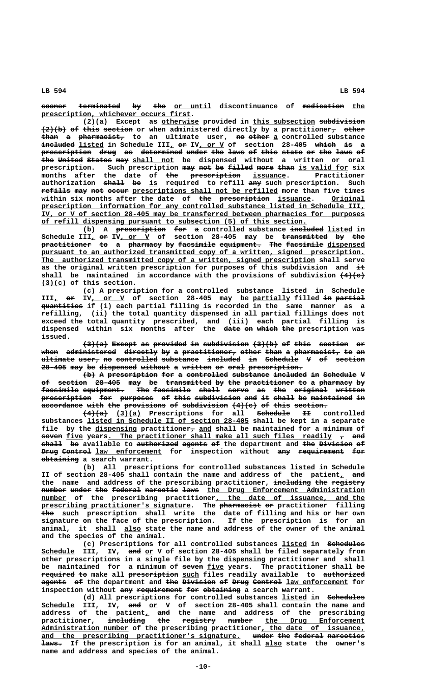**sooner terminated by the or until discontinuance of medication the \_\_\_\_\_\_\_\_\_\_\_\_\_\_\_\_\_\_\_\_\_\_\_\_\_\_\_\_\_\_\_\_\_\_\_\_ prescription, whichever occurs first.**

 **\_\_\_\_\_\_\_\_\_ \_\_\_\_\_\_\_\_\_\_\_\_\_\_\_ ——————————— (2)(a) Except as otherwise provided in this subsection subdivision**  $\left(2\right)$  (b) of this section or when administered directly by a practitioner<sub>7</sub> other than a pharmacist, to an ultimate user, no other a controlled substance  $\frac{1}{2}$  **included**  $\frac{1}{2}$  isted in Schedule III<u>,</u> or IV, <u>or V</u> of section 28-405 which is a **prescription drug as determined under the laws of this state or the laws of ———————————— ———— —— —————————— ————— ——— ———— —— ———— ————— —— ——— ———— — the United States may shall not** be dispensed without a written or oral prescription. Such prescription may not be filled more than is valid for six months after the date of <del>the prescription</del> <u>issuance</u>. Practitioner **authorization shall be is required to refill any such prescription. Such ————— —— \_\_ ———**  $\textbf{refills}$  may not occur prescriptions shall not be refilled more than five times within six months after the date of <del>the prescription</del> issuance. Original  **\_\_\_\_\_\_\_\_\_\_\_\_\_\_\_\_\_\_\_\_\_\_\_\_\_\_\_\_\_\_\_\_\_\_\_\_\_\_\_\_\_\_\_\_\_\_\_\_\_\_\_\_\_\_\_\_\_\_\_\_\_\_\_\_\_\_\_\_\_\_\_\_\_\_\_\_\_\_ prescription information for any controlled substance listed in Schedule III, \_\_\_\_\_\_\_\_\_\_\_\_\_\_\_\_\_\_\_\_\_\_\_\_\_\_\_\_\_\_\_\_\_\_\_\_\_\_\_\_\_\_\_\_\_\_\_\_\_\_\_\_\_\_\_\_\_\_\_\_\_\_\_\_\_\_\_\_\_\_\_\_\_\_\_\_\_\_ IV, or V of section 28-405 may be transferred between pharmacies for purposes \_\_\_\_\_\_\_\_\_\_\_\_\_\_\_\_\_\_\_\_\_\_\_\_\_\_\_\_\_\_\_\_\_\_\_\_\_\_\_\_\_\_\_\_\_\_\_\_\_\_\_\_\_\_\_\_\_\_\_\_\_\_\_\_ of refill dispensing pursuant to subsection (5) of this section.**

(b) A prescription for a controlled substance included listed in Schedule III<sub>L</sub> o<del>r</del> IV, or V of section 28-405 may be <del>transmitted</del> by the **practitioner to a pharmacy by facsimile equipment. The facsimile dispensed ———————————— —— — ———————— —— ————————— —————————— ——— ————————— \_\_\_\_\_\_\_\_\_** pursuant to an authorized transmitted copy of a written, signed prescription.  **\_\_\_\_\_\_\_\_\_\_\_\_\_\_\_\_\_\_\_\_\_\_\_\_\_\_\_\_\_\_\_\_\_\_\_\_\_\_\_\_\_\_\_\_\_\_\_\_\_\_\_\_\_\_\_\_\_\_\_\_\_\_\_\_\_\_ The authorized transmitted copy of a written, signed prescription shall serve** as the original written prescription for purposes of this subdivision and  $\pm$ shall be maintained in accordance with the provisions of subdivision  $(4)(e)$  **\_\_\_\_\_\_ (3)(c) of this section.**

**(c) A prescription for a controlled substance listed in Schedule** III<sub>L</sub> or IV<sub>L</sub> or V of section 28-405 may be partially filled in partial  **—————————— quantities if (i) each partial filling is recorded in the same manner as a refilling, (ii) the total quantity dispensed in all partial fillings does not exceed the total quantity prescribed, and (iii) each partial filling is** dispensed within six months after the <del>date-on-which-the</del>-prescription-was  $\overline{\phantom{a}}$  **issued.**

 $(3)(a)$  Except as provided in subdivision  $(3)(b)$  of this section or when administered directly by a practitioner, other than a pharmacist, to an **ultimate user, no controlled substance included in Schedule V of section ———————— ————— —— —————————— ————————— ———————— —— ———————— — —— ——————— 28-405 may be dispensed without a written or oral prescription. —————— ——— —— ————————— ——————— — ——————— —— ———— —————————————**

 $\{\rightarrow\}$  A prescription for a controlled substance included in Schedule V of section 28-405 may be transmitted by the practitioner to a pharmacy by facsimile equipment. The facsimile shall serve as the original written prescription for purposes of this subdivision and it shall be maintained in accordance with the provisions of subdivision  $(4)(e)$  of this section.

 **—————— \_\_\_\_\_\_ ———————— —— (4)(a) (3)(a) Prescriptions for all Schedule II controlled \_\_\_\_\_\_\_\_\_\_\_\_\_\_\_\_\_\_\_\_\_\_\_\_\_\_\_\_\_\_\_\_\_\_\_\_\_\_\_ substances listed in Schedule II of section 28-405 shall be kept in a separate** file by the dispensing practitioner<sub>7</sub> and shall be maintained for a minimum of **seven five years. The practitioner shall make all such files readily**  $\tau$  **and shall be available to authorized agents of the department and the Division of ————— —— —————————— —————— —— ——— ———————— —— Drug Control law enforcement** for inspection without any requirement for  **————————— obtaining a search warrant.**

**(b) All prescriptions for controlled substances listed in Schedule \_\_\_\_\_\_** II of section 28-405 shall contain the name and address of the patient<sub>1</sub> and the name and address of the prescribing practitioner, including the registry  $\frac{$  **number** under the federal narcotic laws the Drug Enforcement Administration  $\frac{\texttt{number}}{\texttt{number}}$  of the prescribing practitioner<u>, the date of issuance, and the</u>  **\_\_\_\_\_\_\_\_\_\_\_\_\_\_\_\_\_\_\_\_\_\_\_\_\_\_\_\_\_\_\_\_\_\_\_\_ —————————— —— prescribing practitioner's signature. The pharmacist or practitioner filling ——— \_\_\_\_ the such prescription shall write the date of filling and his or her own signature on the face of the prescription. If the prescription is for an \_\_\_\_ animal, it shall also state the name and address of the owner of the animal and the species of the animal.**

**(c) Prescriptions for all controlled substances listed in Schedules \_\_\_\_\_\_ ————————— \_\_\_\_\_\_\_\_ ——— \_\_ Schedule III, IV, and or V of section 28-405 shall be filed separately from \_\_\_\_\_\_\_\_\_\_ other prescriptions in a single file by the dispensing practitioner and shall ————— \_\_\_\_ —— be maintained for a minimum of seven five years. The practitioner shall be ———————— —— ———————————— \_\_\_\_ —————————— required to make all prescription such files readily available to authorized**  $\frac{1}{\text{degree}}$   $\frac{1}{\text{degree}}$  the department and  $\frac{1}{\text{degree}}$   $\frac{1}{\text{degree}}$   $\frac{1}{\text{degree}}$   $\frac{1}{\text{degree}}$   $\frac{1}{\text{degree}}$   $\frac{1}{\text{degree}}$  for inspection without any requirement for obtaining a search warrant.

**(d) All prescriptions for controlled substances listed in Schedules \_\_\_\_\_\_ ————————— \_\_\_\_\_\_\_\_ ——— \_\_ Schedule III, IV, and or V of section 28-405 shall contain the name and \_ ——— address of the patient, and the name and address of the prescribing practitioner, including the registry number the Drug Enforcement ————————— ——— ———————— —————— \_\_\_\_\_\_\_\_\_\_\_\_\_\_\_\_\_\_\_\_\_\_\_\_ \_\_\_\_\_\_\_\_\_\_\_\_\_\_\_\_\_\_\_\_\_ \_\_\_\_\_\_\_\_\_\_\_\_\_\_\_\_\_\_\_\_\_\_\_\_\_ Administration number of the prescribing practitioner, the date of issuance,** and the prescribing practitioner's signature. under the federal narcotics  **————— \_\_\_\_ laws. If the prescription is for an animal, it shall also state the owner's name and address and species of the animal.**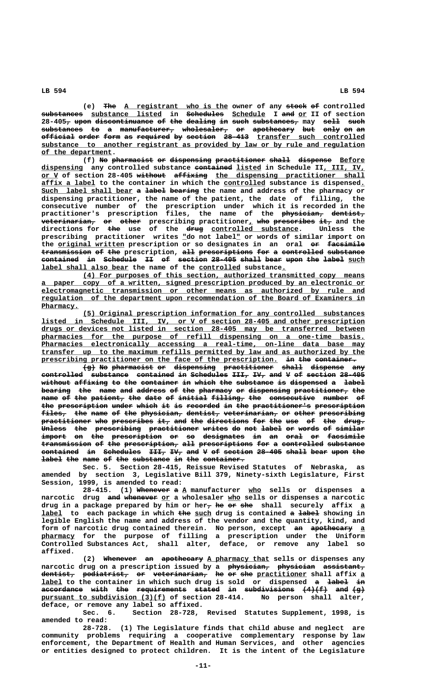(e) The A registrant who is the owner of any stock of controlled  **—————————— \_\_\_\_\_\_\_\_\_\_\_\_\_\_\_\_\_ ————————— \_\_\_\_\_\_\_\_ ——— \_\_ substances substance listed in Schedules Schedule I and or II of section 28-405, upon discontinuance of the dealing in such substances, may sell such — ———— —————————————— —— ——— ——————— —— ———— ——————————— ———— ——— substances to a manufacturer, wholesaler, or apothecary but only on an —————————— —— — ————————————— ——————————— —— —————————— ——— ———— —— — official order form as required by section 28-413 transfer such controlled ———————— ————— ———— —— ———————— —— ——————— —————— \_\_\_\_\_\_\_\_\_\_\_\_\_\_\_\_\_\_\_\_\_\_\_\_\_\_ \_\_\_\_\_\_\_\_\_\_\_\_\_\_\_\_\_\_\_\_\_\_\_\_\_\_\_\_\_\_\_\_\_\_\_\_\_\_\_\_\_\_\_\_\_\_\_\_\_\_\_\_\_\_\_\_\_\_\_\_\_\_\_\_\_\_\_\_\_\_\_\_\_\_\_\_\_\_ substance to another registrant as provided by law or by rule and regulation \_\_\_\_\_\_\_\_\_\_\_\_\_\_\_\_\_ of the department.**

**(f)** No pharmacist or dispensing practitioner shall dispense Before  **\_\_\_\_\_\_\_\_\_\_ ————————— \_\_\_\_\_\_ \_\_\_\_\_\_\_\_\_\_ dispensing any controlled substance contained listed in Schedule II, III, IV, or V of section 28-405 without affixing the dispensing practitioner shall \_\_\_\_ ——————— ———————— \_\_\_\_\_\_\_\_\_\_\_\_\_\_\_\_\_\_\_\_\_\_\_\_\_\_\_\_\_\_\_\_\_\_\_\_ \_\_\_\_\_\_\_\_\_\_\_\_\_ \_\_\_\_\_\_\_\_\_\_ \_ affix a label to the container in which the controlled substance is dispensed.** Such label shall bear a label bearing the name and address of the pharmacy or **dispensing practitioner, the name of the patient, the date of filling, the consecutive number of the prescription under which it is recorded in the practitioner's prescription files, the name of the physician, dentist, —————————— ————————**  $\textbf{v}$  **eterinarian, or other** prescribing practitioner<u>,</u> who prescribes it, and the  **——— ———— \_\_\_\_\_\_\_\_\_\_\_\_\_\_\_\_\_\_\_\_\_ directions for the use of the drug controlled substance. Unless the** prescribing practitioner writes "do not label" or words of similar import on the <u>original written</u> prescription or so designates in an oral or facsimile **transmission of the prescription, all prescriptions for a controlled substance contained in Schedule II of section 28-405 shall bear upon the label such ————————— —— ———————— —— —— ——————— —————— ————— ———— ———— ——— ————— \_\_\_\_ \_\_\_\_\_\_\_\_\_\_\_\_\_\_\_\_\_\_\_\_\_ \_\_\_\_\_\_\_\_\_\_ \_ label shall also bear the name of the controlled substance.**

 **\_\_\_\_\_\_\_\_\_\_\_\_\_\_\_\_\_\_\_\_\_\_\_\_\_\_\_\_\_\_\_\_\_\_\_\_\_\_\_\_\_\_\_\_\_\_\_\_\_\_\_\_\_\_\_\_\_\_\_\_\_\_\_\_\_\_\_\_ (4) For purposes of this section, authorized transmitted copy means \_\_\_\_\_\_\_\_\_\_\_\_\_\_\_\_\_\_\_\_\_\_\_\_\_\_\_\_\_\_\_\_\_\_\_\_\_\_\_\_\_\_\_\_\_\_\_\_\_\_\_\_\_\_\_\_\_\_\_\_\_\_\_\_\_\_\_\_\_\_\_\_\_\_\_\_\_\_ a paper copy of a written, signed prescription produced by an electronic or \_\_\_\_\_\_\_\_\_\_\_\_\_\_\_\_\_\_\_\_\_\_\_\_\_\_\_\_\_\_\_\_\_\_\_\_\_\_\_\_\_\_\_\_\_\_\_\_\_\_\_\_\_\_\_\_\_\_\_\_\_\_\_\_\_\_\_\_\_\_\_\_\_\_\_\_\_\_ electromagnetic transmission or other means as authorized by rule and \_\_\_\_\_\_\_\_\_\_\_\_\_\_\_\_\_\_\_\_\_\_\_\_\_\_\_\_\_\_\_\_\_\_\_\_\_\_\_\_\_\_\_\_\_\_\_\_\_\_\_\_\_\_\_\_\_\_\_\_\_\_\_\_\_\_\_\_\_\_\_\_\_\_\_\_\_\_ regulation of the department upon recommendation of the Board of Examiners in Pharmacy. \_\_\_\_\_\_\_\_\_**

 **\_\_\_\_\_\_\_\_\_\_\_\_\_\_\_\_\_\_\_\_\_\_\_\_\_\_\_\_\_\_\_\_\_\_\_\_\_\_\_\_\_\_\_\_\_\_\_\_\_\_\_\_\_\_\_\_\_\_\_\_\_\_\_\_\_\_\_\_ (5) Original prescription information for any controlled substances \_\_\_\_\_\_\_\_\_\_\_\_\_\_\_\_\_\_\_\_\_\_\_\_\_\_\_\_\_\_\_\_\_\_\_\_\_\_\_\_\_\_\_\_\_\_\_\_\_\_\_\_\_\_\_\_\_\_\_\_\_\_\_\_\_\_\_\_\_\_\_\_\_\_\_\_\_\_ listed in Schedule III, IV, or V of section 28-405 and other prescription \_\_\_\_\_\_\_\_\_\_\_\_\_\_\_\_\_\_\_\_\_\_\_\_\_\_\_\_\_\_\_\_\_\_\_\_\_\_\_\_\_\_\_\_\_\_\_\_\_\_\_\_\_\_\_\_\_\_\_\_\_\_\_\_\_\_\_\_\_\_\_\_\_\_\_\_\_\_ drugs or devices not listed in section 28-405 may be transferred between** pharmacies for the purpose of refill dispensing on a one-time basis.  **\_\_\_\_\_\_\_\_\_\_\_\_\_\_\_\_\_\_\_\_\_\_\_\_\_\_\_\_\_\_\_\_\_\_\_\_\_\_\_\_\_\_\_\_\_\_\_\_\_\_\_\_\_\_\_\_\_\_\_\_\_\_\_\_\_\_\_\_\_\_\_\_\_\_\_\_\_\_ Pharmacies electronically accessing a real-time, on-line data base may \_\_\_\_\_\_\_\_\_\_\_\_\_\_\_\_\_\_\_\_\_\_\_\_\_\_\_\_\_\_\_\_\_\_\_\_\_\_\_\_\_\_\_\_\_\_\_\_\_\_\_\_\_\_\_\_\_\_\_\_\_\_\_\_\_\_\_\_\_\_\_\_\_\_\_\_\_\_ transfer up to the maximum refills permitted by law and as authorized by the** prescribing practitioner on the face of the prescription. in the container.

 $\overline{\text{log}}}$  No pharmacist or dispensing practitioner shall dispense any **controlled substance contained in Schedules III, IV, and V of section 28-405** without affixing to the container in which the substance is dispensed a label bearing the name and address of the pharmacy or dispensing practitioner, the name of the patient, the date of initial filling, the consecutive number of the prescription under which it is recorded in the practitioner's prescription files, the name of the physician, dentist, veterinarian, or other prescribing practitioner who prescribes it, and the directions for the use of the drug.  $\tt{whless}$  the prescribing practitioner writes do not label or words of similar  $\textbf{import}$  on <del>the prescription</del> or so designates in an oral or facsimile  $t$  **transmission of the prescription, all prescriptions for a controlled substance** contained in Schedules III, IV, and V of section 28-405 shall bear upon the label the name of the substance in the container.

**Sec. 5. Section 28-415, Reissue Revised Statutes of Nebraska, as amended by section 3, Legislative Bill 379, Ninety-sixth Legislature, First Session, 1999, is amended to read:**

28-415. (1) Whenever a A manufacturer who sells or dispenses a  $n$ arcotic drug <del>and whenever</del> or a wholesaler who sells or dispenses a narcotic drug in a package prepared by him or her<sub>7</sub> he or she shall securely affix a  **\_\_\_\_\_ ——— \_\_\_\_ — ————— label to each package in which the such drug is contained a label showing in legible English the name and address of the vendor and the quantity, kind, and** form of narcotic drug contained therein. No person, except <del>an apothecary</del> a  **\_\_\_\_\_\_\_\_ pharmacy for the purpose of filling a prescription under the Uniform Controlled Substances Act, shall alter, deface, or remove any label so affixed.**

> (2) Whenever an apothecary A pharmacy that sells or dispenses any  ${\tt n}$ arcotic drug on a prescription issued by a <del>physician, physician assistant,</del>  $\textrm{deentist}$ , <del>podiatrist, or veterinarian,</del> <del>he or-she</del> p<u>ractitioner</u> shall affix <u>a</u> **label to the container in which such drug is sold or dispensed a label in \_\_\_\_\_ — ————— — accordance with the requirements stated in subdivisions (4)(f) and (g) —————————— ———— ——— ———————————— —————— —— ———————————— —————— ——— ——** pursuant to subdivision (3)(f) of section 28-414. No person shall alter, **deface, or remove any label so affixed.**

> **Sec. 6. Section 28-728, Revised Statutes Supplement, 1998, is amended to read:**

> **28-728. (1) The Legislature finds that child abuse and neglect are community problems requiring a cooperative complementary response by law enforcement, the Department of Health and Human Services, and other agencies or entities designed to protect children. It is the intent of the Legislature**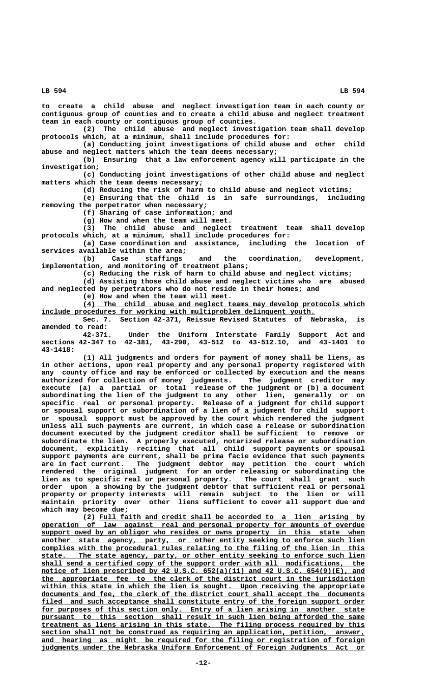**to create a child abuse and neglect investigation team in each county or contiguous group of counties and to create a child abuse and neglect treatment**

**team in each county or contiguous group of counties. (2) The child abuse and neglect investigation team shall develop protocols which, at a minimum, shall include procedures for:**

**(a) Conducting joint investigations of child abuse and other child abuse and neglect matters which the team deems necessary;**

**(b) Ensuring that a law enforcement agency will participate in the investigation;**

**(c) Conducting joint investigations of other child abuse and neglect matters which the team deems necessary;**

**(d) Reducing the risk of harm to child abuse and neglect victims; (e) Ensuring that the child is in safe surroundings, including**

**removing the perpetrator when necessary; (f) Sharing of case information; and**

**(g) How and when the team will meet.**

**(3) The child abuse and neglect treatment team shall develop protocols which, at a minimum, shall include procedures for:**

**(a) Case coordination and assistance, including the location of**

**services available within the area; (b) Case staffings and the coordination, development, implementation, and monitoring of treatment plans;**

**(c) Reducing the risk of harm to child abuse and neglect victims;**

**(d) Assisting those child abuse and neglect victims who are abused and neglected by perpetrators who do not reside in their homes; and**

**(e) How and when the team will meet.**

 **\_\_\_\_\_\_\_\_\_\_\_\_\_\_\_\_\_\_\_\_\_\_\_\_\_\_\_\_\_\_\_\_\_\_\_\_\_\_\_\_\_\_\_\_\_\_\_\_\_\_\_\_\_\_\_\_\_\_\_\_\_\_\_\_\_\_\_\_ (4) The child abuse and neglect teams may develop protocols which \_\_\_\_\_\_\_\_\_\_\_\_\_\_\_\_\_\_\_\_\_\_\_\_\_\_\_\_\_\_\_\_\_\_\_\_\_\_\_\_\_\_\_\_\_\_\_\_\_\_\_\_\_\_\_\_\_\_\_\_\_\_\_\_\_\_ include procedures for working with multiproblem delinquent youth.**

**Sec. 7. Section 42-371, Reissue Revised Statutes of Nebraska, is amended to read:**

**42-371. Under the Uniform Interstate Family Support Act and sections 42-347 to 42-381, 43-290, 43-512 to 43-512.10, and 43-1401 to 43-1418:**

**(1) All judgments and orders for payment of money shall be liens, as in other actions, upon real property and any personal property registered with any county office and may be enforced or collected by execution and the means authorized for collection of money judgments. The judgment creditor may execute (a) a partial or total release of the judgment or (b) a document subordinating the lien of the judgment to any other lien, generally or on specific real or personal property. Release of a judgment for child support or spousal support or subordination of a lien of a judgment for child support or spousal support must be approved by the court which rendered the judgment unless all such payments are current, in which case a release or subordination document executed by the judgment creditor shall be sufficient to remove or subordinate the lien. A properly executed, notarized release or subordination document, explicitly reciting that all child support payments or spousal support payments are current, shall be prima facie evidence that such payments are in fact current. The judgment debtor may petition the court which rendered the original judgment for an order releasing or subordinating the lien as to specific real or personal property. The court shall grant such order upon a showing by the judgment debtor that sufficient real or personal property or property interests will remain subject to the lien or will maintain priority over other liens sufficient to cover all support due and which may become due;**

 **\_\_\_\_\_\_\_\_\_\_\_\_\_\_\_\_\_\_\_\_\_\_\_\_\_\_\_\_\_\_\_\_\_\_\_\_\_\_\_\_\_\_\_\_\_\_\_\_\_\_\_\_\_\_\_\_\_\_\_\_\_\_\_\_ (2) Full faith and credit shall be accorded to a lien arising by \_\_\_\_\_\_\_\_\_\_\_\_\_\_\_\_\_\_\_\_\_\_\_\_\_\_\_\_\_\_\_\_\_\_\_\_\_\_\_\_\_\_\_\_\_\_\_\_\_\_\_\_\_\_\_\_\_\_\_\_\_\_\_\_\_\_\_\_\_\_\_\_\_\_\_\_\_\_ operation of law against real and personal property for amounts of overdue**  $support$  owed by an obligor who resides or owns property in this state when  $\frac{1}{2}$  another state agency, party, or other entity seeking to enforce such lien  **\_\_\_\_\_\_\_\_\_\_\_\_\_\_\_\_\_\_\_\_\_\_\_\_\_\_\_\_\_\_\_\_\_\_\_\_\_\_\_\_\_\_\_\_\_\_\_\_\_\_\_\_\_\_\_\_\_\_\_\_\_\_\_\_\_\_\_\_\_\_\_\_\_\_\_\_\_\_ complies with the procedural rules relating to the filing of the lien in this \_\_\_\_\_\_\_\_\_\_\_\_\_\_\_\_\_\_\_\_\_\_\_\_\_\_\_\_\_\_\_\_\_\_\_\_\_\_\_\_\_\_\_\_\_\_\_\_\_\_\_\_\_\_\_\_\_\_\_\_\_\_\_\_\_\_\_\_\_\_\_\_\_\_\_\_\_\_ state. The state agency, party, or other entity seeking to enforce such lien** shall send a certified copy of the support order with all modifications, the  **\_\_\_\_\_\_\_\_\_\_\_\_\_\_\_\_\_\_\_\_\_\_\_\_\_\_\_\_\_\_\_\_\_\_\_\_\_\_\_\_\_\_\_\_\_\_\_\_\_\_\_\_\_\_\_\_\_\_\_\_\_\_\_\_\_\_\_\_\_\_\_\_\_\_\_\_\_\_ notice of lien prescribed by 42 U.S.C. 652(a)(11) and 42 U.S.C. 654(9)(E), and \_\_\_\_\_\_\_\_\_\_\_\_\_\_\_\_\_\_\_\_\_\_\_\_\_\_\_\_\_\_\_\_\_\_\_\_\_\_\_\_\_\_\_\_\_\_\_\_\_\_\_\_\_\_\_\_\_\_\_\_\_\_\_\_\_\_\_\_\_\_\_\_\_\_\_\_\_\_ the appropriate fee to the clerk of the district court in the jurisdiction \_\_\_\_\_\_\_\_\_\_\_\_\_\_\_\_\_\_\_\_\_\_\_\_\_\_\_\_\_\_\_\_\_\_\_\_\_\_\_\_\_\_\_\_\_\_\_\_\_\_\_\_\_\_\_\_\_\_\_\_\_\_\_\_\_\_\_\_\_\_\_\_\_\_\_\_\_\_ within this state in which the lien is sought. Upon receiving the appropriate \_\_\_\_\_\_\_\_\_\_\_\_\_\_\_\_\_\_\_\_\_\_\_\_\_\_\_\_\_\_\_\_\_\_\_\_\_\_\_\_\_\_\_\_\_\_\_\_\_\_\_\_\_\_\_\_\_\_\_\_\_\_\_\_\_\_\_\_\_\_\_\_\_\_\_\_\_\_ documents and fee, the clerk of the district court shall accept the documents \_\_\_\_\_\_\_\_\_\_\_\_\_\_\_\_\_\_\_\_\_\_\_\_\_\_\_\_\_\_\_\_\_\_\_\_\_\_\_\_\_\_\_\_\_\_\_\_\_\_\_\_\_\_\_\_\_\_\_\_\_\_\_\_\_\_\_\_\_\_\_\_\_\_\_\_\_\_ filed and such acceptance shall constitute entry of the foreign support order** for purposes of this section only. Entry of a lien arising in another state pursuant to this section shall result in such lien being afforded the same  **\_\_\_\_\_\_\_\_\_\_\_\_\_\_\_\_\_\_\_\_\_\_\_\_\_\_\_\_\_\_\_\_\_\_\_\_\_\_\_\_\_\_\_\_\_\_\_\_\_\_\_\_\_\_\_\_\_\_\_\_\_\_\_\_\_\_\_\_\_\_\_\_\_\_\_\_\_\_ treatment as liens arising in this state. The filing process required by this \_\_\_\_\_\_\_\_\_\_\_\_\_\_\_\_\_\_\_\_\_\_\_\_\_\_\_\_\_\_\_\_\_\_\_\_\_\_\_\_\_\_\_\_\_\_\_\_\_\_\_\_\_\_\_\_\_\_\_\_\_\_\_\_\_\_\_\_\_\_\_\_\_\_\_\_\_\_ section shall not be construed as requiring an application, petition, answer,** and hearing as might be required for the filing or registration of foreign  **\_\_\_\_\_\_\_\_\_\_\_\_\_\_\_\_\_\_\_\_\_\_\_\_\_\_\_\_\_\_\_\_\_\_\_\_\_\_\_\_\_\_\_\_\_\_\_\_\_\_\_\_\_\_\_\_\_\_\_\_\_\_\_\_\_\_\_\_\_\_\_\_\_\_\_\_\_\_ judgments under the Nebraska Uniform Enforcement of Foreign Judgments Act or**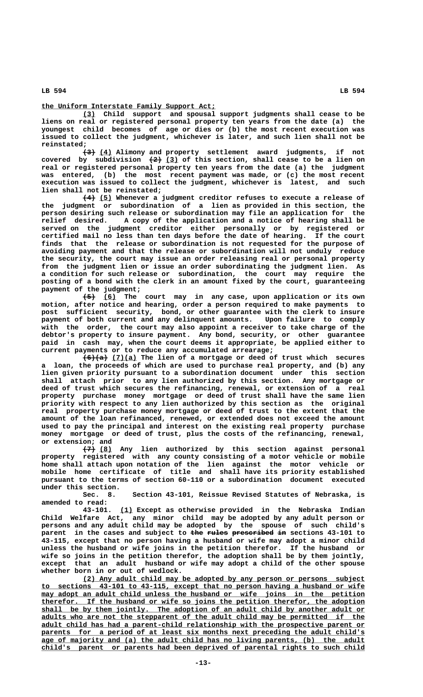### **\_\_\_\_\_\_\_\_\_\_\_\_\_\_\_\_\_\_\_\_\_\_\_\_\_\_\_\_\_\_\_\_\_\_\_\_\_\_\_\_\_\_ the Uniform Interstate Family Support Act;**

 **\_\_\_ (3) Child support and spousal support judgments shall cease to be liens on real or registered personal property ten years from the date (a) the youngest child becomes of age or dies or (b) the most recent execution was issued to collect the judgment, whichever is later, and such lien shall not be reinstated;**

 **——— \_\_\_ (3) (4) Alimony and property settlement award judgments, if not** covered by subdivision  $(2)$  (3) of this section, shall cease to be a lien on **real or registered personal property ten years from the date (a) the judgment was entered, (b) the most recent payment was made, or (c) the most recent execution was issued to collect the judgment, whichever is latest, and such lien shall not be reinstated;**

 **——— \_\_\_ (4) (5) Whenever a judgment creditor refuses to execute a release of the judgment or subordination of a lien as provided in this section, the person desiring such release or subordination may file an application for the relief desired. A copy of the application and a notice of hearing shall be served on the judgment creditor either personally or by registered or certified mail no less than ten days before the date of hearing. If the court finds that the release or subordination is not requested for the purpose of avoiding payment and that the release or subordination will not unduly reduce the security, the court may issue an order releasing real or personal property from the judgment lien or issue an order subordinating the judgment lien. As a condition for such release or subordination, the court may require the posting of a bond with the clerk in an amount fixed by the court, guaranteeing payment of the judgment;**

 **——— \_\_\_ (5) (6) The court may in any case, upon application or its own motion, after notice and hearing, order a person required to make payments to post sufficient security, bond, or other guarantee with the clerk to insure payment of both current and any delinquent amounts. Upon failure to comply with the order, the court may also appoint a receiver to take charge of the debtor's property to insure payment. Any bond, security, or other guarantee paid in cash may, when the court deems it appropriate, be applied either to current payments or to reduce any accumulated arrearage;**

 **—————— \_\_\_\_\_\_ (6)(a) (7)(a) The lien of a mortgage or deed of trust which secures a loan, the proceeds of which are used to purchase real property, and (b) any lien given priority pursuant to a subordination document under this section shall attach prior to any lien authorized by this section. Any mortgage or deed of trust which secures the refinancing, renewal, or extension of a real property purchase money mortgage or deed of trust shall have the same lien priority with respect to any lien authorized by this section as the original real property purchase money mortgage or deed of trust to the extent that the amount of the loan refinanced, renewed, or extended does not exceed the amount used to pay the principal and interest on the existing real property purchase money mortgage or deed of trust, plus the costs of the refinancing, renewal, or extension; and**

 $\overline{(7)}$  (8) Any lien authorized by this section against personal **property registered with any county consisting of a motor vehicle or mobile home shall attach upon notation of the lien against the motor vehicle or mobile home certificate of title and shall have its priority established pursuant to the terms of section 60-110 or a subordination document executed under this section.**

**Sec. 8. Section 43-101, Reissue Revised Statutes of Nebraska, is amended to read:**

 **\_\_\_ 43-101. (1) Except as otherwise provided in the Nebraska Indian Child Welfare Act, any minor child may be adopted by any adult person or persons and any adult child may be adopted by the spouse of such child's** parent in the cases and subject to the rules prescribed in sections 43-101 to **43-115, except that no person having a husband or wife may adopt a minor child unless the husband or wife joins in the petition therefor. If the husband or wife so joins in the petition therefor, the adoption shall be by them jointly, except that an adult husband or wife may adopt a child of the other spouse whether born in or out of wedlock.**

 **\_\_\_\_\_\_\_\_\_\_\_\_\_\_\_\_\_\_\_\_\_\_\_\_\_\_\_\_\_\_\_\_\_\_\_\_\_\_\_\_\_\_\_\_\_\_\_\_\_\_\_\_\_\_\_\_\_\_\_\_\_\_\_\_\_\_\_\_ (2) Any adult child may be adopted by any person or persons subject \_\_\_\_\_\_\_\_\_\_\_\_\_\_\_\_\_\_\_\_\_\_\_\_\_\_\_\_\_\_\_\_\_\_\_\_\_\_\_\_\_\_\_\_\_\_\_\_\_\_\_\_\_\_\_\_\_\_\_\_\_\_\_\_\_\_\_\_\_\_\_\_\_\_\_\_\_\_ to sections 43-101 to 43-115, except that no person having a husband or wife**  $\frac{may \text{ adopt an adult child unless the husband or wife joins in the petition}}{may \text{ adopt an adult child unless the husband or with the option.}$  **\_\_\_\_\_\_\_\_\_\_\_\_\_\_\_\_\_\_\_\_\_\_\_\_\_\_\_\_\_\_\_\_\_\_\_\_\_\_\_\_\_\_\_\_\_\_\_\_\_\_\_\_\_\_\_\_\_\_\_\_\_\_\_\_\_\_\_\_\_\_\_\_\_\_\_\_\_\_ therefor. If the husband or wife so joins the petition therefor, the adoption** shall be by them jointly. The adoption of an adult child by another adult or  **\_\_\_\_\_\_\_\_\_\_\_\_\_\_\_\_\_\_\_\_\_\_\_\_\_\_\_\_\_\_\_\_\_\_\_\_\_\_\_\_\_\_\_\_\_\_\_\_\_\_\_\_\_\_\_\_\_\_\_\_\_\_\_\_\_\_\_\_\_\_\_\_\_\_\_\_\_\_ adults who are not the stepparent of the adult child may be permitted if the \_\_\_\_\_\_\_\_\_\_\_\_\_\_\_\_\_\_\_\_\_\_\_\_\_\_\_\_\_\_\_\_\_\_\_\_\_\_\_\_\_\_\_\_\_\_\_\_\_\_\_\_\_\_\_\_\_\_\_\_\_\_\_\_\_\_\_\_\_\_\_\_\_\_\_\_\_\_ adult child has had a parent-child relationship with the prospective parent or** parents for a period of at least six months next preceding the adult child's  **\_\_\_\_\_\_\_\_\_\_\_\_\_\_\_\_\_\_\_\_\_\_\_\_\_\_\_\_\_\_\_\_\_\_\_\_\_\_\_\_\_\_\_\_\_\_\_\_\_\_\_\_\_\_\_\_\_\_\_\_\_\_\_\_\_\_\_\_\_\_\_\_\_\_\_\_\_\_ age of majority and (a) the adult child has no living parents, (b) the adult \_\_\_\_\_\_\_\_\_\_\_\_\_\_\_\_\_\_\_\_\_\_\_\_\_\_\_\_\_\_\_\_\_\_\_\_\_\_\_\_\_\_\_\_\_\_\_\_\_\_\_\_\_\_\_\_\_\_\_\_\_\_\_\_\_\_\_\_\_\_\_\_\_\_\_\_\_\_ child's parent or parents had been deprived of parental rights to such child**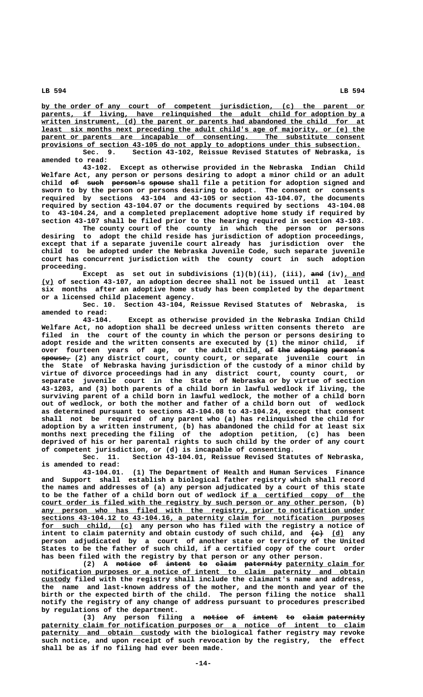**\_\_\_\_\_\_\_\_\_\_\_\_\_\_\_\_\_\_\_\_\_\_\_\_\_\_\_\_\_\_\_\_\_\_\_\_\_\_\_\_\_\_\_\_\_\_\_\_\_\_\_\_\_\_\_\_\_\_\_\_\_\_\_\_\_\_\_\_\_\_\_\_\_\_\_\_\_\_ by the order of any court of competent jurisdiction, (c) the parent or \_\_\_\_\_\_\_\_\_\_\_\_\_\_\_\_\_\_\_\_\_\_\_\_\_\_\_\_\_\_\_\_\_\_\_\_\_\_\_\_\_\_\_\_\_\_\_\_\_\_\_\_\_\_\_\_\_\_\_\_\_\_\_\_\_\_\_\_\_\_\_\_\_\_\_\_\_\_ parents, if living, have relinquished the adult child for adoption by a** written instrument, (d) the parent or parents had abandoned the child for at  **\_\_\_\_\_\_\_\_\_\_\_\_\_\_\_\_\_\_\_\_\_\_\_\_\_\_\_\_\_\_\_\_\_\_\_\_\_\_\_\_\_\_\_\_\_\_\_\_\_\_\_\_\_\_\_\_\_\_\_\_\_\_\_\_\_\_\_\_\_\_\_\_\_\_\_\_\_\_ least six months next preceding the adult child's age of majority, or (e) the** parent or parents are incapable of consenting. The substitute consent provisions of section 43-105 do not apply to adoptions under this subsection.

**Sec. 9. Section 43-102, Reissue Revised Statutes of Nebraska, is amended to read:**

**43-102. Except as otherwise provided in the Nebraska Indian Child Welfare Act, any person or persons desiring to adopt a minor child or an adult** child of such person's spouse shall file a petition for adoption signed and **sworn to by the person or persons desiring to adopt. The consent or consents required by sections 43-104 and 43-105 or section 43-104.07, the documents required by section 43-104.07 or the documents required by sections 43-104.08 to 43-104.24, and a completed preplacement adoptive home study if required by section 43-107 shall be filed prior to the hearing required in section 43-103.**

**The county court of the county in which the person or persons desiring to adopt the child reside has jurisdiction of adoption proceedings, except that if a separate juvenile court already has jurisdiction over the child to be adopted under the Nebraska Juvenile Code, such separate juvenile court has concurrent jurisdiction with the county court in such adoption proceeding.**

**Except** as set out in subdivisions  $(1)(b)(ii)$ ,  $(iii)$ , and  $(iv)$ , and  **\_\_\_ (v) of section 43-107, an adoption decree shall not be issued until at least six months after an adoptive home study has been completed by the department or a licensed child placement agency.**

**Sec. 10. Section 43-104, Reissue Revised Statutes of Nebraska, is amended to read:**

**43-104. Except as otherwise provided in the Nebraska Indian Child Welfare Act, no adoption shall be decreed unless written consents thereto are filed in the court of the county in which the person or persons desiring to adopt reside and the written consents are executed by (1) the minor child, if over fourteen years of age, or the adult child, of the adopting person's \_ —— ——— ———————— ———————— ——————— spouse, (2) any district court, county court, or separate juvenile court in the State of Nebraska having jurisdiction of the custody of a minor child by virtue of divorce proceedings had in any district court, county court, or separate juvenile court in the State of Nebraska or by virtue of section 43-1203, and (3) both parents of a child born in lawful wedlock if living, the surviving parent of a child born in lawful wedlock, the mother of a child born out of wedlock, or both the mother and father of a child born out of wedlock as determined pursuant to sections 43-104.08 to 43-104.24, except that consent shall not be required of any parent who (a) has relinquished the child for adoption by a written instrument, (b) has abandoned the child for at least six months next preceding the filing of the adoption petition, (c) has been deprived of his or her parental rights to such child by the order of any court of competent jurisdiction, or (d) is incapable of consenting.**

Section 43-104.01, Reissue Revised Statutes of Nebraska, **is amended to read:**

**43-104.01. (1) The Department of Health and Human Services Finance and Support shall establish a biological father registry which shall record the names and addresses of (a) any person adjudicated by a court of this state** to be the father of a child born out of wedlock if a certified copy of the court order is filed with the registry by such person or any other person, (b) any person who has filed with the registry, prior to notification under  **\_\_\_\_\_\_\_\_\_\_\_\_\_\_\_\_\_\_\_\_\_\_\_\_\_\_\_\_\_\_\_\_\_\_\_\_\_\_\_\_\_\_\_\_\_\_\_\_\_\_\_\_\_\_\_\_\_\_\_\_\_\_\_\_\_\_\_\_\_\_\_\_\_\_\_\_\_\_ sections 43-104.12 to 43-104.16, a paternity claim for notification purposes \_\_\_\_\_\_\_\_\_\_\_\_\_\_\_\_\_\_\_\_\_\_ for such child, (c) any person who has filed with the registry a notice of** intent to claim paternity and obtain custody of such child, and  $\leftarrow$  (d) any **person adjudicated by a court of another state or territory of the United States to be the father of such child, if a certified copy of the court order has been filed with the registry by that person or any other person.**

(2) A notice of intent to claim paternity paternity claim for  $notification$  purposes or a notice of intent to claim paternity and obtain  **\_\_\_\_\_\_\_ custody filed with the registry shall include the claimant's name and address, the name and last-known address of the mother, and the month and year of the birth or the expected birth of the child. The person filing the notice shall notify the registry of any change of address pursuant to procedures prescribed by regulations of the department.**

(3) Any person filing a <del>notice of intent to claim paternity</del>  **\_\_\_\_\_\_\_\_\_\_\_\_\_\_\_\_\_\_\_\_\_\_\_\_\_\_\_\_\_\_\_\_\_\_\_\_\_\_\_\_\_\_\_\_\_\_\_\_\_\_\_\_\_\_\_\_\_\_\_\_\_\_\_\_\_\_\_\_\_\_\_\_\_\_\_\_\_\_ paternity claim for notification purposes or a notice of intent to claim \_\_\_\_\_\_\_\_\_\_\_\_\_\_\_\_\_\_\_\_\_\_\_\_\_\_\_\_\_\_\_ paternity and obtain custody with the biological father registry may revoke such notice, and upon receipt of such revocation by the registry, the effect shall be as if no filing had ever been made.**

 **LB 594 LB 594**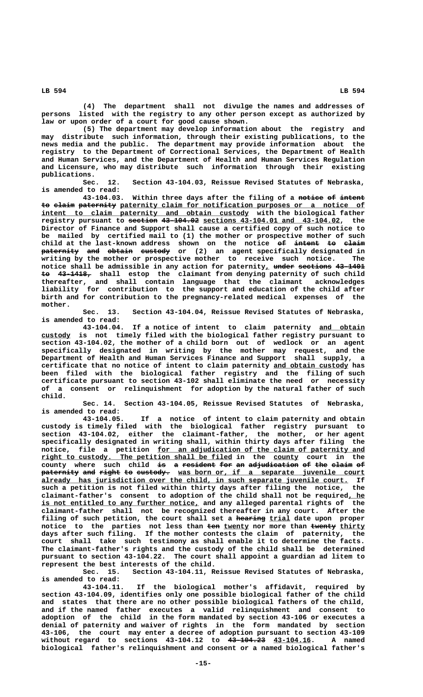**(4) The department shall not divulge the names and addresses of persons listed with the registry to any other person except as authorized by law or upon order of a court for good cause shown.**

**(5) The department may develop information about the registry and may distribute such information, through their existing publications, to the news media and the public. The department may provide information about the registry to the Department of Correctional Services, the Department of Health and Human Services, and the Department of Health and Human Services Regulation and Licensure, who may distribute such information through their existing publications.**

**Sec. 12. Section 43-104.03, Reissue Revised Statutes of Nebraska, is amended to read:**

**43-104.03. Within three days after the filing of a notice of intent —————— —— —————** to elaim paternity paternity claim for notification purposes or a notice of  $\frac{1}{1}$  intent to claim paternity and obtain custody with the biological father **registry pursuant to <del>section</del> 43-104.02 sections 43-104.01 and 43-104.02, the Director of Finance and Support shall cause a certified copy of such notice to be mailed by certified mail to (1) the mother or prospective mother of such** child at the last-known address shown on the notice of intent to claim **paternity and obtain custody** or (2) an agent-specifically-designated in **writing** by the mother or prospective mother to receive such notice. The writing by the mother or prospective mother to receive such notice. notice shall be admissible in any action for paternity<sub>L</sub> under sections 43-1401  **—— ———————— to 43-1418, shall estop the claimant from denying paternity of such child thereafter, and shall contain language that the claimant acknowledges liability for contribution to the support and education of the child after birth and for contribution to the pregnancy-related medical expenses of the mother.**

> **Sec. 13. Section 43-104.04, Reissue Revised Statutes of Nebraska, is amended to read:**

**43-104.04. If a notice of intent to claim paternity and obtain \_\_\_\_\_\_\_\_\_\_\_ \_\_\_\_\_\_\_ custody is not timely filed with the biological father registry pursuant to section 43-104.02, the mother of a child born out of wedlock or an agent specifically designated in writing by the mother may request, and the Department of Health and Human Services Finance and Support shall supply, a** certificate that no notice of intent to claim paternity and obtain custody has **been filed with the biological father registry and the filing of such certificate pursuant to section 43-102 shall eliminate the need or necessity of a consent or relinquishment for adoption by the natural father of such child.**

> **Sec. 14. Section 43-104.05, Reissue Revised Statutes of Nebraska, is amended to read:**

> **43-104.05. If a notice of intent to claim paternity and obtain custody is timely filed with the biological father registry pursuant to section 43-104.02, either the claimant-father, the mother, or her agent specifically designated in writing shall, within thirty days after filing the** notice, file a petition <u>for an adjudication of the claim of paternity and</u>  $right to custody.$  The petition shall be filed in the county court in the county where such child <del>is</del> a <del>resident-for an adjudication of the claim</del> <del>of</del>  $\tt{patternity}$  a<del>nd</del> right to custody. <u>was born or, if a separate juvenile court</u> already has jurisdiction over the child, in such separate juvenile court. If **such a petition is not filed within thirty days after filing the notice, the claimant-father's consent to adoption of the child shall not be required, he \_\_\_\_** is not entitled to any further notice, and any alleged parental rights of the **claimant-father shall not be recognized thereafter in any court. After the** filing of such petition, the court shall set a hearing trial date upon proper notice to the parties not less than ten twenty nor more than twenty thirty **days after such filing. If the mother contests the claim of paternity, the court shall take such testimony as shall enable it to determine the facts. The claimant-father's rights and the custody of the child shall be determined pursuant to section 43-104.22. The court shall appoint a guardian ad litem to represent the best interests of the child.**

> **Sec. 15. Section 43-104.11, Reissue Revised Statutes of Nebraska, is amended to read:**

> **43-104.11. If the biological mother's affidavit, required by section 43-104.09, identifies only one possible biological father of the child and states that there are no other possible biological fathers of the child, and if the named father executes a valid relinquishment and consent to adoption of the child in the form mandated by section 43-106 or executes a denial of paternity and waiver of rights in the form mandated by section 43-106, the court may enter a decree of adoption pursuant to section 43-109 without regard to sections 43-104.12 to 43-104.23 43-104.16. A named ————————— \_\_\_\_\_\_\_\_\_ biological father's relinquishment and consent or a named biological father's**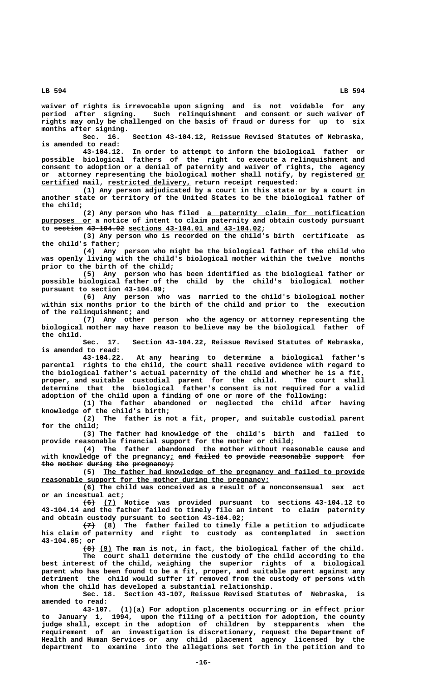**waiver of rights is irrevocable upon signing and is not voidable for any period after signing. Such relinquishment and consent or such waiver of rights may only be challenged on the basis of fraud or duress for up to six months after signing.**

**Sec. 16. Section 43-104.12, Reissue Revised Statutes of Nebraska, is amended to read:**

**43-104.12. In order to attempt to inform the biological father or possible biological fathers of the right to execute a relinquishment and consent to adoption or a denial of paternity and waiver of rights, the agency** or attorney representing the biological mother shall notify, by registered or  **\_\_\_\_\_\_\_\_\_ \_\_\_\_\_\_\_\_\_\_\_\_\_\_\_\_\_\_\_\_ certified mail, restricted delivery, return receipt requested:**

**(1) Any person adjudicated by a court in this state or by a court in another state or territory of the United States to be the biological father of the child;**

 **\_\_\_\_\_\_\_\_\_\_\_\_\_\_\_\_\_\_\_\_\_\_\_\_\_\_\_\_\_\_\_\_\_\_\_\_\_\_ (2) Any person who has filed a paternity claim for notification** purposes or a notice of intent to claim paternity and obtain custody pursuant to section 43-104.02 sections 43-104.01 and 43-104.02;

**(3) Any person who is recorded on the child's birth certificate as the child's father;**

**(4) Any person who might be the biological father of the child who was openly living with the child's biological mother within the twelve months prior to the birth of the child;**

**(5) Any person who has been identified as the biological father or possible biological father of the child by the child's biological mother pursuant to section 43-104.09;**

**(6) Any person who was married to the child's biological mother within six months prior to the birth of the child and prior to the execution of the relinquishment; and**

**(7) Any other person who the agency or attorney representing the biological mother may have reason to believe may be the biological father of** the child.<br>Sec. 17.

Section 43-104.22, Reissue Revised Statutes of Nebraska, **is amended to read:**

**43-104.22. At any hearing to determine a biological father's parental rights to the child, the court shall receive evidence with regard to the biological father's actual paternity of the child and whether he is a fit, proper, and suitable custodial parent for the child. The court shall determine that the biological father's consent is not required for a valid adoption of the child upon a finding of one or more of the following:**

**(1) The father abandoned or neglected the child after having knowledge of the child's birth;**

**(2) The father is not a fit, proper, and suitable custodial parent for the child;**

**(3) The father had knowledge of the child's birth and failed to provide reasonable financial support for the mother or child;**

**(4) The father abandoned the mother without reasonable cause and** with knowledge of the pregnancy; and failed to provide reasonable support for the mother during the pregnancy;

 **\_\_\_\_\_\_\_\_\_\_\_\_\_\_\_\_\_\_\_\_\_\_\_\_\_\_\_\_\_\_\_\_\_\_\_\_\_\_\_\_\_\_\_\_\_\_\_\_\_\_\_\_\_\_\_\_\_\_\_\_\_\_\_ (5) The father had knowledge of the pregnancy and failed to provide \_\_\_\_\_\_\_\_\_\_\_\_\_\_\_\_\_\_\_\_\_\_\_\_\_\_\_\_\_\_\_\_\_\_\_\_\_\_\_\_\_\_\_\_\_\_\_\_\_\_\_\_\_\_\_ reasonable support for the mother during the pregnancy;**

 **\_\_\_ (6) The child was conceived as a result of a nonconsensual sex act or an incestual act;**

 **——— \_\_\_ (6) (7) Notice was provided pursuant to sections 43-104.12 to 43-104.14 and the father failed to timely file an intent to claim paternity and obtain custody pursuant to section 43-104.02;**

 **——— \_\_\_ (7) (8) The father failed to timely file a petition to adjudicate his claim of paternity and right to custody as contemplated in section 43-104.05; or**

 **——— \_\_\_ (8) (9) The man is not, in fact, the biological father of the child. The court shall determine the custody of the child according to the best interest of the child, weighing the superior rights of a biological parent who has been found to be a fit, proper, and suitable parent against any detriment the child would suffer if removed from the custody of persons with whom the child has developed a substantial relationship.**

Sec. 18. Section 43-107, Reissue Revised Statutes of Nebraska, **amended to read:**

**43-107. (1)(a) For adoption placements occurring or in effect prior to January 1, 1994, upon the filing of a petition for adoption, the county judge shall, except in the adoption of children by stepparents when the requirement of an investigation is discretionary, request the Department of Health and Human Services or any child placement agency licensed by the department to examine into the allegations set forth in the petition and to**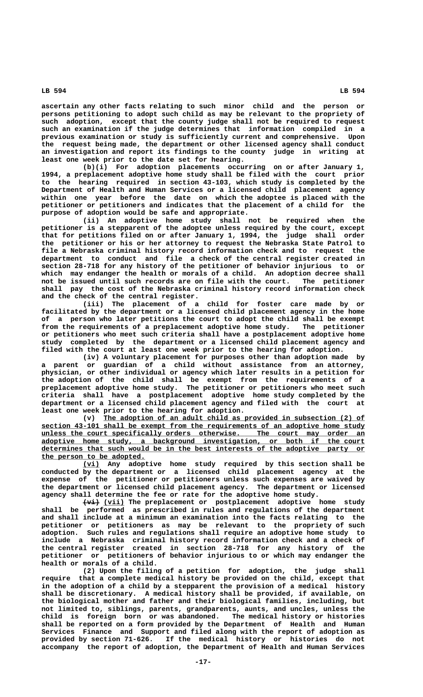**ascertain any other facts relating to such minor child and the person or persons petitioning to adopt such child as may be relevant to the propriety of such adoption, except that the county judge shall not be required to request such an examination if the judge determines that information compiled in a previous examination or study is sufficiently current and comprehensive. Upon the request being made, the department or other licensed agency shall conduct an investigation and report its findings to the county judge in writing at least one week prior to the date set for hearing.**

**(b)(i) For adoption placements occurring on or after January 1, 1994, a preplacement adoptive home study shall be filed with the court prior to the hearing required in section 43-103, which study is completed by the Department of Health and Human Services or a licensed child placement agency within one year before the date on which the adoptee is placed with the petitioner or petitioners and indicates that the placement of a child for the purpose of adoption would be safe and appropriate.**

**(ii) An adoptive home study shall not be required when the petitioner is a stepparent of the adoptee unless required by the court, except that for petitions filed on or after January 1, 1994, the judge shall order the petitioner or his or her attorney to request the Nebraska State Patrol to file a Nebraska criminal history record information check and to request the department to conduct and file a check of the central register created in section 28-718 for any history of the petitioner of behavior injurious to or which may endanger the health or morals of a child. An adoption decree shall not be issued until such records are on file with the court. The petitioner shall pay the cost of the Nebraska criminal history record information check and the check of the central register.**

child for foster care made by or **facilitated by the department or a licensed child placement agency in the home of a person who later petitions the court to adopt the child shall be exempt from the requirements of a preplacement adoptive home study. The petitioner or petitioners who meet such criteria shall have a postplacement adoptive home study completed by the department or a licensed child placement agency and filed with the court at least one week prior to the hearing for adoption.**

**(iv) A voluntary placement for purposes other than adoption made by a parent or guardian of a child without assistance from an attorney, physician, or other individual or agency which later results in a petition for the adoption of the child shall be exempt from the requirements of a preplacement adoptive home study. The petitioner or petitioners who meet such criteria shall have a postplacement adoptive home study completed by the department or a licensed child placement agency and filed with the court at least one week prior to the hearing for adoption.**

 **\_\_\_\_\_\_\_\_\_\_\_\_\_\_\_\_\_\_\_\_\_\_\_\_\_\_\_\_\_\_\_\_\_\_\_\_\_\_\_\_\_\_\_\_\_\_\_\_\_\_\_\_\_\_\_\_\_\_\_\_\_\_\_ (v) The adoption of an adult child as provided in subsection (2) of \_\_\_\_\_\_\_\_\_\_\_\_\_\_\_\_\_\_\_\_\_\_\_\_\_\_\_\_\_\_\_\_\_\_\_\_\_\_\_\_\_\_\_\_\_\_\_\_\_\_\_\_\_\_\_\_\_\_\_\_\_\_\_\_\_\_\_\_\_\_\_\_\_\_\_\_\_\_ section 43-101 shall be exempt from the requirements of an adoptive home study \_\_\_\_\_\_\_\_\_\_\_\_\_\_\_\_\_\_\_\_\_\_\_\_\_\_\_\_\_\_\_\_\_\_\_\_\_\_\_\_\_\_\_\_\_\_\_\_\_\_\_\_\_\_\_\_\_\_\_\_\_\_\_\_\_\_\_\_\_\_\_\_\_\_\_\_\_\_ unless the court specifically orders otherwise. The court may order an \_\_\_\_\_\_\_\_\_\_\_\_\_\_\_\_\_\_\_\_\_\_\_\_\_\_\_\_\_\_\_\_\_\_\_\_\_\_\_\_\_\_\_\_\_\_\_\_\_\_\_\_\_\_\_\_\_\_\_\_\_\_\_\_\_\_\_\_\_\_\_\_\_\_\_\_\_\_ adoptive home study, a background investigation, or both if the court \_\_\_\_\_\_\_\_\_\_\_\_\_\_\_\_\_\_\_\_\_\_\_\_\_\_\_\_\_\_\_\_\_\_\_\_\_\_\_\_\_\_\_\_\_\_\_\_\_\_\_\_\_\_\_\_\_\_\_\_\_\_\_\_\_\_\_\_\_\_\_\_\_\_\_\_\_\_ determines that such would be in the best interests of the adoptive party or \_\_\_\_\_\_\_\_\_\_\_\_\_\_\_\_\_\_\_\_\_\_\_\_\_ the person to be adopted.**

 **\_\_\_\_ (vi) Any adoptive home study required by this section shall be conducted by the department or a licensed child placement agency at the expense of the petitioner or petitioners unless such expenses are waived by the department or licensed child placement agency. The department or licensed agency shall determine the fee or rate for the adoptive home study.**

 **+++** (vii) The preplacement or postplacement adoptive home study shall be performed as prescribed in rules and regulations of the department **shall be performed as prescribed in rules and regulations of the department and shall include at a minimum an examination into the facts relating to the petitioner or petitioners as may be relevant to the propriety of such adoption. Such rules and regulations shall require an adoptive home study to include a Nebraska criminal history record information check and a check of the central register created in section 28-718 for any history of the petitioner or petitioners of behavior injurious to or which may endanger the health or morals of a child.**

**(2) Upon the filing of a petition for adoption, the judge shall require that a complete medical history be provided on the child, except that in the adoption of a child by a stepparent the provision of a medical history shall be discretionary. A medical history shall be provided, if available, on the biological mother and father and their biological families, including, but not limited to, siblings, parents, grandparents, aunts, and uncles, unless the child is foreign born or was abandoned. The medical history or histories shall be reported on a form provided by the Department of Health and Human Services Finance and Support and filed along with the report of adoption as provided by section 71-626. If the medical history or histories do not accompany the report of adoption, the Department of Health and Human Services**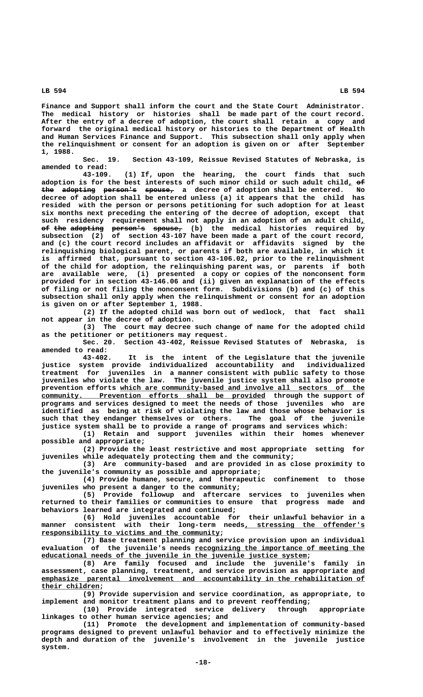**Finance and Support shall inform the court and the State Court Administrator. The medical history or histories shall be made part of the court record. After the entry of a decree of adoption, the court shall retain a copy and forward the original medical history or histories to the Department of Health and Human Services Finance and Support. This subsection shall only apply when the relinquishment or consent for an adoption is given on or after September 1, 1988.**

**Sec. 19. Section 43-109, Reissue Revised Statutes of Nebraska, is amended to read:**

**43-109. (1) If, upon the hearing, the court finds that such adoption is for the best interests of such minor child or such adult child, of \_ — the adopting person's spouse,** a decree of adoption shall be entered. No decree of adoption shall be entered unless (a) it appears that the child has **decree of adoption shall be entered unless (a) it appears that the child has resided with the person or persons petitioning for such adoption for at least six months next preceding the entering of the decree of adoption, except that** such residency requirement shall not apply in an adoption of an adult child<sub>L</sub> **of the adopting person's spouse, (b) the medical histories required by —— ——— ———————— ———————— —————— subsection (2) of section 43-107 have been made a part of the court record, and (c) the court record includes an affidavit or affidavits signed by the relinquishing biological parent, or parents if both are available, in which it is affirmed that, pursuant to section 43-106.02, prior to the relinquishment of the child for adoption, the relinquishing parent was, or parents if both are available were, (i) presented a copy or copies of the nonconsent form provided for in section 43-146.06 and (ii) given an explanation of the effects of filing or not filing the nonconsent form. Subdivisions (b) and (c) of this subsection shall only apply when the relinquishment or consent for an adoption is given on or after September 1, 1988.**

**(2) If the adopted child was born out of wedlock, that fact shall not appear in the decree of adoption.**

**(3) The court may decree such change of name for the adopted child as the petitioner or petitioners may request.**

**Sec. 20. Section 43-402, Reissue Revised Statutes of Nebraska, is amended to read:**

**43-402. It is the intent of the Legislature that the juvenile justice system provide individualized accountability and individualized treatment for juveniles in a manner consistent with public safety to those juveniles who violate the law. The juvenile justice system shall also promote** prevention efforts which are community-based and involve all sectors of the  **\_\_\_\_\_\_\_\_\_\_\_\_\_\_\_\_\_\_\_\_\_\_\_\_\_\_\_\_\_\_\_\_\_\_\_\_\_\_\_\_\_\_\_\_\_\_\_\_\_\_\_\_\_\_ community. Prevention efforts shall be provided through the support of programs and services designed to meet the needs of those juveniles who are identified as being at risk of violating the law and those whose behavior is such that they endanger themselves or others. The goal of the juvenile justice system shall be to provide a range of programs and services which:**

**(1) Retain and support juveniles within their homes whenever possible and appropriate;**

**(2) Provide the least restrictive and most appropriate setting for juveniles while adequately protecting them and the community;**

**(3) Are community-based and are provided in as close proximity to the juvenile's community as possible and appropriate;**

**(4) Provide humane, secure, and therapeutic confinement to those juveniles who present a danger to the community;**

**(5) Provide followup and aftercare services to juveniles when returned to their families or communities to ensure that progress made and behaviors learned are integrated and continued;**

**(6) Hold juveniles accountable for their unlawful behavior in a manner consistent with their long-term needs, stressing the offender's \_\_\_\_\_\_\_\_\_\_\_\_\_\_\_\_\_\_\_\_\_\_\_\_\_\_\_\_\_ \_\_\_\_\_\_\_\_\_\_\_\_\_\_\_\_\_\_\_\_\_\_\_\_\_\_\_\_\_\_\_\_\_\_\_\_\_\_\_\_\_\_\_ responsibility to victims and the community;**

**(7) Base treatment planning and service provision upon an individual \_\_\_\_\_\_\_\_\_\_\_\_\_\_\_\_\_\_\_\_\_\_\_\_\_\_\_\_\_\_\_\_\_\_\_\_\_\_\_\_\_ evaluation of the juvenile's needs recognizing the importance of meeting the \_\_\_\_\_\_\_\_\_\_\_\_\_\_\_\_\_\_\_\_\_\_\_\_\_\_\_\_\_\_\_\_\_\_\_\_\_\_\_\_\_\_\_\_\_\_\_\_\_\_\_\_\_\_\_\_\_\_\_\_\_\_\_\_ educational needs of the juvenile in the juvenile justice system;**

**(8) Are family focused and include the juvenile's family in assessment, case planning, treatment, and service provision as appropriate and \_\_\_ \_\_\_\_\_\_\_\_\_\_\_\_\_\_\_\_\_\_\_\_\_\_\_\_\_\_\_\_\_\_\_\_\_\_\_\_\_\_\_\_\_\_\_\_\_\_\_\_\_\_\_\_\_\_\_\_\_\_\_\_\_\_\_\_\_\_\_\_\_\_\_\_\_\_\_\_\_\_ emphasize parental involvement and accountability in the rehabilitation of their children; \_\_\_\_\_\_\_\_\_\_\_\_\_\_**

**(9) Provide supervision and service coordination, as appropriate, to implement and monitor treatment plans and to prevent reoffending;**

**(10) Provide integrated service delivery through appropriate linkages to other human service agencies; and**

**(11) Promote the development and implementation of community-based programs designed to prevent unlawful behavior and to effectively minimize the depth and duration of the juvenile's involvement in the juvenile justice system.**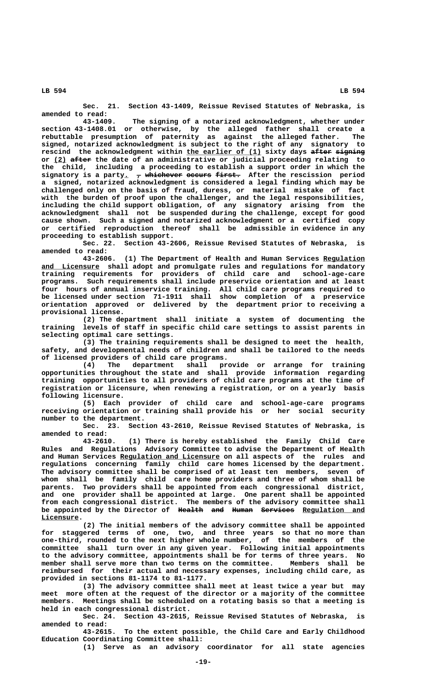**Sec. 21. Section 43-1409, Reissue Revised Statutes of Nebraska, is amended to read:**

**43-1409. The signing of a notarized acknowledgment, whether under section 43-1408.01 or otherwise, by the alleged father shall create a rebuttable presumption of paternity as against the alleged father. The signed, notarized acknowledgment is subject to the right of any signatory to \_\_\_\_\_\_\_\_\_\_\_\_\_\_\_\_\_\_ ————— ——————— rescind the acknowledgment within the earlier of (1) sixty days after signing \_\_\_ ————— or (2) after the date of an administrative or judicial proceeding relating to the child, including a proceeding to establish a support order in which the** signatory is a party<sub>1</sub>  $\tau$  whichever occurs first. After the rescission period **a signed, notarized acknowledgment is considered a legal finding which may be challenged only on the basis of fraud, duress, or material mistake of fact with the burden of proof upon the challenger, and the legal responsibilities, including the child support obligation, of any signatory arising from the acknowledgment shall not be suspended during the challenge, except for good cause shown. Such a signed and notarized acknowledgment or a certified copy or certified reproduction thereof shall be admissible in evidence in any proceeding to establish support.**

**Sec. 22. Section 43-2606, Reissue Revised Statutes of Nebraska, is amended to read:**

**43-2606. (1) The Department of Health and Human Services Regulation \_\_\_\_\_\_\_\_\_\_ \_\_\_\_\_\_\_\_\_\_\_\_\_\_ and Licensure shall adopt and promulgate rules and regulations for mandatory training requirements for providers of child care and school-age-care programs. Such requirements shall include preservice orientation and at least four hours of annual inservice training. All child care programs required to be licensed under section 71-1911 shall show completion of a preservice orientation approved or delivered by the department prior to receiving a provisional license.**

**(2) The department shall initiate a system of documenting the training levels of staff in specific child care settings to assist parents in selecting optimal care settings.**

**(3) The training requirements shall be designed to meet the health, safety, and developmental needs of children and shall be tailored to the needs of licensed providers of child care programs.**

**(4) The department shall provide or arrange for training opportunities throughout the state and shall provide information regarding training opportunities to all providers of child care programs at the time of registration or licensure, when renewing a registration, or on a yearly basis following licensure.**

**(5) Each provider of child care and school-age-care programs receiving orientation or training shall provide his or her social security number to the department.**

**Sec. 23. Section 43-2610, Reissue Revised Statutes of Nebraska, is amended to read:**

**43-2610. (1) There is hereby established the Family Child Care Rules and Regulations Advisory Committee to advise the Department of Health \_\_\_\_\_\_\_\_\_\_\_\_\_\_\_\_\_\_\_\_\_\_\_\_ and Human Services Regulation and Licensure on all aspects of the rules and regulations concerning family child care homes licensed by the department. The advisory committee shall be comprised of at least ten members, seven of whom shall be family child care home providers and three of whom shall be parents. Two providers shall be appointed from each congressional district, and one provider shall be appointed at large. One parent shall be appointed from each congressional district. The members of the advisory committee shall** be appointed by the Director of Health and Human Services Regulation and  **Licensure. \_\_\_\_\_\_\_\_\_**

**(2) The initial members of the advisory committee shall be appointed for staggered terms of one, two, and three years so that no more than one-third, rounded to the next higher whole number, of the members of the committee shall turn over in any given year. Following initial appointments to the advisory committee, appointments shall be for terms of three years. No member shall serve more than two terms on the committee. Members shall be reimbursed for their actual and necessary expenses, including child care, as provided in sections 81-1174 to 81-1177.**

**(3) The advisory committee shall meet at least twice a year but may meet more often at the request of the director or a majority of the committee members. Meetings shall be scheduled on a rotating basis so that a meeting is held in each congressional district.**

**Sec. 24. Section 43-2615, Reissue Revised Statutes of Nebraska, is amended to read:**

**43-2615. To the extent possible, the Child Care and Early Childhood Education Coordinating Committee shall:**

**(1) Serve as an advisory coordinator for all state agencies**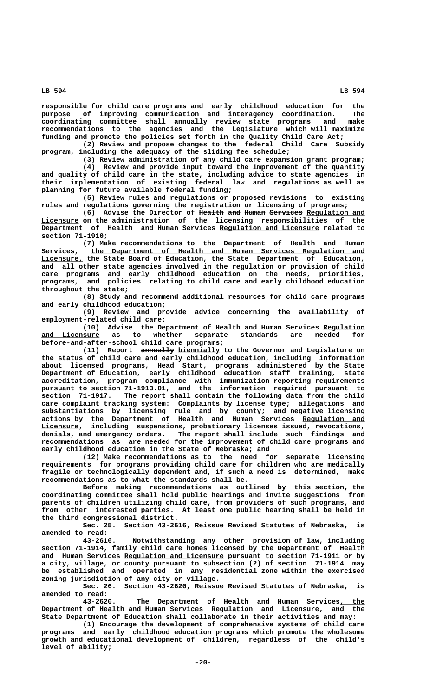**responsible for child care programs and early childhood education for the** purpose of improving communication and interagency coordination. **coordinating committee shall annually review state programs and make recommendations to the agencies and the Legislature which will maximize funding and promote the policies set forth in the Quality Child Care Act;**

**(2) Review and propose changes to the federal Child Care Subsidy program, including the adequacy of the sliding fee schedule;**

**(3) Review administration of any child care expansion grant program; (4) Review and provide input toward the improvement of the quantity and quality of child care in the state, including advice to state agencies in their implementation of existing federal law and regulations as well as planning for future available federal funding;**

**(5) Review rules and regulations or proposed revisions to existing rules and regulations governing the registration or licensing of programs;**

**(6)** Advise the Director of <del>Health and Human Services</del> Regulation and  **\_\_\_\_\_\_\_\_\_ Licensure on the administration of the licensing responsibilities of the \_\_\_\_\_\_\_\_\_\_\_\_\_\_\_\_\_\_\_\_\_\_\_\_ Department of Health and Human Services Regulation and Licensure related to section 71-1910;**

**(7) Make recommendations to the Department of Health and Human \_\_\_\_\_\_\_\_\_\_\_\_\_\_\_\_\_\_\_\_\_\_\_\_\_\_\_\_\_\_\_\_\_\_\_\_\_\_\_\_\_\_\_\_\_\_\_\_\_\_\_\_\_\_\_\_\_\_\_\_\_\_\_\_\_\_ Services, the Department of Health and Human Services Regulation and \_\_\_\_\_\_\_\_\_\_ Licensure, the State Board of Education, the State Department of Education, and all other state agencies involved in the regulation or provision of child care programs and early childhood education on the needs, priorities, programs, and policies relating to child care and early childhood education throughout the state;**

**(8) Study and recommend additional resources for child care programs and early childhood education;**

**(9) Review and provide advice concerning the availability of employment-related child care;**

(10) Advise the Department of Health and Human Services <u>Regulation</u><br>nsure as to whether separate standards are needed for and Licensure as to whether separate standards are needed **before-and-after-school child care programs;**

**(11)** Report annually biennially to the Governor and Legislature on **the status of child care and early childhood education, including information about licensed programs, Head Start, programs administered by the State Department of Education, early childhood education staff training, state accreditation, program compliance with immunization reporting requirements pursuant to section 71-1913.01, and the information required pursuant to section 71-1917. The report shall contain the following data from the child care complaint tracking system: Complaints by license type; allegations and substantiations by licensing rule and by county; and negative licensing actions by the Department of Health and Human Services Regulation and \_\_\_\_\_\_\_\_\_\_\_\_\_\_\_ \_\_\_\_\_\_\_\_\_ Licensure, including suspensions, probationary licenses issued, revocations, denials, and emergency orders. The report shall include such findings and recommendations as are needed for the improvement of child care programs and early childhood education in the State of Nebraska; and**

**(12) Make recommendations as to the need for separate licensing requirements for programs providing child care for children who are medically fragile or technologically dependent and, if such a need is determined, make recommendations as to what the standards shall be.**

**Before making recommendations as outlined by this section, the coordinating committee shall hold public hearings and invite suggestions from parents of children utilizing child care, from providers of such programs, and from other interested parties. At least one public hearing shall be held in the third congressional district.**

**Sec. 25. Section 43-2616, Reissue Revised Statutes of Nebraska, is amended to read:**

**43-2616. Notwithstanding any other provision of law, including section 71-1914, family child care homes licensed by the Department of Health \_\_\_\_\_\_\_\_\_\_\_\_\_\_\_\_\_\_\_\_\_\_\_\_ and Human Services Regulation and Licensure pursuant to section 71-1911 or by a city, village, or county pursuant to subsection (2) of section 71-1914 may be established and operated in any residential zone within the exercised zoning jurisdiction of any city or village.**

**Sec. 26. Section 43-2620, Reissue Revised Statutes of Nebraska, is amended to read:**

**43-2620. The Department of Health and Human Services, the \_\_\_\_\_\_ \_\_\_\_\_\_\_\_\_\_\_\_\_\_\_\_\_\_\_\_\_\_\_\_\_\_\_\_\_\_\_\_\_\_\_\_\_\_\_\_\_\_\_\_\_\_\_\_\_\_\_\_\_\_\_\_\_\_\_\_\_\_\_\_\_\_\_\_ Department of Health and Human Services Regulation and Licensure, and the State Department of Education shall collaborate in their activities and may:**

**(1) Encourage the development of comprehensive systems of child care programs and early childhood education programs which promote the wholesome growth and educational development of children, regardless of the child's level of ability;**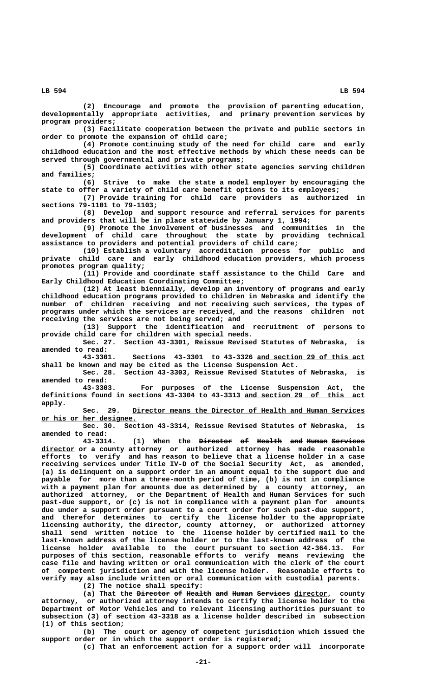**(2) Encourage and promote the provision of parenting education, developmentally appropriate activities, and primary prevention services by program providers;**

**(3) Facilitate cooperation between the private and public sectors in order to promote the expansion of child care;**

**(4) Promote continuing study of the need for child care and early childhood education and the most effective methods by which these needs can be served through governmental and private programs;**

**(5) Coordinate activities with other state agencies serving children and families;**

**(6) Strive to make the state a model employer by encouraging the state to offer a variety of child care benefit options to its employees;**

**(7) Provide training for child care providers as authorized in sections 79-1101 to 79-1103;**

**(8) Develop and support resource and referral services for parents and providers that will be in place statewide by January 1, 1994;**

**(9) Promote the involvement of businesses and communities in the development of child care throughout the state by providing technical assistance to providers and potential providers of child care;**

**(10) Establish a voluntary accreditation process for public and private child care and early childhood education providers, which process promotes program quality;**

**(11) Provide and coordinate staff assistance to the Child Care and Early Childhood Education Coordinating Committee;**

**(12) At least biennially, develop an inventory of programs and early childhood education programs provided to children in Nebraska and identify the number of children receiving and not receiving such services, the types of programs under which the services are received, and the reasons children not receiving the services are not being served; and**

**(13) Support the identification and recruitment of persons to provide child care for children with special needs.**

**Sec. 27. Section 43-3301, Reissue Revised Statutes of Nebraska, is amended to read:**

**43-3301. Sections 43-3301 to 43-3326 and section 29 of this act \_\_\_\_\_\_\_\_\_\_\_\_\_\_\_\_\_\_\_\_\_\_\_\_\_\_ shall be known and may be cited as the License Suspension Act.**

**Sec. 28. Section 43-3303, Reissue Revised Statutes of Nebraska, is amended to read:**

**43-3303. For purposes of the License Suspension Act, the definitions found in sections 43-3304 to 43-3313 and section 29 of this act \_\_\_\_\_\_\_\_\_\_\_\_\_\_\_\_\_\_\_\_\_\_\_\_\_\_\_\_\_ apply.**

 **\_\_\_\_\_\_\_\_\_\_\_\_\_\_\_\_\_\_\_\_\_\_\_\_\_\_\_\_\_\_\_\_\_\_\_\_\_\_\_\_\_\_\_\_\_\_\_\_\_\_\_\_\_\_\_\_ Sec. 29. Director means the Director of Health and Human Services \_\_\_\_\_\_\_\_\_\_\_\_\_\_\_\_\_\_\_\_\_\_\_ or his or her designee.**

**Sec. 30. Section 43-3314, Reissue Revised Statutes of Nebraska, is amended to read:**

**43-3314. (1) When the Director of Health and Human Services ———————— —— —————— ——— ————— ———————— \_\_\_\_\_\_\_\_ director or a county attorney or authorized attorney has made reasonable efforts to verify and has reason to believe that a license holder in a case receiving services under Title IV-D of the Social Security Act, as amended, (a) is delinquent on a support order in an amount equal to the support due and payable for more than a three-month period of time, (b) is not in compliance with a payment plan for amounts due as determined by a county attorney, an authorized attorney, or the Department of Health and Human Services for such past-due support, or (c) is not in compliance with a payment plan for amounts due under a support order pursuant to a court order for such past-due support, and therefor determines to certify the license holder to the appropriate licensing authority, the director, county attorney, or authorized attorney shall send written notice to the license holder by certified mail to the last-known address of the license holder or to the last-known address of the license holder available to the court pursuant to section 42-364.13. For purposes of this section, reasonable efforts to verify means reviewing the case file and having written or oral communication with the clerk of the court of competent jurisdiction and with the license holder. Reasonable efforts to verify may also include written or oral communication with custodial parents.**

**(2) The notice shall specify:**

(a) That the <del>Director</del> of Health and Human Services director, county **attorney, or authorized attorney intends to certify the license holder to the Department of Motor Vehicles and to relevant licensing authorities pursuant to subsection (3) of section 43-3318 as a license holder described in subsection (1) of this section;**

**(b) The court or agency of competent jurisdiction which issued the support order or in which the support order is registered;**

**(c) That an enforcement action for a support order will incorporate**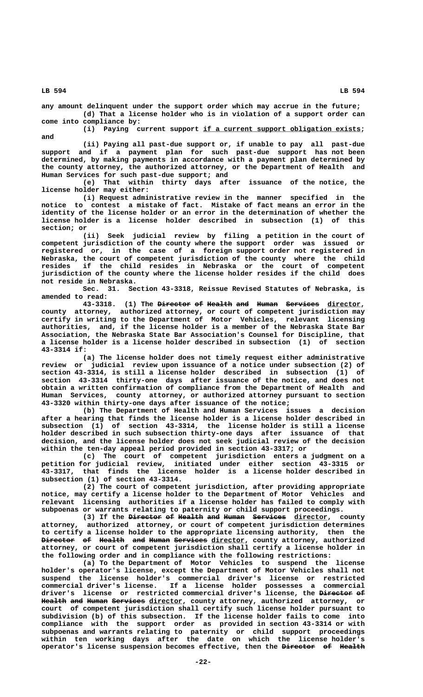**any amount delinquent under the support order which may accrue in the future; (d) That a license holder who is in violation of a support order can come into compliance by:**

 **\_\_\_\_\_\_\_\_\_\_\_\_\_\_\_\_\_\_\_\_\_\_\_\_\_\_\_\_\_\_\_\_\_\_\_\_\_\_ (i) Paying current support if a current support obligation exists; and**

**(ii) Paying all past-due support or, if unable to pay all past-due support and if a payment plan for such past-due support has not been determined, by making payments in accordance with a payment plan determined by the county attorney, the authorized attorney, or the Department of Health and Human Services for such past-due support; and**

**(e) That within thirty days after issuance of the notice, the license holder may either:**

**(i) Request administrative review in the manner specified in the notice to contest a mistake of fact. Mistake of fact means an error in the identity of the license holder or an error in the determination of whether the license holder is a license holder described in subsection (1) of this section; or**

**(ii) Seek judicial review by filing a petition in the court of competent jurisdiction of the county where the support order was issued or registered or, in the case of a foreign support order not registered in Nebraska, the court of competent jurisdiction of the county where the child resides if the child resides in Nebraska or the court of competent jurisdiction of the county where the license holder resides if the child does not reside in Nebraska.**

**Sec. 31. Section 43-3318, Reissue Revised Statutes of Nebraska, is amended to read:**

**43-3318. (1) The Director of Health and Human Services director, ———————— —— —————— ——— ————— ———————— \_\_\_\_\_\_\_\_ county attorney, authorized attorney, or court of competent jurisdiction may certify in writing to the Department of Motor Vehicles, relevant licensing authorities, and, if the license holder is a member of the Nebraska State Bar Association, the Nebraska State Bar Association's Counsel for Discipline, that a license holder is a license holder described in subsection (1) of section 43-3314 if:**

**(a) The license holder does not timely request either administrative review or judicial review upon issuance of a notice under subsection (2) of section 43-3314, is still a license holder described in subsection (1) of section 43-3314 thirty-one days after issuance of the notice, and does not obtain a written confirmation of compliance from the Department of Health and Human Services, county attorney, or authorized attorney pursuant to section 43-3320 within thirty-one days after issuance of the notice;**

**(b) The Department of Health and Human Services issues a decision after a hearing that finds the license holder is a license holder described in subsection (1) of section 43-3314, the license holder is still a license holder described in such subsection thirty-one days after issuance of that decision, and the license holder does not seek judicial review of the decision within the ten-day appeal period provided in section 43-3317; or**

**(c) The court of competent jurisdiction enters a judgment on a petition for judicial review, initiated under either section 43-3315 or 43-3317, that finds the license holder is a license holder described in subsection (1) of section 43-3314.**

**(2) The court of competent jurisdiction, after providing appropriate notice, may certify a license holder to the Department of Motor Vehicles and relevant licensing authorities if a license holder has failed to comply with subpoenas or warrants relating to paternity or child support proceedings.**

**(3) If the <del>Director</del> of Health and Human Services director, county attorney, authorized attorney, or court of competent jurisdiction determines to certify a license holder to the appropriate licensing authority, then the Director of Health and Human Services director, county attorney, authorized ———————— —— —————— ——— ————— ———————— \_\_\_\_\_\_\_\_ attorney, or court of competent jurisdiction shall certify a license holder in the following order and in compliance with the following restrictions:**

**(a) To the Department of Motor Vehicles to suspend the license holder's operator's license, except the Department of Motor Vehicles shall not suspend the license holder's commercial driver's license or restricted commercial driver's license. If a license holder possesses a commercial** driver's license or restricted commercial driver's license, the <del>Director</del> <del>of</del> Health and Human Services director, county attorney, authorized attorney, or **court of competent jurisdiction shall certify such license holder pursuant to subdivision (b) of this subsection. If the license holder fails to come into compliance with the support order as provided in section 43-3314 or with subpoenas and warrants relating to paternity or child support proceedings within ten working days after the date on which the license holder's** operator's license suspension becomes effective, then the Director of Health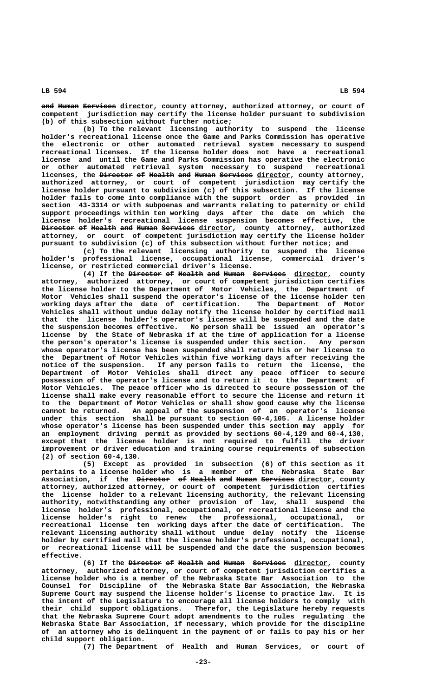and Human Services director, county attorney, authorized attorney, or court of **competent jurisdiction may certify the license holder pursuant to subdivision (b) of this subsection without further notice;**

**(b) To the relevant licensing authority to suspend the license holder's recreational license once the Game and Parks Commission has operative the electronic or other automated retrieval system necessary to suspend recreational licenses. If the license holder does not have a recreational license and until the Game and Parks Commission has operative the electronic or other automated retrieval system necessary to suspend recreational licenses, the <del>Director</del> of Health and Human Services director, county attorney, authorized attorney, or court of competent jurisdiction may certify the license holder pursuant to subdivision (c) of this subsection. If the license holder fails to come into compliance with the support order as provided in section 43-3314 or with subpoenas and warrants relating to paternity or child support proceedings within ten working days after the date on which the** license holder's recreational license suspension becomes effective, **Director of Health and Human Services director, county attorney, authorized ———————— —— —————— ——— ————— ———————— \_\_\_\_\_\_\_\_ attorney, or court of competent jurisdiction may certify the license holder pursuant to subdivision (c) of this subsection without further notice; and**

**(c) To the relevant licensing authority to suspend the license holder's professional license, occupational license, commercial driver's license, or restricted commercial driver's license.**

(4) If the <del>Director</del> of Health and Human Services director, county **attorney, authorized attorney, or court of competent jurisdiction certifies the license holder to the Department of Motor Vehicles, the Department of Motor Vehicles shall suspend the operator's license of the license holder ten working days after the date of certification. The Department of Motor Vehicles shall without undue delay notify the license holder by certified mail that the license holder's operator's license will be suspended and the date the suspension becomes effective. No person shall be issued an operator's license by the State of Nebraska if at the time of application for a license the person's operator's license is suspended under this section. Any person whose operator's license has been suspended shall return his or her license to the Department of Motor Vehicles within five working days after receiving the notice of the suspension. If any person fails to return the license, the Department of Motor Vehicles shall direct any peace officer to secure possession of the operator's license and to return it to the Department of Motor Vehicles. The peace officer who is directed to secure possession of the license shall make every reasonable effort to secure the license and return it to the Department of Motor Vehicles or shall show good cause why the license cannot be returned. An appeal of the suspension of an operator's license under this section shall be pursuant to section 60-4,105. A license holder whose operator's license has been suspended under this section may apply for an employment driving permit as provided by sections 60-4,129 and 60-4,130, except that the license holder is not required to fulfill the driver improvement or driver education and training course requirements of subsection (2) of section 60-4,130.**

**(5) Except as provided in subsection (6) of this section as it pertains to a license holder who is a member of the Nebraska State Bar Association, if the Director of Health and Human Services director, county ———————— —— —————— ——— ————— ———————— \_\_\_\_\_\_\_\_ attorney, authorized attorney, or court of competent jurisdiction certifies the license holder to a relevant licensing authority, the relevant licensing authority, notwithstanding any other provision of law, shall suspend the license holder's professional, occupational, or recreational license and the license holder's right to renew the professional, occupational, or recreational license ten working days after the date of certification. The relevant licensing authority shall without undue delay notify the license holder by certified mail that the license holder's professional, occupational, or recreational license will be suspended and the date the suspension becomes effective.**

**(6)** If the **Director of Health and Human** Services director, county **attorney, authorized attorney, or court of competent jurisdiction certifies a license holder who is a member of the Nebraska State Bar Association to the Counsel for Discipline of the Nebraska State Bar Association, the Nebraska Supreme Court may suspend the license holder's license to practice law. It is the intent of the Legislature to encourage all license holders to comply with their child support obligations. Therefor, the Legislature hereby requests that the Nebraska Supreme Court adopt amendments to the rules regulating the Nebraska State Bar Association, if necessary, which provide for the discipline of an attorney who is delinquent in the payment of or fails to pay his or her child support obligation.**

**(7) The Department of Health and Human Services, or court of**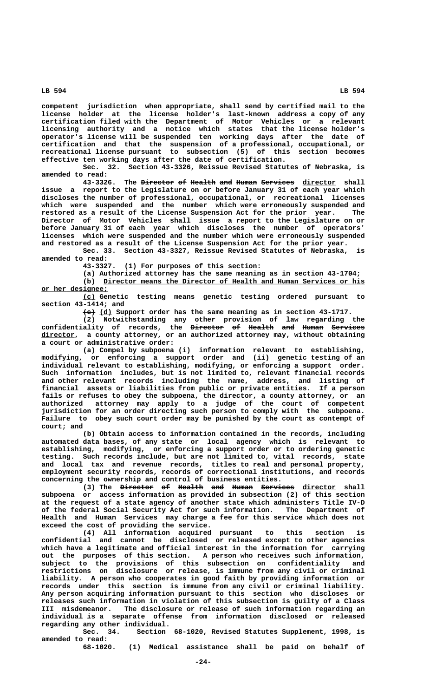**competent jurisdiction when appropriate, shall send by certified mail to the license holder at the license holder's last-known address a copy of any certification filed with the Department of Motor Vehicles or a relevant licensing authority and a notice which states that the license holder's operator's license will be suspended ten working days after the date of certification and that the suspension of a professional, occupational, or recreational license pursuant to subsection (5) of this section becomes effective ten working days after the date of certification.**

**Sec. 32. Section 43-3326, Reissue Revised Statutes of Nebraska, is amended to read:**

**43-3326.** The Director of Health and Human Services director shall **issue a report to the Legislature on or before January 31 of each year which discloses the number of professional, occupational, or recreational licenses which were suspended and the number which were erroneously suspended and restored as a result of the License Suspension Act for the prior year. The Director of Motor Vehicles shall issue a report to the Legislature on or before January 31 of each year which discloses the number of operators' licenses which were suspended and the number which were erroneously suspended and restored as a result of the License Suspension Act for the prior year.**

Sec. 33. Section 43-3327, Reissue Revised Statutes of Nebraska, **amended to read:**

**43-3327. (1) For purposes of this section:**

**(a) Authorized attorney has the same meaning as in section 43-1704; \_\_\_\_\_\_\_\_\_\_\_\_\_\_\_\_\_\_\_\_\_\_\_\_\_\_\_\_\_\_\_\_\_\_\_\_\_\_\_\_\_\_\_\_\_\_\_\_\_\_\_\_\_\_\_\_\_\_\_\_\_\_\_ (b) Director means the Director of Health and Human Services or his**

 **\_\_\_\_\_\_\_\_\_\_\_\_\_\_\_\_ or her designee; \_\_\_ (c) Genetic testing means genetic testing ordered pursuant to section 43-1414; and**

 $\leftarrow$  (d) Support order has the same meaning as in section 43-1717.

**(2) Notwithstanding any other provision of law regarding the confidentiality of records, the Director of Health and Human Services ———————— —— —————— ——— ————— ———————— \_\_\_\_\_\_\_\_ director, a county attorney, or an authorized attorney may, without obtaining a court or administrative order:**

> **(a) Compel by subpoena (i) information relevant to establishing, modifying, or enforcing a support order and (ii) genetic testing of an individual relevant to establishing, modifying, or enforcing a support order. Such information includes, but is not limited to, relevant financial records and other relevant records including the name, address, and listing of financial assets or liabilities from public or private entities. If a person fails or refuses to obey the subpoena, the director, a county attorney, or an authorized attorney may apply to a judge of the court of competent jurisdiction for an order directing such person to comply with the subpoena. Failure to obey such court order may be punished by the court as contempt of court; and**

> **(b) Obtain access to information contained in the records, including automated data bases, of any state or local agency which is relevant to establishing, modifying, or enforcing a support order or to ordering genetic testing. Such records include, but are not limited to, vital records, state and local tax and revenue records, titles to real and personal property, employment security records, records of correctional institutions, and records concerning the ownership and control of business entities.**

> (3) The <del>Director</del> <del>of Health and Human Services</del> director shall **subpoena or access information as provided in subsection (2) of this section at the request of a state agency of another state which administers Title IV-D of the federal Social Security Act for such information. The Department of Health and Human Services may charge a fee for this service which does not exceed the cost of providing the service.**

> **(4) All information acquired pursuant to this section is confidential and cannot be disclosed or released except to other agencies which have a legitimate and official interest in the information for carrying out the purposes of this section. A person who receives such information, subject to the provisions of this subsection on confidentiality and restrictions on disclosure or release, is immune from any civil or criminal liability. A person who cooperates in good faith by providing information or records under this section is immune from any civil or criminal liability. Any person acquiring information pursuant to this section who discloses or releases such information in violation of this subsection is guilty of a Class III misdemeanor. The disclosure or release of such information regarding an individual is a separate offense from information disclosed or released regarding any other individual.**

> **Sec. 34. Section 68-1020, Revised Statutes Supplement, 1998, is amended to read:**

**68-1020. (1) Medical assistance shall be paid on behalf of**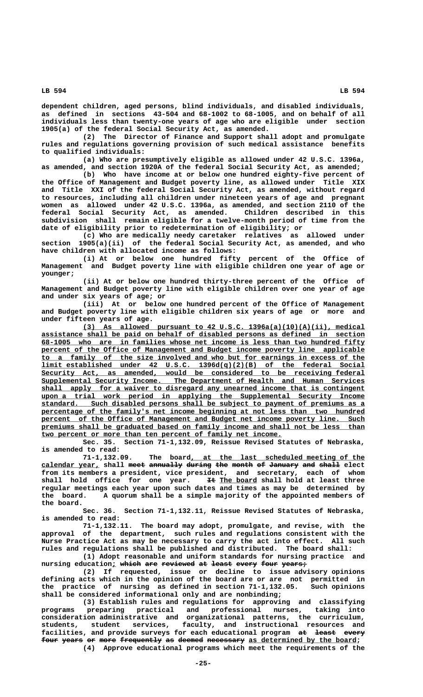**dependent children, aged persons, blind individuals, and disabled individuals, as defined in sections 43-504 and 68-1002 to 68-1005, and on behalf of all individuals less than twenty-one years of age who are eligible under section**

**1905(a) of the federal Social Security Act, as amended. (2) The Director of Finance and Support shall adopt and promulgate rules and regulations governing provision of such medical assistance benefits to qualified individuals:**

**(a) Who are presumptively eligible as allowed under 42 U.S.C. 1396a, as amended, and section 1920A of the federal Social Security Act, as amended;**

**(b) Who have income at or below one hundred eighty-five percent of the Office of Management and Budget poverty line, as allowed under Title XIX and Title XXI of the federal Social Security Act, as amended, without regard to resources, including all children under nineteen years of age and pregnant women as allowed under 42 U.S.C. 1396a, as amended, and section 2110 of the federal Social Security Act, as amended. Children described in this subdivision shall remain eligible for a twelve-month period of time from the date of eligibility prior to redetermination of eligibility; or**

**(c) Who are medically needy caretaker relatives as allowed under section 1905(a)(ii) of the federal Social Security Act, as amended, and who have children with allocated income as follows:**

**(i) At or below one hundred fifty percent of the Office of Management and Budget poverty line with eligible children one year of age or younger;**

**(ii) At or below one hundred thirty-three percent of the Office of Management and Budget poverty line with eligible children over one year of age and under six years of age; or**

**(iii) At or below one hundred percent of the Office of Management and Budget poverty line with eligible children six years of age or more and under fifteen years of age.**

 **\_\_\_\_\_\_\_\_\_\_\_\_\_\_\_\_\_\_\_\_\_\_\_\_\_\_\_\_\_\_\_\_\_\_\_\_\_\_\_\_\_\_\_\_\_\_\_\_\_\_\_\_\_\_\_\_\_\_\_\_\_\_\_\_\_\_\_\_ (3) As allowed pursuant to 42 U.S.C. 1396a(a)(10)(A)(ii), medical \_\_\_\_\_\_\_\_\_\_\_\_\_\_\_\_\_\_\_\_\_\_\_\_\_\_\_\_\_\_\_\_\_\_\_\_\_\_\_\_\_\_\_\_\_\_\_\_\_\_\_\_\_\_\_\_\_\_\_\_\_\_\_\_\_\_\_\_\_\_\_\_\_\_\_\_\_\_ assistance shall be paid on behalf of disabled persons as defined in section \_\_\_\_\_\_\_\_\_\_\_\_\_\_\_\_\_\_\_\_\_\_\_\_\_\_\_\_\_\_\_\_\_\_\_\_\_\_\_\_\_\_\_\_\_\_\_\_\_\_\_\_\_\_\_\_\_\_\_\_\_\_\_\_\_\_\_\_\_\_\_\_\_\_\_\_\_\_ 68-1005 who are in families whose net income is less than two hundred fifty** percent of the Office of Management and Budget income poverty line applicable  **\_\_\_\_\_\_\_\_\_\_\_\_\_\_\_\_\_\_\_\_\_\_\_\_\_\_\_\_\_\_\_\_\_\_\_\_\_\_\_\_\_\_\_\_\_\_\_\_\_\_\_\_\_\_\_\_\_\_\_\_\_\_\_\_\_\_\_\_\_\_\_\_\_\_\_\_\_\_ to a family of the size involved and who but for earnings in excess of the**  $1$ imit established under 42 U.S.C. 1396d(q)(2)(B) of the federal Social  **\_\_\_\_\_\_\_\_\_\_\_\_\_\_\_\_\_\_\_\_\_\_\_\_\_\_\_\_\_\_\_\_\_\_\_\_\_\_\_\_\_\_\_\_\_\_\_\_\_\_\_\_\_\_\_\_\_\_\_\_\_\_\_\_\_\_\_\_\_\_\_\_\_\_\_\_\_\_ Security Act, as amended, would be considered to be receiving federal \_\_\_\_\_\_\_\_\_\_\_\_\_\_\_\_\_\_\_\_\_\_\_\_\_\_\_\_\_\_\_\_\_\_\_\_\_\_\_\_\_\_\_\_\_\_\_\_\_\_\_\_\_\_\_\_\_\_\_\_\_\_\_\_\_\_\_\_\_\_\_\_\_\_\_\_\_\_ Supplemental Security Income. The Department of Health and Human Services** shall apply for a waiver to disregard any unearned income that is contingent  **\_\_\_\_\_\_\_\_\_\_\_\_\_\_\_\_\_\_\_\_\_\_\_\_\_\_\_\_\_\_\_\_\_\_\_\_\_\_\_\_\_\_\_\_\_\_\_\_\_\_\_\_\_\_\_\_\_\_\_\_\_\_\_\_\_\_\_\_\_\_\_\_\_\_\_\_\_\_ upon a trial work period in applying the Supplemental Security Income \_\_\_\_\_\_\_\_\_\_\_\_\_\_\_\_\_\_\_\_\_\_\_\_\_\_\_\_\_\_\_\_\_\_\_\_\_\_\_\_\_\_\_\_\_\_\_\_\_\_\_\_\_\_\_\_\_\_\_\_\_\_\_\_\_\_\_\_\_\_\_\_\_\_\_\_\_\_ standard. Such disabled persons shall be subject to payment of premiums as a \_\_\_\_\_\_\_\_\_\_\_\_\_\_\_\_\_\_\_\_\_\_\_\_\_\_\_\_\_\_\_\_\_\_\_\_\_\_\_\_\_\_\_\_\_\_\_\_\_\_\_\_\_\_\_\_\_\_\_\_\_\_\_\_\_\_\_\_\_\_\_\_\_\_\_\_\_\_ percentage of the family's net income beginning at not less than two hundred \_\_\_\_\_\_\_\_\_\_\_\_\_\_\_\_\_\_\_\_\_\_\_\_\_\_\_\_\_\_\_\_\_\_\_\_\_\_\_\_\_\_\_\_\_\_\_\_\_\_\_\_\_\_\_\_\_\_\_\_\_\_\_\_\_\_\_\_\_\_\_\_\_\_\_\_\_\_ percent of the Office of Management and Budget net income poverty line. Such** premiums shall be graduated based on family income and shall not be less than  **\_\_\_\_\_\_\_\_\_\_\_\_\_\_\_\_\_\_\_\_\_\_\_\_\_\_\_\_\_\_\_\_\_\_\_\_\_\_\_\_\_\_\_\_\_\_\_\_\_\_\_\_\_\_\_\_\_\_ two percent or more than ten percent of family net income.**

> **Sec. 35. Section 71-1,132.09, Reissue Revised Statutes of Nebraska, is amended to read:**

> The board, at the last scheduled meeting of the **calendar year, shall meet annually during the month of January and shall elect \_\_\_\_\_\_\_\_\_\_\_\_\_\_ ———— ———————— —————— ——— ————— —— ——————— ——— ———— from its members a president, vice president, and secretary, each of whom** shall hold office for one year. It The board shall hold at least three **regular meetings each year upon such dates and times as may be determined by the board. A quorum shall be a simple majority of the appointed members of the board.**

> **Sec. 36. Section 71-1,132.11, Reissue Revised Statutes of Nebraska, is amended to read:**

> **71-1,132.11. The board may adopt, promulgate, and revise, with the approval of the department, such rules and regulations consistent with the Nurse Practice Act as may be necessary to carry the act into effect. All such rules and regulations shall be published and distributed. The board shall: (1) Adopt reasonable and uniform standards for nursing practice and**

> $\frac{m}{2}$  and  $\frac{m}{2}$  are reviewed at least every four years;

**(2) If requested, issue or decline to issue advisory opinions defining acts which in the opinion of the board are or are not permitted in the practice of nursing as defined in section 71-1,132.05. Such opinions shall be considered informational only and are nonbinding;**

**(3) Establish rules and regulations for approving and classifying programs preparing practical and professional nurses, taking into consideration administrative and organizational patterns, the curriculum, students, student services, faculty, and instructional resources and** facilities, and provide surveys for each educational program at least every four years or more frequently as deemed necessary as determined by the board; **(4) Approve educational programs which meet the requirements of the**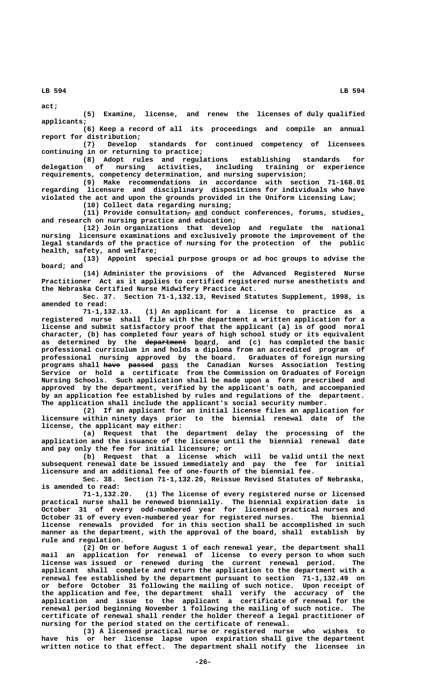**act;**

**(5) Examine, license, and renew the licenses of duly qualified applicants;**

**(6) Keep a record of all its proceedings and compile an annual report for distribution;**

**(7) Develop standards for continued competency of licensees continuing in or returning to practice;**

**(8) Adopt rules and regulations establishing standards for delegation of nursing activities, including training or experience requirements, competency determination, and nursing supervision;**

**(9) Make recommendations in accordance with section 71-168.01 regarding licensure and disciplinary dispositions for individuals who have violated the act and upon the grounds provided in the Uniform Licensing Law; (10) Collect data regarding nursing;**

 **— \_\_\_ \_ (11) Provide consultation, and conduct conferences, forums, studies, and research on nursing practice and education;**

**(12) Join organizations that develop and regulate the national nursing licensure examinations and exclusively promote the improvement of the legal standards of the practice of nursing for the protection of the public health, safety, and welfare;**

**(13) Appoint special purpose groups or ad hoc groups to advise the board; and**

**(14) Administer the provisions of the Advanced Registered Nurse Practitioner Act as it applies to certified registered nurse anesthetists and the Nebraska Certified Nurse Midwifery Practice Act.**

**Sec. 37. Section 71-1,132.13, Revised Statutes Supplement, 1998, is amended to read:**

**71-1,132.13. (1) An applicant for a license to practice as a registered nurse shall file with the department a written application for a license and submit satisfactory proof that the applicant (a) is of good moral character, (b) has completed four years of high school study or its equivalent** as determined by the department board, and (c) has completed the basic **professional curriculum in and holds a diploma from an accredited program of professional nursing approved by the board. Graduates of foreign nursing programs shall have passed pass the Canadian Nurses Association Testing ———— —————— \_\_\_\_ Service or hold a certificate from the Commission on Graduates of Foreign Nursing Schools. Such application shall be made upon a form prescribed and approved by the department, verified by the applicant's oath, and accompanied by an application fee established by rules and regulations of the department. The application shall include the applicant's social security number.**

**(2) If an applicant for an initial license files an application for licensure within ninety days prior to the biennial renewal date of the license, the applicant may either:**

**(a) Request that the department delay the processing of the application and the issuance of the license until the biennial renewal date and pay only the fee for initial licensure; or**

**(b) Request that a license which will be valid until the next subsequent renewal date be issued immediately and pay the fee for initial licensure and an additional fee of one-fourth of the biennial fee.**

**Sec. 38. Section 71-1,132.20, Reissue Revised Statutes of Nebraska, is amended to read:**

**71-1,132.20. (1) The license of every registered nurse or licensed practical nurse shall be renewed biennially. The biennial expiration date is October 31 of every odd-numbered year for licensed practical nurses and October 31 of every even-numbered year for registered nurses. The biennial license renewals provided for in this section shall be accomplished in such manner as the department, with the approval of the board, shall establish by rule and regulation.**

**(2) On or before August 1 of each renewal year, the department shall mail an application for renewal of license to every person to whom such license was issued or renewed during the current renewal period. The applicant shall complete and return the application to the department with a renewal fee established by the department pursuant to section 71-1,132.49 on or before October 31 following the mailing of such notice. Upon receipt of the application and fee, the department shall verify the accuracy of the application and issue to the applicant a certificate of renewal for the renewal period beginning November 1 following the mailing of such notice. The certificate of renewal shall render the holder thereof a legal practitioner of nursing for the period stated on the certificate of renewal.**

**(3) A licensed practical nurse or registered nurse who wishes to have his or her license lapse upon expiration shall give the department written notice to that effect. The department shall notify the licensee in**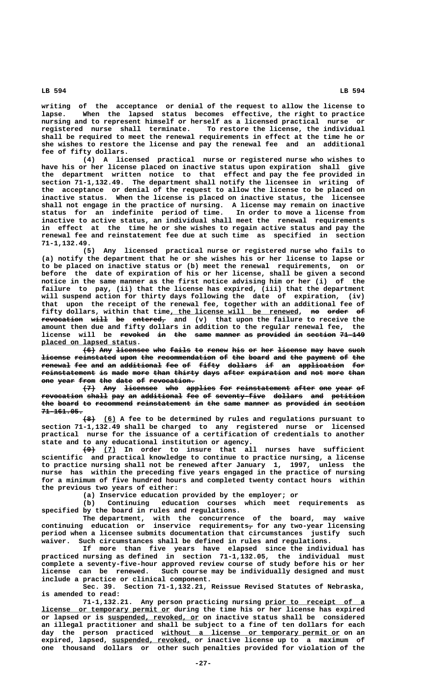**writing of the acceptance or denial of the request to allow the license to lapse. When the lapsed status becomes effective, the right to practice nursing and to represent himself or herself as a licensed practical nurse or registered nurse shall terminate. To restore the license, the individual shall be required to meet the renewal requirements in effect at the time he or she wishes to restore the license and pay the renewal fee and an additional fee of fifty dollars.**

**(4) A licensed practical nurse or registered nurse who wishes to have his or her license placed on inactive status upon expiration shall give the department written notice to that effect and pay the fee provided in section 71-1,132.49. The department shall notify the licensee in writing of the acceptance or denial of the request to allow the license to be placed on inactive status. When the license is placed on inactive status, the licensee shall not engage in the practice of nursing. A license may remain on inactive status for an indefinite period of time. In order to move a license from inactive to active status, an individual shall meet the renewal requirements in effect at the time he or she wishes to regain active status and pay the renewal fee and reinstatement fee due at such time as specified in section 71-1,132.49.**

**(5) Any licensed practical nurse or registered nurse who fails to (a) notify the department that he or she wishes his or her license to lapse or to be placed on inactive status or (b) meet the renewal requirements, on or before the date of expiration of his or her license, shall be given a second notice in the same manner as the first notice advising him or her (i) of the failure to pay, (ii) that the license has expired, (iii) that the department will suspend action for thirty days following the date of expiration, (iv) that upon the receipt of the renewal fee, together with an additional fee of** fifty dollars, within that time, the license will be renewed, no order of **revocation will be entered,** and (v) that upon the failure to receive the **amount then due and fifty dollars in addition to the regular renewal fee, the** license will be <del>revoked in the same manner</del> as provided in section 71-149  **\_\_\_\_\_\_\_\_\_\_\_\_\_\_\_\_\_\_\_\_\_\_\_ placed on lapsed status.**

**(6) Any licensee who fails to renew his or her license may have such ——— ——— ———————— ——— ————— —— ————— ——— —— ——— ——————— ——— ———— ——— license reinstated upon the recommendation of the board and the payment of the** renewal fee and an additional fee of fifty dollars if an application for  $\texttt{reinstant}$  is made more than thirty days after expiration and not more than **one year from the date of revocation.** 

**(7) Any licensee who applies for reinstatement after one year of**  $r$  evocation shall pay an additional fee of seventy-five dollars and petition the board to recommend reinstatement in the same manner as provided in section  **71-161.05. ——————————**

 **——— \_\_\_ (8) (6) A fee to be determined by rules and regulations pursuant to section 71-1,132.49 shall be charged to any registered nurse or licensed practical nurse for the issuance of a certification of credentials to another state and to any educational institution or agency.**

 **——— \_\_\_ (9) (7) In order to insure that all nurses have sufficient scientific and practical knowledge to continue to practice nursing, a license to practice nursing shall not be renewed after January 1, 1997, unless the nurse has within the preceding five years engaged in the practice of nursing for a minimum of five hundred hours and completed twenty contact hours within the previous two years of either:**

**(a) Inservice education provided by the employer; or**

**(b) Continuing education courses which meet requirements as specified by the board in rules and regulations.**

**The department, with the concurrence of the board, may waive continuing education or inservice requirements, for any two-year licensing period when a licensee submits documentation that circumstances justify such waiver. Such circumstances shall be defined in rules and regulations.**

**If more than five years have elapsed since the individual has practiced nursing as defined in section 71-1,132.05, the individual must complete a seventy-five-hour approved review course of study before his or her license can be renewed. Such course may be individually designed and must include a practice or clinical component.**

**Sec. 39. Section 71-1,132.21, Reissue Revised Statutes of Nebraska, is amended to read:**

71-1,132.21. Any person practicing nursing prior to receipt of a  **\_\_\_\_\_\_\_\_\_\_\_\_\_\_\_\_\_\_\_\_\_\_\_\_\_\_\_\_\_\_\_ license or temporary permit or during the time his or her license has expired \_\_\_\_\_\_\_\_\_\_\_\_\_\_\_\_\_\_\_\_\_\_ or lapsed or is suspended, revoked, or on inactive status shall be considered an illegal practitioner and shall be subject to a fine of ten dollars for each**  $day$  the person practiced without a license or temporary permit or on an expired, lapsed, suspended, revoked, or inactive license up to a maximum of **one thousand dollars or other such penalties provided for violation of the**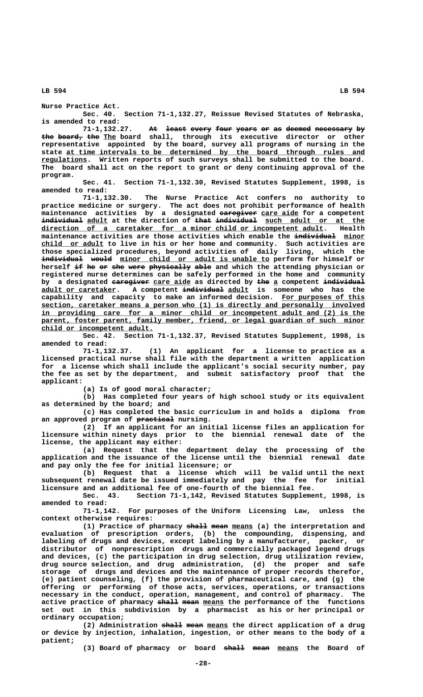**Nurse Practice Act.**

**Sec. 40. Section 71-1,132.27, Reissue Revised Statutes of Nebraska, is amended to read:**

71-1,132.27. At least every four years or as deemed necessary by the board, the The board shall, through its executive director or other **representative appointed by the board, survey all programs of nursing in the** state at time intervals to be determined by the board through rules and  **\_\_\_\_\_\_\_\_\_\_\_ regulations. Written reports of such surveys shall be submitted to the board. The board shall act on the report to grant or deny continuing approval of the program.**

**Sec. 41. Section 71-1,132.30, Revised Statutes Supplement, 1998, is amended to read:**

**71-1,132.30. The Nurse Practice Act confers no authority to practice medicine or surgery. The act does not prohibit performance of health** maintenance activities by a designated earegiver care aide for a competent individual adult at the direction of that individual such adult or at the direction of a caretaker for a minor child or incompetent adult. Health  $\frac{direction\ of\ a\ centeraker\ for\ a\ minor\ child\ or\ incometacht\ adult.}$ maintenance activities are those activities which enable the individual minor  **\_\_\_\_\_\_\_\_\_\_\_\_\_\_\_ child or adult to live in his or her home and community. Such activities are those specialized procedures, beyond activities of daily living, which the**  $i$ ndividual would minor child or adult is unable to perform for himself or herself if he or she were physically able and which the attending physician or **registered nurse determines can be safely performed in the home and community ————————— \_\_\_\_\_\_\_\_\_ ——— \_ —————————— by a designated caregiver care aide as directed by the a competent individual \_\_\_\_\_\_\_\_\_\_\_\_\_\_\_\_\_\_ —————————— \_\_\_\_\_ adult or caretaker. A competent individual adult is someone who has the capability and capacity to make an informed decision. For purposes of this \_\_\_\_\_\_\_\_\_\_\_\_\_\_\_\_\_\_\_\_ \_\_\_\_\_\_\_\_\_\_\_\_\_\_\_\_\_\_\_\_\_\_\_\_\_\_\_\_\_\_\_\_\_\_\_\_\_\_\_\_\_\_\_\_\_\_\_\_\_\_\_\_\_\_\_\_\_\_\_\_\_\_\_\_\_\_\_\_\_\_\_\_\_\_\_\_\_\_ section, caretaker means a person who (1) is directly and personally involved \_\_\_\_\_\_\_\_\_\_\_\_\_\_\_\_\_\_\_\_\_\_\_\_\_\_\_\_\_\_\_\_\_\_\_\_\_\_\_\_\_\_\_\_\_\_\_\_\_\_\_\_\_\_\_\_\_\_\_\_\_\_\_\_\_\_\_\_\_\_\_\_\_\_\_\_\_\_ in providing care for a minor child or incompetent adult and (2) is the**  $parent,$  foster parent, family member, friend, or legal guardian of such minor  **\_\_\_\_\_\_\_\_\_\_\_\_\_\_\_\_\_\_\_\_\_\_\_\_\_\_\_ child or incompetent adult.**

**Sec. 42. Section 71-1,132.37, Revised Statutes Supplement, 1998, is amended to read:**

**71-1,132.37. (1) An applicant for a license to practice as a licensed practical nurse shall file with the department a written application for a license which shall include the applicant's social security number, pay the fee as set by the department, and submit satisfactory proof that the applicant:**

**(a) Is of good moral character;**

**(b) Has completed four years of high school study or its equivalent as determined by the board; and**

**(c) Has completed the basic curriculum in and holds a diploma from** an approved program of practical nursing.

**(2) If an applicant for an initial license files an application for licensure within ninety days prior to the biennial renewal date of the license, the applicant may either:**

**(a) Request that the department delay the processing of the application and the issuance of the license until the biennial renewal date and pay only the fee for initial licensure; or**

**(b) Request that a license which will be valid until the next subsequent renewal date be issued immediately and pay the fee for initial licensure and an additional fee of one-fourth of the biennial fee.**

**Sec. 43. Section 71-1,142, Revised Statutes Supplement, 1998, is amended to read:**

**71-1,142. For purposes of the Uniform Licensing Law, unless the context otherwise requires:**

(1) Practice of pharmacy shall mean means (a) the interpretation and **evaluation of prescription orders, (b) the compounding, dispensing, and labeling of drugs and devices, except labeling by a manufacturer, packer, or distributor of nonprescription drugs and commercially packaged legend drugs and devices, (c) the participation in drug selection, drug utilization review, drug source selection, and drug administration, (d) the proper and safe storage of drugs and devices and the maintenance of proper records therefor, (e) patient counseling, (f) the provision of pharmaceutical care, and (g) the offering or performing of those acts, services, operations, or transactions necessary in the conduct, operation, management, and control of pharmacy. The** active practice of pharmacy shall mean means the performance of the functions **set out in this subdivision by a pharmacist as his or her principal or ordinary occupation;**

(2) Administration shall mean means the direct application of a drug **or device by injection, inhalation, ingestion, or other means to the body of a patient;**

(3) Board of pharmacy or board shall mean means the Board of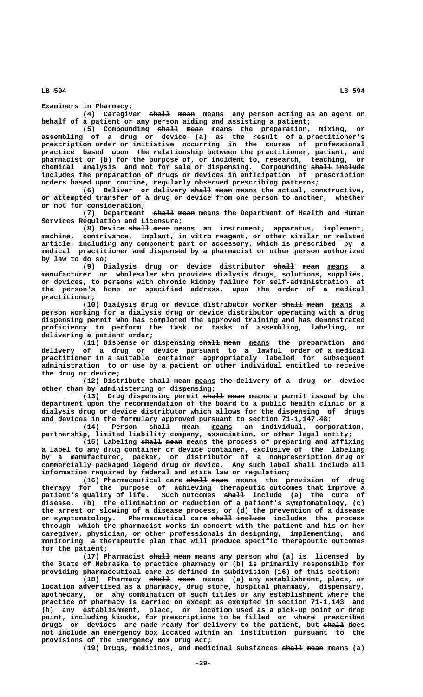**Examiners in Pharmacy;**

(4) Caregiver shall mean means any person acting as an agent on **behalf of a patient or any person aiding and assisting a patient;**

(5) Compounding shall mean means the preparation, mixing, or **assembling of a drug or device (a) as the result of a practitioner's prescription order or initiative occurring in the course of professional practice based upon the relationship between the practitioner, patient, and pharmacist or (b) for the purpose of, or incident to, research, teaching, or** chemical analysis and not for sale or dispensing. Compounding shall include  **\_\_\_\_\_\_\_\_ includes the preparation of drugs or devices in anticipation of prescription orders based upon routine, regularly observed prescribing patterns;**

(6) Deliver or delivery shall mean means the actual, constructive, **or attempted transfer of a drug or device from one person to another, whether or not for consideration;**

(7) Department shall mean means the Department of Health and Human **Services Regulation and Licensure;**

(8) Device shall mean means an instrument, apparatus, implement, **machine, contrivance, implant, in vitro reagent, or other similar or related article, including any component part or accessory, which is prescribed by a medical practitioner and dispensed by a pharmacist or other person authorized by law to do so;**

(9) Dialysis drug or device distributor shall mean means **manufacturer or wholesaler who provides dialysis drugs, solutions, supplies, or devices, to persons with chronic kidney failure for self-administration at the person's home or specified address, upon the order of a medical practitioner;**

(10) Dialysis drug or device distributor worker <del>shall mean</del> means a **person working for a dialysis drug or device distributor operating with a drug dispensing permit who has completed the approved training and has demonstrated proficiency to perform the task or tasks of assembling, labeling, or delivering a patient order;**

(11) Dispense or dispensing shall mean means the preparation and **delivery of a drug or device pursuant to a lawful order of a medical practitioner in a suitable container appropriately labeled for subsequent administration to or use by a patient or other individual entitled to receive the drug or device;**

(12) Distribute shall mean means the delivery of a drug or device **other than by administering or dispensing;**

(13) Drug dispensing permit shall mean means a permit issued by the **department upon the recommendation of the board to a public health clinic or a dialysis drug or device distributor which allows for the dispensing of drugs and devices in the formulary approved pursuant to section 71-1,147.48;**

(14) Person <del>shall</del> mean means an individual, corporation, **partnership, limited liability company, association, or other legal entity;**

(15) Labeling shall mean means the process of preparing and affixing **a label to any drug container or device container, exclusive of the labeling by a manufacturer, packer, or distributor of a nonprescription drug or commercially packaged legend drug or device. Any such label shall include all information required by federal and state law or regulation;**

(16) Pharmaceutical care shall mean means the provision of drug **therapy for the purpose of achieving therapeutic outcomes that improve a ————— patient's quality of life. Such outcomes shall include (a) the cure of disease, (b) the elimination or reduction of a patient's symptomatology, (c) the arrest or slowing of a disease process, or (d) the prevention of a disease ————— ——————— \_\_\_\_\_\_\_\_ or symptomatology. Pharmaceutical care shall include includes the process through which the pharmacist works in concert with the patient and his or her caregiver, physician, or other professionals in designing, implementing, and monitoring a therapeutic plan that will produce specific therapeutic outcomes for the patient;**

(17) Pharmacist shall mean means any person who (a) is licensed by **the State of Nebraska to practice pharmacy or (b) is primarily responsible for providing pharmaceutical care as defined in subdivision (16) of this section;**

(18) Pharmacy <del>shall</del> mean means (a) any establishment, place, or **location advertised as a pharmacy, drug store, hospital pharmacy, dispensary, apothecary, or any combination of such titles or any establishment where the practice of pharmacy is carried on except as exempted in section 71-1,143 and (b) any establishment, place, or location used as a pick-up point or drop point, including kiosks, for prescriptions to be filled or where prescribed** drugs or devices are made ready for delivery to the patient, but <del>shall</del> <u>does</u> **not include an emergency box located within an institution pursuant to the provisions of the Emergency Box Drug Act;**

(19) Drugs, medicines, and medicinal substances shall mean means (a)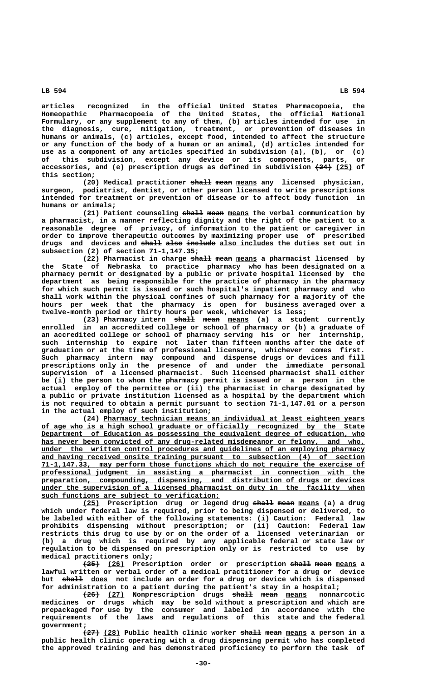**articles recognized in the official United States Pharmacopoeia, the Homeopathic Pharmacopoeia of the United States, the official National Formulary, or any supplement to any of them, (b) articles intended for use in the diagnosis, cure, mitigation, treatment, or prevention of diseases in humans or animals, (c) articles, except food, intended to affect the structure or any function of the body of a human or an animal, (d) articles intended for use as a component of any articles specified in subdivision (a), (b), or (c) of this subdivision, except any device or its components, parts, or** accessories, and (e) prescription drugs as defined in subdivision  $(24)$  (25) of  **this section;**

(20) Medical practitioner shall mean means any licensed physician, **surgeon, podiatrist, dentist, or other person licensed to write prescriptions intended for treatment or prevention of disease or to affect body function in humans or animals;**

(21) Patient counseling shall mean means the verbal communication by **a pharmacist, in a manner reflecting dignity and the right of the patient to a reasonable degree of privacy, of information to the patient or caregiver in order to improve therapeutic outcomes by maximizing proper use of prescribed** drugs and devices and shall also include also includes the duties set out in **subsection (2) of section 71-1,147.35;**

(22) Pharmacist in charge <del>shall</del> mean means a pharmacist licensed by **the State of Nebraska to practice pharmacy who has been designated on a pharmacy permit or designated by a public or private hospital licensed by the department as being responsible for the practice of pharmacy in the pharmacy for which such permit is issued or such hospital's inpatient pharmacy and who shall work within the physical confines of such pharmacy for a majority of the hours per week that the pharmacy is open for business averaged over a twelve-month period or thirty hours per week, whichever is less;**

(23) Pharmacy intern shall mean means (a) a student currently **enrolled in an accredited college or school of pharmacy or (b) a graduate of an accredited college or school of pharmacy serving his or her internship, such internship to expire not later than fifteen months after the date of graduation or at the time of professional licensure, whichever comes first. Such pharmacy intern may compound and dispense drugs or devices and fill prescriptions only in the presence of and under the immediate personal supervision of a licensed pharmacist. Such licensed pharmacist shall either be (i) the person to whom the pharmacy permit is issued or a person in the actual employ of the permittee or (ii) the pharmacist in charge designated by a public or private institution licensed as a hospital by the department which is not required to obtain a permit pursuant to section 71-1,147.01 or a person in the actual employ of such institution;**

 **\_\_\_\_\_\_\_\_\_\_\_\_\_\_\_\_\_\_\_\_\_\_\_\_\_\_\_\_\_\_\_\_\_\_\_\_\_\_\_\_\_\_\_\_\_\_\_\_\_\_\_\_\_\_\_\_\_\_\_\_\_\_\_ (24) Pharmacy technician means an individual at least eighteen years \_\_\_\_\_\_\_\_\_\_\_\_\_\_\_\_\_\_\_\_\_\_\_\_\_\_\_\_\_\_\_\_\_\_\_\_\_\_\_\_\_\_\_\_\_\_\_\_\_\_\_\_\_\_\_\_\_\_\_\_\_\_\_\_\_\_\_\_\_\_\_\_\_\_\_\_\_\_ of age who is a high school graduate or officially recognized by the State \_\_\_\_\_\_\_\_\_\_\_\_\_\_\_\_\_\_\_\_\_\_\_\_\_\_\_\_\_\_\_\_\_\_\_\_\_\_\_\_\_\_\_\_\_\_\_\_\_\_\_\_\_\_\_\_\_\_\_\_\_\_\_\_\_\_\_\_\_\_\_\_\_\_\_\_\_\_ Department of Education as possessing the equivalent degree of education, who** has never been convicted of any drug-related misdemeanor or felony, and who,  **\_\_\_\_\_\_\_\_\_\_\_\_\_\_\_\_\_\_\_\_\_\_\_\_\_\_\_\_\_\_\_\_\_\_\_\_\_\_\_\_\_\_\_\_\_\_\_\_\_\_\_\_\_\_\_\_\_\_\_\_\_\_\_\_\_\_\_\_\_\_\_\_\_\_\_\_\_\_ under the written control procedures and guidelines of an employing pharmacy \_\_\_\_\_\_\_\_\_\_\_\_\_\_\_\_\_\_\_\_\_\_\_\_\_\_\_\_\_\_\_\_\_\_\_\_\_\_\_\_\_\_\_\_\_\_\_\_\_\_\_\_\_\_\_\_\_\_\_\_\_\_\_\_\_\_\_\_\_\_\_\_\_\_\_\_\_\_ and having received onsite training pursuant to subsection (4) of section \_\_\_\_\_\_\_\_\_\_\_\_\_\_\_\_\_\_\_\_\_\_\_\_\_\_\_\_\_\_\_\_\_\_\_\_\_\_\_\_\_\_\_\_\_\_\_\_\_\_\_\_\_\_\_\_\_\_\_\_\_\_\_\_\_\_\_\_\_\_\_\_\_\_\_\_\_\_ 71-1,147.33, may perform those functions which do not require the exercise of \_\_\_\_\_\_\_\_\_\_\_\_\_\_\_\_\_\_\_\_\_\_\_\_\_\_\_\_\_\_\_\_\_\_\_\_\_\_\_\_\_\_\_\_\_\_\_\_\_\_\_\_\_\_\_\_\_\_\_\_\_\_\_\_\_\_\_\_\_\_\_\_\_\_\_\_\_\_ professional judgment in assisting a pharmacist in connection with the \_\_\_\_\_\_\_\_\_\_\_\_\_\_\_\_\_\_\_\_\_\_\_\_\_\_\_\_\_\_\_\_\_\_\_\_\_\_\_\_\_\_\_\_\_\_\_\_\_\_\_\_\_\_\_\_\_\_\_\_\_\_\_\_\_\_\_\_\_\_\_\_\_\_\_\_\_\_ preparation, compounding, dispensing, and distribution of drugs or devices \_\_\_\_\_\_\_\_\_\_\_\_\_\_\_\_\_\_\_\_\_\_\_\_\_\_\_\_\_\_\_\_\_\_\_\_\_\_\_\_\_\_\_\_\_\_\_\_\_\_\_\_\_\_\_\_\_\_\_\_\_\_\_\_\_\_\_\_\_\_\_\_\_\_\_\_\_\_ under the supervision of a licensed pharmacist on duty in the facility when \_\_\_\_\_\_\_\_\_\_\_\_\_\_\_\_\_\_\_\_\_\_\_\_\_\_\_\_\_\_\_\_\_\_\_\_\_\_\_\_\_\_\_ such functions are subject to verification;**

**(25) Prescription drug or legend drug shall mean means (a) a drug \_\_\_\_ ————— ———— \_\_\_\_\_ which under federal law is required, prior to being dispensed or delivered, to be labeled with either of the following statements: (i) Caution: Federal law prohibits dispensing without prescription; or (ii) Caution: Federal law restricts this drug to use by or on the order of a licensed veterinarian or (b) a drug which is required by any applicable federal or state law or regulation to be dispensed on prescription only or is restricted to use by medical practitioners only;**

 $\overline{25}$  (26) Prescription order or prescription shall mean means a **lawful written or verbal order of a medical practitioner for a drug or device** but shall does not include an order for a drug or device which is dispensed **for administration to a patient during the patient's stay in a hospital;**

**(26) (27) Nonprescription drugs shall mean means nonnarcotic ———— \_\_\_\_ ————— ———— \_\_\_\_\_ medicines or drugs which may be sold without a prescription and which are prepackaged for use by the consumer and labeled in accordance with the requirements of the laws and regulations of this state and the federal government;**

**(27)** (28) Public health clinic worker shall mean means a person in a **public health clinic operating with a drug dispensing permit who has completed the approved training and has demonstrated proficiency to perform the task of**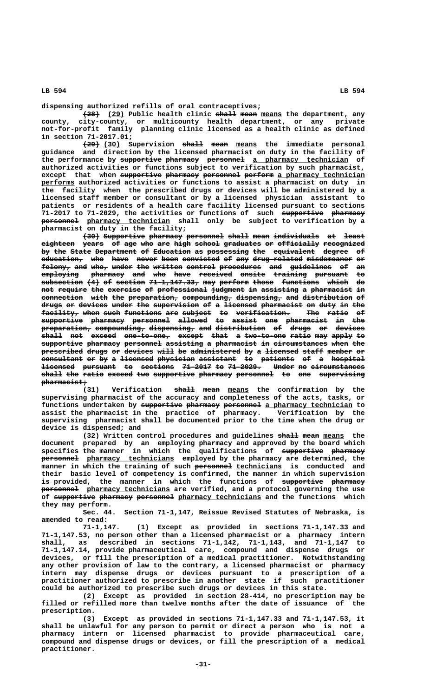**dispensing authorized refills of oral contraceptives;**

**(28)** (29) Public health clinic shall mean means the department, any **county, city-county, or multicounty health department, or any private not-for-profit family planning clinic licensed as a health clinic as defined in section 71-2017.01;**

**(29) (30)** Supervision <del>shall</del> mean means the immediate personal **guidance and direction by the licensed pharmacist on duty in the facility of** the performance by supportive pharmacy personnel a pharmacy technician of **authorized activities or functions subject to verification by such pharmacist,** except that when supportive pharmacy personnel perform a pharmacy technician  **\_\_\_\_\_\_\_\_ performs authorized activities or functions to assist a pharmacist on duty in the facility when the prescribed drugs or devices will be administered by a licensed staff member or consultant or by a licensed physician assistant to patients or residents of a health care facility licensed pursuant to sections** 71-2017 to 71-2029, the activities or functions of such supportive pharmacy  $p$ ersonnel pharmacy technician shall only be subject to verification by a **pharmacist on duty in the facility;**

**(30) Supportive pharmacy personnel shall mean individuals at least ———— —————————— ———————— ————————— ————— ———— ——————————— —— ————** eighteen years of age who are high school graduates or officially recognized by the State Department of Education as possessing the equivalent degree of **education, who have never been convicted of any drug-related misdemeanor or —————————— ——— ———— ————— ———— ————————— —— ——— ———————————— ——————————— —**  $felony$ , and who, under the written control procedures and guidelines of an  $\texttt{embedding}$  pharmacy and who have received onsite training pursuant to  $s$ ubsection (4) of section 71-1,147.33, may perform those functions which do not require the exercise of professional judgment in assisting a pharmacist in  $\epsilon$  **connection** with the preparation, compounding, dispensing, and distribution of drugs or devices under the supervision of a <del>licensed</del> pharmacist on duty in the **facility, when such functions are subject to verification. The ratio of ————————— ———— ———— ————————— ——— ——————— —— ————————————— ——— ————— — supportive pharmacy personnel allowed to assist one pharmacist in the —————————— ———————— ————————— ——————— —— —————— ——— —————————— —— ———**  $\overline{\texttt{preparation}}$  compounding, dispensing, and distribution of drugs or devices **shall not exceed one-to-one, except that a two-to-one ratio may apply to ————— ——— —————— ——————————— —————— ———— — —————————— ————— ——— ————— —** supportive pharmacy personnel assisting a pharmacist in circumstances when the prescribed drugs or devices will be administered by a licensed staff member or consultant or by a <del>licensed physician assistant</del> to patients of a hospital **licensed** pursuant to sections 71-2017 to 71-2029. Under no circumstances shall the ratio exceed two supportive pharmacy personnel to one supervising  **pharmacist; ———————————**

Verification shall mean means the confirmation by the **supervising pharmacist of the accuracy and completeness of the acts, tasks, or** functions undertaken by supportive pharmacy personnel a pharmacy technician to **assist the pharmacist in the practice of pharmacy. Verification by the supervising pharmacist shall be documented prior to the time when the drug or device is dispensed; and**

(32) Written control procedures and guidelines shall mean means the **document prepared by an employing pharmacy and approved by the board which** specifies the manner in which the qualifications of supportive pharmacy  $p$ ersonnel pharmacy technicians employed by the pharmacy are determined, the  **————————— \_\_\_\_\_\_\_\_\_\_\_ manner in which the training of such personnel technicians is conducted and their basic level of competency is confirmed, the manner in which supervision** is provided, the manner in which the functions of supportive pharmacy  $p$ ersonnel pharmacy technicians are verified, and a protocol governing the use of supportive pharmacy personnel pharmacy technicians and the functions which **they may perform.**

**Sec. 44. Section 71-1,147, Reissue Revised Statutes of Nebraska, is amended to read:**

**71-1,147. (1) Except as provided in sections 71-1,147.33 and 71-1,147.53, no person other than a licensed pharmacist or a pharmacy intern shall, as described in sections 71-1,142, 71-1,143, and 71-1,147 to 71-1,147.14, provide pharmaceutical care, compound and dispense drugs or devices, or fill the prescription of a medical practitioner. Notwithstanding any other provision of law to the contrary, a licensed pharmacist or pharmacy intern may dispense drugs or devices pursuant to a prescription of a practitioner authorized to prescribe in another state if such practitioner could be authorized to prescribe such drugs or devices in this state.**

**(2) Except as provided in section 28-414, no prescription may be filled or refilled more than twelve months after the date of issuance of the prescription.**

**(3) Except as provided in sections 71-1,147.33 and 71-1,147.53, it shall be unlawful for any person to permit or direct a person who is not a pharmacy intern or licensed pharmacist to provide pharmaceutical care, compound and dispense drugs or devices, or fill the prescription of a medical practitioner.**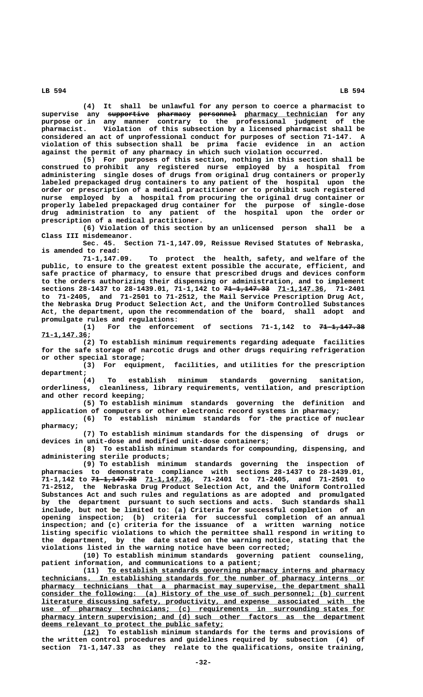**(4) It shall be unlawful for any person to coerce a pharmacist to**  $\tt{superwise}$  any <del>supportive pharmacy</del> <del>personnel</del> <u>pharmacy technician</u> for any **purpose or in any manner contrary to the professional judgment of the pharmacist. Violation of this subsection by a licensed pharmacist shall be considered an act of unprofessional conduct for purposes of section 71-147. A violation of this subsection shall be prima facie evidence in an action against the permit of any pharmacy in which such violation occurred.**

**(5) For purposes of this section, nothing in this section shall be construed to prohibit any registered nurse employed by a hospital from administering single doses of drugs from original drug containers or properly labeled prepackaged drug containers to any patient of the hospital upon the order or prescription of a medical practitioner or to prohibit such registered nurse employed by a hospital from procuring the original drug container or properly labeled prepackaged drug container for the purpose of single-dose drug administration to any patient of the hospital upon the order or prescription of a medical practitioner.**

**(6) Violation of this section by an unlicensed person shall be a Class III misdemeanor.**

**Sec. 45. Section 71-1,147.09, Reissue Revised Statutes of Nebraska, is amended to read:**

To protect the health, safety, and welfare of the **public, to ensure to the greatest extent possible the accurate, efficient, and safe practice of pharmacy, to ensure that prescribed drugs and devices conform to the orders authorizing their dispensing or administration, and to implement ——————————— \_\_\_\_\_\_\_\_\_\_\_ sections 28-1437 to 28-1439.01, 71-1,142 to 71-1,147.33 71-1,147.36, 71-2401 to 71-2405, and 71-2501 to 71-2512, the Mail Service Prescription Drug Act, the Nebraska Drug Product Selection Act, and the Uniform Controlled Substances Act, the department, upon the recommendation of the board, shall adopt and promulgate rules and regulations:**

(1) For the enforcement of sections 71-1,142 to  $71-1,142$  **71-1,147.36; \_\_\_\_\_\_\_\_\_\_\_**

**(2) To establish minimum requirements regarding adequate facilities for the safe storage of narcotic drugs and other drugs requiring refrigeration or other special storage;**

**(3) For equipment, facilities, and utilities for the prescription department;**

**(4) To establish minimum standards governing sanitation, orderliness, cleanliness, library requirements, ventilation, and prescription and other record keeping;**

**(5) To establish minimum standards governing the definition and application of computers or other electronic record systems in pharmacy; (6) To establish minimum standards for the practice of nuclear**

 **pharmacy;**

**(7) To establish minimum standards for the dispensing of drugs or devices in unit-dose and modified unit-dose containers;**

**(8) To establish minimum standards for compounding, dispensing, and administering sterile products;**

**(9) To establish minimum standards governing the inspection of pharmacies to demonstrate compliance with sections 28-1437 to 28-1439.01, ——————————— \_\_\_\_\_\_\_\_\_\_\_ 71-1,142 to 71-1,147.38 71-1,147.36, 71-2401 to 71-2405, and 71-2501 to 71-2512, the Nebraska Drug Product Selection Act, and the Uniform Controlled Substances Act and such rules and regulations as are adopted and promulgated by the department pursuant to such sections and acts. Such standards shall include, but not be limited to: (a) Criteria for successful completion of an opening inspection; (b) criteria for successful completion of an annual inspection; and (c) criteria for the issuance of a written warning notice listing specific violations to which the permittee shall respond in writing to the department, by the date stated on the warning notice, stating that the violations listed in the warning notice have been corrected;**

**(10) To establish minimum standards governing patient counseling, patient information, and communications to a patient;**

 **\_\_\_\_\_\_\_\_\_\_\_\_\_\_\_\_\_\_\_\_\_\_\_\_\_\_\_\_\_\_\_\_\_\_\_\_\_\_\_\_\_\_\_\_\_\_\_\_\_\_\_\_\_\_\_\_\_\_\_\_\_\_ (11) To establish standards governing pharmacy interns and pharmacy \_\_\_\_\_\_\_\_\_\_\_\_\_\_\_\_\_\_\_\_\_\_\_\_\_\_\_\_\_\_\_\_\_\_\_\_\_\_\_\_\_\_\_\_\_\_\_\_\_\_\_\_\_\_\_\_\_\_\_\_\_\_\_\_\_\_\_\_\_\_\_\_\_\_\_\_\_\_ technicians. In establishing standards for the number of pharmacy interns or** pharmacy technicians that a pharmacist may supervise, the department shall  **\_\_\_\_\_\_\_\_\_\_\_\_\_\_\_\_\_\_\_\_\_\_\_\_\_\_\_\_\_\_\_\_\_\_\_\_\_\_\_\_\_\_\_\_\_\_\_\_\_\_\_\_\_\_\_\_\_\_\_\_\_\_\_\_\_\_\_\_\_\_\_\_\_\_\_\_\_\_ consider the following: (a) History of the use of such personnel; (b) current \_\_\_\_\_\_\_\_\_\_\_\_\_\_\_\_\_\_\_\_\_\_\_\_\_\_\_\_\_\_\_\_\_\_\_\_\_\_\_\_\_\_\_\_\_\_\_\_\_\_\_\_\_\_\_\_\_\_\_\_\_\_\_\_\_\_\_\_\_\_\_\_\_\_\_\_\_\_ literature discussing safety, productivity, and expense associated with the \_\_\_\_\_\_\_\_\_\_\_\_\_\_\_\_\_\_\_\_\_\_\_\_\_\_\_\_\_\_\_\_\_\_\_\_\_\_\_\_\_\_\_\_\_\_\_\_\_\_\_\_\_\_\_\_\_\_\_\_\_\_\_\_\_\_\_\_\_\_\_\_\_\_\_\_\_\_ use of pharmacy technicians; (c) requirements in surrounding states for \_\_\_\_\_\_\_\_\_\_\_\_\_\_\_\_\_\_\_\_\_\_\_\_\_\_\_\_\_\_\_\_\_\_\_\_\_\_\_\_\_\_\_\_\_\_\_\_\_\_\_\_\_\_\_\_\_\_\_\_\_\_\_\_\_\_\_\_\_\_\_\_\_\_\_\_\_\_ pharmacy intern supervision; and (d) such other factors as the department \_\_\_\_\_\_\_\_\_\_\_\_\_\_\_\_\_\_\_\_\_\_\_\_\_\_\_\_\_\_\_\_\_\_\_\_\_\_\_\_\_\_\_\_ deems relevant to protect the public safety;**

 **\_\_\_\_ (12) To establish minimum standards for the terms and provisions of the written control procedures and guidelines required by subsection (4) of section 71-1,147.33 as they relate to the qualifications, onsite training,**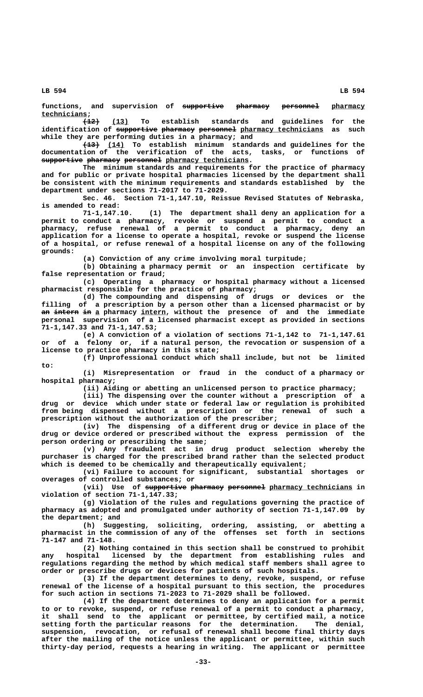functions, and supervision of supportive pharmacy personnel pharmacy

 **technicians; \_\_\_\_\_\_\_\_\_\_\_ ———— \_\_\_\_ (12) (13) To establish standards and guidelines for the** identification of supportive pharmacy personnel pharmacy technicians as such **while they are performing duties in a pharmacy; and**

 **———— \_\_\_\_ (13) (14) To establish minimum standards and guidelines for the documentation of the verification of the acts, tasks, or functions of**  $\texttt{supportive}$  pharmacy personnel pharmacy technicians.

> **The minimum standards and requirements for the practice of pharmacy and for public or private hospital pharmacies licensed by the department shall be consistent with the minimum requirements and standards established by the department under sections 71-2017 to 71-2029.**

> **Sec. 46. Section 71-1,147.10, Reissue Revised Statutes of Nebraska, is amended to read:**

> **71-1,147.10. (1) The department shall deny an application for a permit to conduct a pharmacy, revoke or suspend a permit to conduct a pharmacy, refuse renewal of a permit to conduct a pharmacy, deny an application for a license to operate a hospital, revoke or suspend the license of a hospital, or refuse renewal of a hospital license on any of the following grounds:**

> > **(a) Conviction of any crime involving moral turpitude;**

**(b) Obtaining a pharmacy permit or an inspection certificate by false representation or fraud;**

**(c) Operating a pharmacy or hospital pharmacy without a licensed pharmacist responsible for the practice of pharmacy;**

**(d) The compounding and dispensing of drugs or devices or the filling of a prescription by a person other than a licensed pharmacist or by** an intern in a pharmacy intern, without the presence of and the immediate **personal supervision of a licensed pharmacist except as provided in sections 71-1,147.33 and 71-1,147.53;**

**(e) A conviction of a violation of sections 71-1,142 to 71-1,147.61 or of a felony or, if a natural person, the revocation or suspension of a license to practice pharmacy in this state;**

**(f) Unprofessional conduct which shall include, but not be limited to:**

**(i) Misrepresentation or fraud in the conduct of a pharmacy or hospital pharmacy;**

**(ii) Aiding or abetting an unlicensed person to practice pharmacy;**

**(iii) The dispensing over the counter without a prescription of a drug or device which under state or federal law or regulation is prohibited from being dispensed without a prescription or the renewal of such a prescription without the authorization of the prescriber;**

**(iv) The dispensing of a different drug or device in place of the drug or device ordered or prescribed without the express permission of the person ordering or prescribing the same;**

**(v) Any fraudulent act in drug product selection whereby the purchaser is charged for the prescribed brand rather than the selected product which is deemed to be chemically and therapeutically equivalent;**

**(vi) Failure to account for significant, substantial shortages or overages of controlled substances; or**

(vii) Use of <del>supportive pharmacy</del> <del>personnel</del> <u>pharmacy technicians</u> in **violation of section 71-1,147.33;**

**(g) Violation of the rules and regulations governing the practice of pharmacy as adopted and promulgated under authority of section 71-1,147.09 by the department; and**

**(h) Suggesting, soliciting, ordering, assisting, or abetting a pharmacist in the commission of any of the offenses set forth in sections 71-147 and 71-148.**

**(2) Nothing contained in this section shall be construed to prohibit any hospital licensed by the department from establishing rules and regulations regarding the method by which medical staff members shall agree to order or prescribe drugs or devices for patients of such hospitals.**

**(3) If the department determines to deny, revoke, suspend, or refuse renewal of the license of a hospital pursuant to this section, the procedures for such action in sections 71-2023 to 71-2029 shall be followed.**

**(4) If the department determines to deny an application for a permit to or to revoke, suspend, or refuse renewal of a permit to conduct a pharmacy, it shall send to the applicant or permittee, by certified mail, a notice setting forth the particular reasons for the determination. The denial, suspension, revocation, or refusal of renewal shall become final thirty days after the mailing of the notice unless the applicant or permittee, within such thirty-day period, requests a hearing in writing. The applicant or permittee**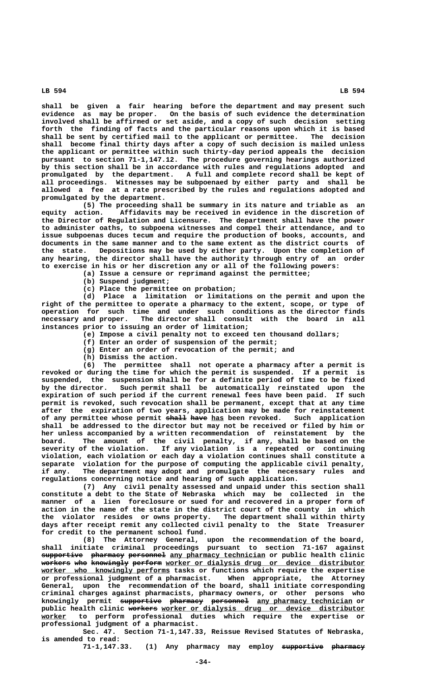**shall be given a fair hearing before the department and may present such evidence as may be proper. On the basis of such evidence the determination involved shall be affirmed or set aside, and a copy of such decision setting forth the finding of facts and the particular reasons upon which it is based shall be sent by certified mail to the applicant or permittee. The decision shall become final thirty days after a copy of such decision is mailed unless the applicant or permittee within such thirty-day period appeals the decision pursuant to section 71-1,147.12. The procedure governing hearings authorized by this section shall be in accordance with rules and regulations adopted and promulgated by the department. A full and complete record shall be kept of all proceedings. Witnesses may be subpoenaed by either party and shall be allowed a fee at a rate prescribed by the rules and regulations adopted and promulgated by the department.**

**(5) The proceeding shall be summary in its nature and triable as an equity action. Affidavits may be received in evidence in the discretion of the Director of Regulation and Licensure. The department shall have the power to administer oaths, to subpoena witnesses and compel their attendance, and to issue subpoenas duces tecum and require the production of books, accounts, and documents in the same manner and to the same extent as the district courts of the state. Depositions may be used by either party. Upon the completion of** any hearing, the director shall have the authority through entry of an order **to exercise in his or her discretion any or all of the following powers:**

**(a) Issue a censure or reprimand against the permittee;**

**(b) Suspend judgment;**

**(c) Place the permittee on probation;**

**(d) Place a limitation or limitations on the permit and upon the right of the permittee to operate a pharmacy to the extent, scope, or type of operation for such time and under such conditions as the director finds necessary and proper. The director shall consult with the board in all instances prior to issuing an order of limitation;**

- **(e) Impose a civil penalty not to exceed ten thousand dollars;**
- **(f) Enter an order of suspension of the permit;**
- **(g) Enter an order of revocation of the permit; and**
- **(h) Dismiss the action.**

**(6) The permittee shall not operate a pharmacy after a permit is revoked or during the time for which the permit is suspended. If a permit is suspended, the suspension shall be for a definite period of time to be fixed by the director. Such permit shall be automatically reinstated upon the expiration of such period if the current renewal fees have been paid. If such permit is revoked, such revocation shall be permanent, except that at any time after the expiration of two years, application may be made for reinstatement of any permittee whose permit shall have has been revoked. Such application ————— ———— \_\_\_ shall be addressed to the director but may not be received or filed by him or her unless accompanied by a written recommendation of reinstatement by the board. The amount of the civil penalty, if any, shall be based on the severity of the violation. If any violation is a repeated or continuing violation, each violation or each day a violation continues shall constitute a separate violation for the purpose of computing the applicable civil penalty, if any. The department may adopt and promulgate the necessary rules and regulations concerning notice and hearing of such application.**

**(7) Any civil penalty assessed and unpaid under this section shall constitute a debt to the State of Nebraska which may be collected in the manner of a lien foreclosure or sued for and recovered in a proper form of action in the name of the state in the district court of the county in which the violator resides or owns property. The department shall within thirty days after receipt remit any collected civil penalty to the State Treasurer for credit to the permanent school fund.**

**(8) The Attorney General, upon the recommendation of the board, shall initiate criminal proceedings pursuant to section 71-167 against**  $\frac{1}{\text{supportive}}$  pharmacy personnel any pharmacy technician or public health clinic **workers who knowingly perform** worker or dialysis drug or device distributor worker who knowingly performs tasks or functions which require the expertise **or professional judgment of a pharmacist. When appropriate, the Attorney General, upon the recommendation of the board, shall initiate corresponding criminal charges against pharmacists, pharmacy owners, or other persons who** knowingly permit supportive pharmacy personnel any pharmacy technician or public health clinic workers worker or dialysis drug or device distributor  **\_\_\_\_\_\_ worker to perform professional duties which require the expertise or professional judgment of a pharmacist.**

**Sec. 47. Section 71-1,147.33, Reissue Revised Statutes of Nebraska, is amended to read:**

71-1,147.33. (1) Any pharmacy may employ supportive pharmacy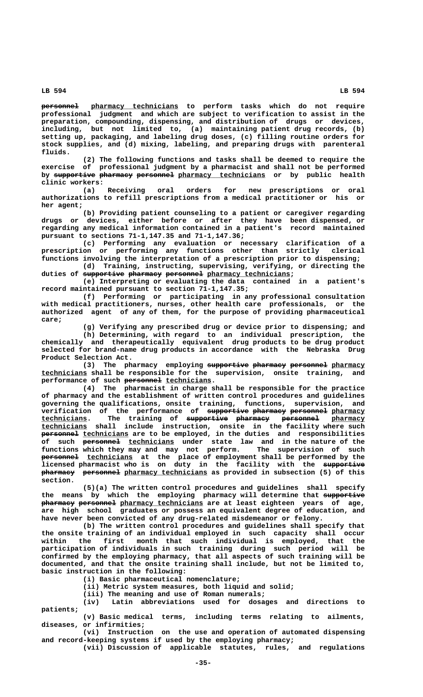$perso$   $pharmacy$  technicians to perform tasks which do not require **professional judgment and which are subject to verification to assist in the preparation, compounding, dispensing, and distribution of drugs or devices, including, but not limited to, (a) maintaining patient drug records, (b) setting up, packaging, and labeling drug doses, (c) filling routine orders for stock supplies, and (d) mixing, labeling, and preparing drugs with parenteral fluids.**

**(2) The following functions and tasks shall be deemed to require the exercise of professional judgment by a pharmacist and shall not be performed** by supportive pharmacy personnel pharmacy technicians or by public health  **clinic workers:**

**(a) Receiving oral orders for new prescriptions or oral authorizations to refill prescriptions from a medical practitioner or his or her agent;**

**(b) Providing patient counseling to a patient or caregiver regarding drugs or devices, either before or after they have been dispensed, or regarding any medical information contained in a patient's record maintained pursuant to sections 71-1,147.35 and 71-1,147.36;**

**(c) Performing any evaluation or necessary clarification of a prescription or performing any functions other than strictly clerical functions involving the interpretation of a prescription prior to dispensing;**

**(d) Training, instructing, supervising, verifying, or directing the** duties of supportive pharmacy personnel pharmacy technicians;

**(e) Interpreting or evaluating the data contained in a patient's record maintained pursuant to section 71-1,147.35;**

**(f) Performing or participating in any professional consultation with medical practitioners, nurses, other health care professionals, or the authorized agent of any of them, for the purpose of providing pharmaceutical care;**

**(g) Verifying any prescribed drug or device prior to dispensing; and (h) Determining, with regard to an individual prescription, the chemically and therapeutically equivalent drug products to be drug product selected for brand-name drug products in accordance with the Nebraska Drug Product Selection Act.**

(3) The pharmacy employing supportive pharmacy personnel pharmacy  **\_\_\_\_\_\_\_\_\_\_\_ technicians shall be responsible for the supervision, onsite training, and** performance of such personnel technicians.

**(4) The pharmacist in charge shall be responsible for the practice of pharmacy and the establishment of written control procedures and guidelines governing the qualifications, onsite training, functions, supervision, and verification of the performance of <del>supportive-pharmacy personnel</del> pharmacy <b>technicians.** The training of <del>supportive pharmacy</del> personnel pharmacy The training of <del>supportive pharmacy</del> personnel pharmacy  **\_\_\_\_\_\_\_\_\_\_\_ technicians shall include instruction, onsite in the facility where such personnel** technicians are to be employed, in the duties and responsibilities  **————————— \_\_\_\_\_\_\_\_\_\_\_ of such personnel technicians under state law and in the nature of the functions which they may and may not perform. The supervision of such ————————— \_\_\_\_\_\_\_\_\_\_\_ personnel technicians at the place of employment shall be performed by the licensed pharmacist who is on duty in the facility with the supportive —————————— ———————— ————————— \_\_\_\_\_\_\_\_\_\_\_\_\_\_\_\_\_\_\_\_ pharmacy personnel pharmacy technicians as provided in subsection (5) of this section.**

> **(5)(a) The written control procedures and guidelines shall specify** the means by which the employing pharmacy will determine that supportive **pharmacy personnel** pharmacy technicians are at least eighteen years of age, **are high school graduates or possess an equivalent degree of education, and have never been convicted of any drug-related misdemeanor or felony.**

> **(b) The written control procedures and guidelines shall specify that the onsite training of an individual employed in such capacity shall occur within the first month that such individual is employed, that the participation of individuals in such training during such period will be confirmed by the employing pharmacy, that all aspects of such training will be documented, and that the onsite training shall include, but not be limited to, basic instruction in the following:**

> > **(i) Basic pharmaceutical nomenclature;**

**(ii) Metric system measures, both liquid and solid;**

**(iii) The meaning and use of Roman numerals;**

**(iv) Latin abbreviations used for dosages and directions to patients;**

**(v) Basic medical terms, including terms relating to ailments, diseases, or infirmities;**

**(vi) Instruction on the use and operation of automated dispensing and record-keeping systems if used by the employing pharmacy;**

**(vii) Discussion of applicable statutes, rules, and regulations**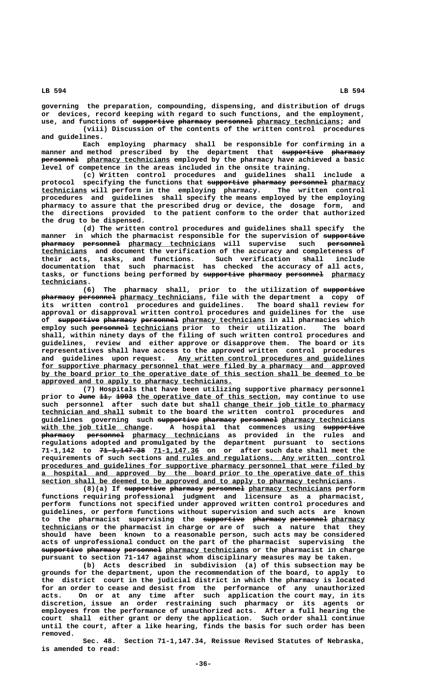**governing the preparation, compounding, dispensing, and distribution of drugs or devices, record keeping with regard to such functions, and the employment,**

use, and functions of supportive pharmacy personnel pharmacy technicians; and **(viii) Discussion of the contents of the written control procedures and guidelines.**

**Each employing pharmacy shall be responsible for confirming in a manner and method prescribed by the department that supportive pharmacy —————————— ———————**  $perso$   $pharmacy$  *technicians* employed by the pharmacy have achieved a basic **level of competence in the areas included in the onsite training.**

**(c) Written control procedures and guidelines shall include a** protocol specifying the functions that supportive pharmacy personnel pharmacy  **\_\_\_\_\_\_\_\_\_\_\_ technicians will perform in the employing pharmacy. The written control procedures and guidelines shall specify the means employed by the employing pharmacy to assure that the prescribed drug or device, the dosage form, and the directions provided to the patient conform to the order that authorized the drug to be dispensed.**

**(d) The written control procedures and guidelines shall specify the manner in which the pharmacist responsible for the supervision of supportive —————————**  $pharmae$  **personnel** pharmacy technicians will supervise such personnel  **\_\_\_\_\_\_\_\_\_\_\_ technicians and document the verification of the accuracy and completeness of their acts, tasks, and functions. Such verification shall include documentation that such pharmacist has checked the accuracy of all acts,** tasks, or functions being performed by supportive pharmacy personnel pharmacy  **technicians. \_\_\_\_\_\_\_\_\_\_\_**

**(6)** The pharmacy shall, prior to the utilization of supportive **pharmacy personnel** pharmacy technicians, file with the department a copy of **its written control procedures and guidelines. The board shall review for approval or disapproval written control procedures and guidelines for the use** of supportive pharmacy personnel pharmacy technicians in all pharmacies which employ such **personnel** technicians prior to their utilization. The board **shall, within ninety days of the filing of such written control procedures and guidelines, review and either approve or disapprove them. The board or its representatives shall have access to the approved written control procedures** and guidelines upon request. Any written control procedures and guidelines  **\_\_\_\_\_\_\_\_\_\_\_\_\_\_\_\_\_\_\_\_\_\_\_\_\_\_\_\_\_\_\_\_\_\_\_\_\_\_\_\_\_\_\_\_\_\_\_\_\_\_\_\_\_\_\_\_\_\_\_\_\_\_\_\_\_\_\_\_\_\_\_\_\_\_\_\_\_\_ for supportive pharmacy personnel that were filed by a pharmacy and approved** by the board prior to the operative date of this section shall be deemed to be approved and to apply to pharmacy technicians.

**(7) Hospitals that have been utilizing supportive pharmacy personnel prior to June 11, 1993 the operative date of this section, may continue to use ———— ——— ———— \_\_\_\_\_\_\_\_\_\_\_\_\_\_\_\_\_\_\_\_\_\_\_\_\_\_\_\_\_\_\_\_\_\_ \_\_\_\_\_\_\_\_\_\_\_\_\_\_\_\_\_\_\_\_\_\_\_\_\_\_\_\_\_\_\_\_\_\_ such personnel after such date but shall change their job title to pharmacy \_\_\_\_\_\_\_\_\_\_\_\_\_\_\_\_\_\_\_\_ technician and shall submit to the board the written control procedures and** guidelines governing such supportive pharmacy personnel pharmacy technicians  **\_\_\_\_\_\_\_\_\_\_\_\_\_\_\_\_\_\_\_\_\_\_\_\_\_\_ —————————— with the job title change. A hospital that commences using supportive ———————— ————————— \_\_\_\_\_\_\_\_\_\_\_\_\_\_\_\_\_\_\_\_\_ pharmacy personnel pharmacy technicians as provided in the rules and regulations adopted and promulgated by the department pursuant to sections ——————————— \_\_\_\_\_\_\_\_\_\_\_ 71-1,142 to 71-1,147.38 71-1,147.36 on or after such date shall meet the** requirements of such sections and rules and regulations. Any written control procedures and guidelines for supportive pharmacy personnel that were filed by  **\_\_\_\_\_\_\_\_\_\_\_\_\_\_\_\_\_\_\_\_\_\_\_\_\_\_\_\_\_\_\_\_\_\_\_\_\_\_\_\_\_\_\_\_\_\_\_\_\_\_\_\_\_\_\_\_\_\_\_\_\_\_\_\_\_\_\_\_\_\_\_\_\_\_\_\_\_\_ a hospital and approved by the board prior to the operative date of this** section shall be deemed to be approved and to apply to pharmacy technicians.

 $(8)(a)$  If supportive pharmacy personnel pharmacy technicians perform **functions requiring professional judgment and licensure as a pharmacist, perform functions not specified under approved written control procedures and guidelines, or perform functions without supervision and such acts are known** to the pharmacist supervising the <del>supportive pharmacy</del> <del>personnel</del>-p<u>harmacy</u>  **\_\_\_\_\_\_\_\_\_\_\_ technicians or the pharmacist in charge or are of such a nature that they should have been known to a reasonable person, such acts may be considered acts of unprofessional conduct on the part of the pharmacist supervising the**  $\frac{1}{2}$   $\frac{1}{2}$   $\frac{1}{2}$   $\frac{1}{2}$   $\frac{1}{2}$   $\frac{1}{2}$   $\frac{1}{2}$   $\frac{1}{2}$   $\frac{1}{2}$   $\frac{1}{2}$   $\frac{1}{2}$   $\frac{1}{2}$   $\frac{1}{2}$   $\frac{1}{2}$   $\frac{1}{2}$   $\frac{1}{2}$   $\frac{1}{2}$   $\frac{1}{2}$   $\frac{1}{2}$   $\frac{1}{2}$   $\frac{1}{2}$   $\frac{1}{2}$   $\$ **pursuant to section 71-147 against whom disciplinary measures may be taken.**

**(b) Acts described in subdivision (a) of this subsection may be grounds for the department, upon the recommendation of the board, to apply to the district court in the judicial district in which the pharmacy is located for an order to cease and desist from the performance of any unauthorized acts. On or at any time after such application the court may, in its discretion, issue an order restraining such pharmacy or its agents or employees from the performance of unauthorized acts. After a full hearing the court shall either grant or deny the application. Such order shall continue until the court, after a like hearing, finds the basis for such order has been removed.**

**Sec. 48. Section 71-1,147.34, Reissue Revised Statutes of Nebraska, is amended to read:**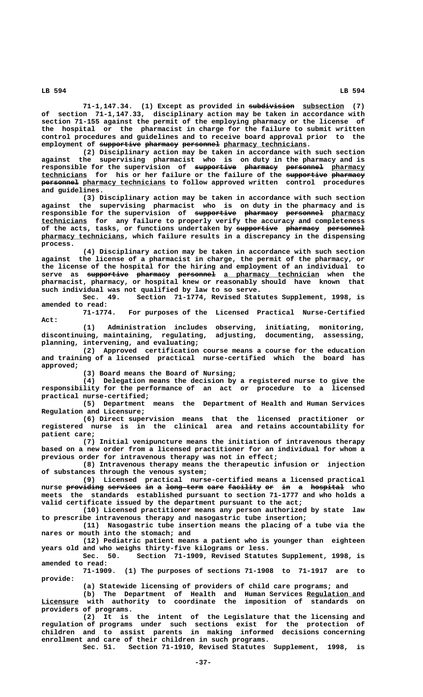71-1,147.34. (1) Except as provided in substristion subsection (7) **of section 71-1,147.33, disciplinary action may be taken in accordance with section 71-155 against the permit of the employing pharmacy or the license of the hospital or the pharmacist in charge for the failure to submit written control procedures and guidelines and to receive board approval prior to the** employment of supportive pharmacy personnel pharmacy technicians.

**(2) Disciplinary action may be taken in accordance with such section against the supervising pharmacist who is on duty in the pharmacy and is responsible for the supervision of supportive pharmacy personnel pharmacy —————————— ———————— ————————— \_\_\_\_\_\_\_\_ \_\_\_\_\_\_\_\_\_\_\_ —————————— ———————— technicians for his or her failure or the failure of the supportive pharmacy**  $p$ **ersonnel** pharmacy technicians to follow approved written control procedures  **and guidelines.**

**(3) Disciplinary action may be taken in accordance with such section against the supervising pharmacist who is on duty in the pharmacy and is** responsible for the supervision of supportive pharmacy personnel pharmacy  **\_\_\_\_\_\_\_\_\_\_\_ technicians for any failure to properly verify the accuracy and completeness** of the acts, tasks, or functions undertaken by supportive pharmacy personnel  **\_\_\_\_\_\_\_\_\_\_\_\_\_\_\_\_\_\_\_\_ pharmacy technicians, which failure results in a discrepancy in the dispensing process.**

**(4) Disciplinary action may be taken in accordance with such section against the license of a pharmacist in charge, the permit of the pharmacy, or the license of the hospital for the hiring and employment of an individual to**  $\tt{server as}$  <del>supportive pharmacy</del> <del>personnel</del> <u>a pharmacy technician</u> when the **pharmacist, pharmacy, or hospital knew or reasonably should have known that such individual was not qualified by law to so serve.**

**Sec. 49. Section 71-1774, Revised Statutes Supplement, 1998, is**

**amended to read:** For purposes of the Licensed Practical Nurse-Certified  **Act:**

**(1) Administration includes observing, initiating, monitoring, discontinuing, maintaining, regulating, adjusting, documenting, assessing, planning, intervening, and evaluating;**

**(2) Approved certification course means a course for the education and training of a licensed practical nurse-certified which the board has approved;**

**(3) Board means the Board of Nursing;**

**(4) Delegation means the decision by a registered nurse to give the responsibility for the performance of an act or procedure to a licensed practical nurse-certified;**

**(5) Department means the Department of Health and Human Services Regulation and Licensure;**

**(6) Direct supervision means that the licensed practitioner or registered nurse is in the clinical area and retains accountability for patient care;**

**(7) Initial venipuncture means the initiation of intravenous therapy based on a new order from a licensed practitioner for an individual for whom a previous order for intravenous therapy was not in effect;**

**(8) Intravenous therapy means the therapeutic infusion or injection of substances through the venous system;**

**(9) Licensed practical nurse-certified means a licensed practical** nurse <del>providing services in</del> a <del>long-term care facility or in a hospital</del> who **meets the standards established pursuant to section 71-1777 and who holds a valid certificate issued by the department pursuant to the act;**

**(10) Licensed practitioner means any person authorized by state law to prescribe intravenous therapy and nasogastric tube insertion;**

**(11) Nasogastric tube insertion means the placing of a tube via the nares or mouth into the stomach; and**

**(12) Pediatric patient means a patient who is younger than eighteen years old and who weighs thirty-five kilograms or less.**

**Sec. 50. Section 71-1909, Revised Statutes Supplement, 1998, is amended to read:**

**71-1909. (1) The purposes of sections 71-1908 to 71-1917 are to provide:**

**(a) Statewide licensing of providers of child care programs; and**

(b) The Department of Health and Human Services Regulation and  **\_\_\_\_\_\_\_\_\_ Licensure with authority to coordinate the imposition of standards on providers of programs.**

**(2) It is the intent of the Legislature that the licensing and regulation of programs under such sections exist for the protection of children and to assist parents in making informed decisions concerning enrollment and care of their children in such programs.**

**Sec. 51. Section 71-1910, Revised Statutes Supplement, 1998, is**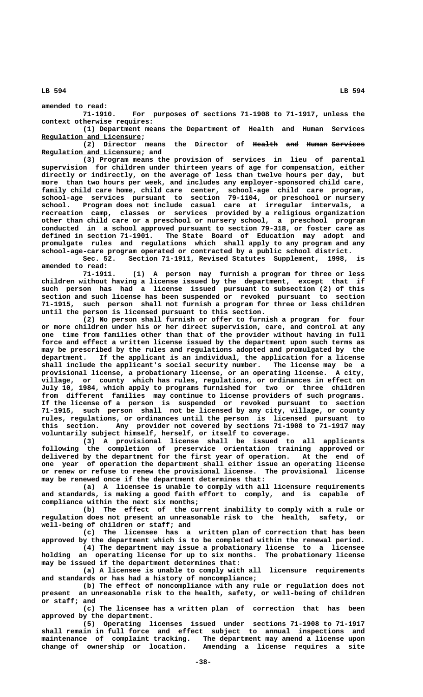**amended to read: 71-1910. For purposes of sections 71-1908 to 71-1917, unless the context otherwise requires:**

**(1) Department means the Department of Health and Human Services \_\_\_\_\_\_\_\_\_\_\_\_\_\_\_\_\_\_\_\_\_\_\_\_ Regulation and Licensure;**

(2) Director means the Director of <del>Health</del> and Human Services  **\_\_\_\_\_\_\_\_\_\_\_\_\_\_\_\_\_\_\_\_\_\_\_\_ Regulation and Licensure; and**

**(3) Program means the provision of services in lieu of parental supervision for children under thirteen years of age for compensation, either directly or indirectly, on the average of less than twelve hours per day, but more than two hours per week, and includes any employer-sponsored child care, family child care home, child care center, school-age child care program, school-age services pursuant to section 79-1104, or preschool or nursery school. Program does not include casual care at irregular intervals, a recreation camp, classes or services provided by a religious organization other than child care or a preschool or nursery school, a preschool program conducted in a school approved pursuant to section 79-318, or foster care as defined in section 71-1901. The State Board of Education may adopt and promulgate rules and regulations which shall apply to any program and any school-age-care program operated or contracted by a public school district.**

Section 71-1911, Revised Statutes Supplement, 1998, is **amended to read:**

**71-1911. (1) A person may furnish a program for three or less children without having a license issued by the department, except that if such person has had a license issued pursuant to subsection (2) of this section and such license has been suspended or revoked pursuant to section 71-1915, such person shall not furnish a program for three or less children until the person is licensed pursuant to this section.**

**(2) No person shall furnish or offer to furnish a program for four or more children under his or her direct supervision, care, and control at any one time from families other than that of the provider without having in full force and effect a written license issued by the department upon such terms as may be prescribed by the rules and regulations adopted and promulgated by the department. If the applicant is an individual, the application for a license shall include the applicant's social security number. The license may be a provisional license, a probationary license, or an operating license. A city, village, or county which has rules, regulations, or ordinances in effect on July 10, 1984, which apply to programs furnished for two or three children from different families may continue to license providers of such programs. If the license of a person is suspended or revoked pursuant to section 71-1915, such person shall not be licensed by any city, village, or county rules, regulations, or ordinances until the person is licensed pursuant to this section. Any provider not covered by sections 71-1908 to 71-1917 may voluntarily subject himself, herself, or itself to coverage.**

**(3) A provisional license shall be issued to all applicants following the completion of preservice orientation training approved or delivered by the department for the first year of operation. At the end of one year of operation the department shall either issue an operating license or renew or refuse to renew the provisional license. The provisional license may be renewed once if the department determines that:**

**(a) A licensee is unable to comply with all licensure requirements and standards, is making a good faith effort to comply, and is capable of compliance within the next six months;**

**(b) The effect of the current inability to comply with a rule or regulation does not present an unreasonable risk to the health, safety, or well-being of children or staff; and**

**(c) The licensee has a written plan of correction that has been approved by the department which is to be completed within the renewal period.**

**(4) The department may issue a probationary license to a licensee holding an operating license for up to six months. The probationary license may be issued if the department determines that:**

**(a) A licensee is unable to comply with all licensure requirements and standards or has had a history of noncompliance;**

**(b) The effect of noncompliance with any rule or regulation does not present an unreasonable risk to the health, safety, or well-being of children or staff; and**

**(c) The licensee has a written plan of correction that has been approved by the department.**

**(5) Operating licenses issued under sections 71-1908 to 71-1917 shall remain in full force and effect subject to annual inspections and maintenance of complaint tracking. The department may amend a license upon** Amending a license requires a site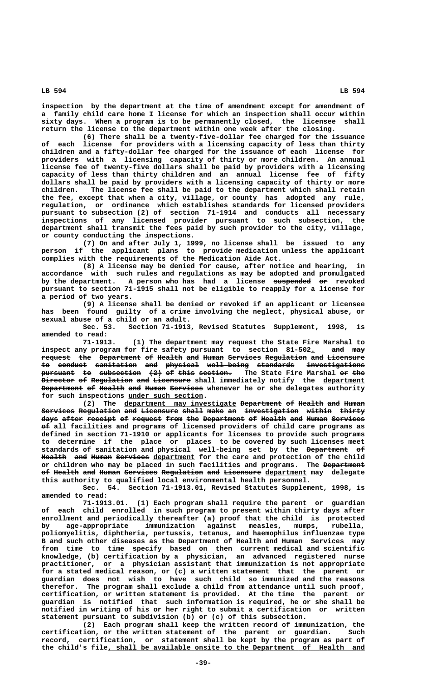**inspection by the department at the time of amendment except for amendment of a family child care home I license for which an inspection shall occur within sixty days. When a program is to be permanently closed, the licensee shall return the license to the department within one week after the closing.**

**(6) There shall be a twenty-five-dollar fee charged for the issuance of each license for providers with a licensing capacity of less than thirty children and a fifty-dollar fee charged for the issuance of each license for providers with a licensing capacity of thirty or more children. An annual license fee of twenty-five dollars shall be paid by providers with a licensing capacity of less than thirty children and an annual license fee of fifty dollars shall be paid by providers with a licensing capacity of thirty or more children. The license fee shall be paid to the department which shall retain the fee, except that when a city, village, or county has adopted any rule, regulation, or ordinance which establishes standards for licensed providers pursuant to subsection (2) of section 71-1914 and conducts all necessary inspections of any licensed provider pursuant to such subsection, the department shall transmit the fees paid by such provider to the city, village, or county conducting the inspections.**

**(7) On and after July 1, 1999, no license shall be issued to any person if the applicant plans to provide medication unless the applicant complies with the requirements of the Medication Aide Act.**

**(8) A license may be denied for cause, after notice and hearing, in accordance with such rules and regulations as may be adopted and promulgated** by the department. A person who has had a license suspended or revoked **pursuant to section 71-1915 shall not be eligible to reapply for a license for a period of two years.**

**(9) A license shall be denied or revoked if an applicant or licensee has been found guilty of a crime involving the neglect, physical abuse, or sexual abuse of a child or an adult.**

Section 71-1913, Revised Statutes Supplement, 1998, is **amended to read:**

**71-1913. (1) The department may request the State Fire Marshal to** inspect any program for fire safety pursuant to section 81-502. and may **request the Department of Health and Human Services Regulation and Licensure ——————— ——— —————————— —— —————— ——— ————— ———————— —————————— ——— ————————** to conduct sanitation and physical well-being standards investigations pursuant to subsection (2) of this section. The State Fire Marshal or the **Director of Regulation and Licensure shall immediately notify the department ———————— —— —————————— ——— ————————— \_\_\_\_\_\_\_\_\_\_ Department of Health and Human Services whenever he or she delegates authority** for such inspections under such section.

(2) The <u>department may investigate</u> Department of Health and Human Services Regulation and Licensure shall make an investigation within thirty days after receipt of request from the Department of Health and Human Services  $\theta$  all facilities and programs of licensed providers of child care programs as **defined in section 71-1910 or applicants for licenses to provide such programs to determine if the place or places to be covered by such licenses meet** standards of sanitation and physical well-being set by the <del>Department of</del> Health and Human Services department for the care and protection of the child or children who may be placed in such facilities and programs. The <del>Department</del> <del>of Health and Human Services Regulation and Licensure</del> department may delegate **this authority to qualified local environmental health personnel.**

**Sec. 54. Section 71-1913.01, Revised Statutes Supplement, 1998, is amended to read:**

**71-1913.01. (1) Each program shall require the parent or guardian of each child enrolled in such program to present within thirty days after enrollment and periodically thereafter (a) proof that the child is protected by age-appropriate immunization against measles, mumps, rubella, poliomyelitis, diphtheria, pertussis, tetanus, and haemophilus influenzae type B and such other diseases as the Department of Health and Human Services may from time to time specify based on then current medical and scientific knowledge, (b) certification by a physician, an advanced registered nurse practitioner, or a physician assistant that immunization is not appropriate for a stated medical reason, or (c) a written statement that the parent or guardian does not wish to have such child so immunized and the reasons therefor. The program shall exclude a child from attendance until such proof, certification, or written statement is provided. At the time the parent or guardian is notified that such information is required, he or she shall be notified in writing of his or her right to submit a certification or written statement pursuant to subdivision (b) or (c) of this subsection.**

**(2) Each program shall keep the written record of immunization, the certification, or the written statement of the parent or guardian. Such record, certification, or statement shall be kept by the program as part of \_\_\_\_\_\_\_\_\_\_\_\_\_\_\_\_\_\_\_\_\_\_\_\_\_\_\_\_\_\_\_\_\_\_\_\_\_\_\_\_\_\_\_\_\_\_\_\_\_\_\_\_\_\_\_\_\_\_\_\_\_\_ the child's file, shall be available onsite to the Department of Health and**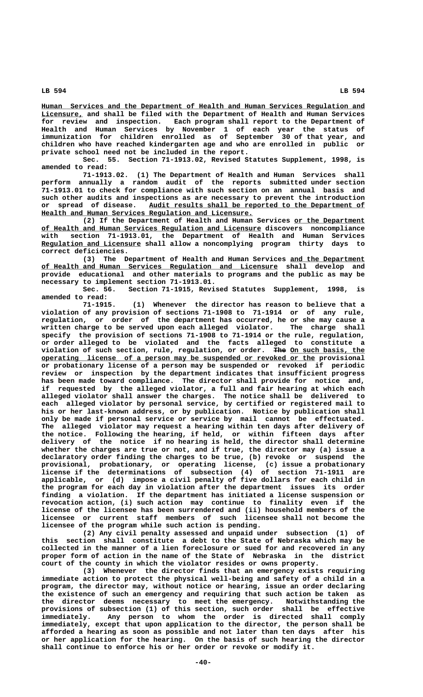**\_\_\_\_\_\_\_\_\_\_\_\_\_\_\_\_\_\_\_\_\_\_\_\_\_\_\_\_\_\_\_\_\_\_\_\_\_\_\_\_\_\_\_\_\_\_\_\_\_\_\_\_\_\_\_\_\_\_\_\_\_\_\_\_\_\_\_\_\_\_\_\_\_\_\_\_\_\_ Human Services and the Department of Health and Human Services Regulation and \_\_\_\_\_\_\_\_\_\_ Licensure, and shall be filed with the Department of Health and Human Services for review and inspection. Each program shall report to the Department of Health and Human Services by November 1 of each year the status of immunization for children enrolled as of September 30 of that year, and children who have reached kindergarten age and who are enrolled in public or private school need not be included in the report.**

**Sec. 55. Section 71-1913.02, Revised Statutes Supplement, 1998, is amended to read:**

**71-1913.02. (1) The Department of Health and Human Services shall perform annually a random audit of the reports submitted under section 71-1913.01 to check for compliance with such section on an annual basis and such other audits and inspections as are necessary to prevent the introduction \_\_\_\_\_\_\_\_\_\_\_\_\_\_\_\_\_\_\_\_\_\_\_\_\_\_\_\_\_\_\_\_\_\_\_\_\_\_\_\_\_\_\_\_\_\_\_\_\_\_\_\_ or spread of disease. Audit results shall be reported to the Department of \_\_\_\_\_\_\_\_\_\_\_\_\_\_\_\_\_\_\_\_\_\_\_\_\_\_\_\_\_\_\_\_\_\_\_\_\_\_\_\_\_\_\_\_\_\_\_\_\_\_\_ Health and Human Services Regulation and Licensure.**

(2) If the Department of Health and Human Services or the Department  **\_\_\_\_\_\_\_\_\_\_\_\_\_\_\_\_\_\_\_\_\_\_\_\_\_\_\_\_\_\_\_\_\_\_\_\_\_\_\_\_\_\_\_\_\_\_\_\_\_\_\_\_\_ of Health and Human Services Regulation and Licensure discovers noncompliance with section 71-1913.01, the Department of Health and Human Services \_\_\_\_\_\_\_\_\_\_\_\_\_\_\_\_\_\_\_\_\_\_\_\_ Regulation and Licensure shall allow a noncomplying program thirty days to correct deficiencies.**

(3) The Department of Health and Human Services and the Department  **\_\_\_\_\_\_\_\_\_\_\_\_\_\_\_\_\_\_\_\_\_\_\_\_\_\_\_\_\_\_\_\_\_\_\_\_\_\_\_\_\_\_\_\_\_\_\_\_\_\_\_\_\_\_\_\_\_ of Health and Human Services Regulation and Licensure shall develop and provide educational and other materials to programs and the public as may be necessary to implement section 71-1913.01.**

Section 71-1915, Revised Statutes Supplement, 1998, is **amended to read:**

**71-1915. (1) Whenever the director has reason to believe that a violation of any provision of sections 71-1908 to 71-1914 or of any rule, regulation, or order of the department has occurred, he or she may cause a written charge to be served upon each alleged violator. The charge shall specify the provision of sections 71-1908 to 71-1914 or the rule, regulation, or order alleged to be violated and the facts alleged to constitute a** violation of such section, rule, regulation, or order. The On such basis, the  **\_\_\_\_\_\_\_\_\_\_\_\_\_\_\_\_\_\_\_\_\_\_\_\_\_\_\_\_\_\_\_\_\_\_\_\_\_\_\_\_\_\_\_\_\_\_\_\_\_\_\_\_\_\_\_\_\_\_\_\_\_\_\_\_\_\_ operating license of a person may be suspended or revoked or the provisional or probationary license of a person may be suspended or revoked if periodic review or inspection by the department indicates that insufficient progress has been made toward compliance. The director shall provide for notice and, if requested by the alleged violator, a full and fair hearing at which each alleged violator shall answer the charges. The notice shall be delivered to each alleged violator by personal service, by certified or registered mail to his or her last-known address, or by publication. Notice by publication shall only be made if personal service or service by mail cannot be effectuated. The alleged violator may request a hearing within ten days after delivery of the notice. Following the hearing, if held, or within fifteen days after delivery of the notice if no hearing is held, the director shall determine whether the charges are true or not, and if true, the director may (a) issue a declaratory order finding the charges to be true, (b) revoke or suspend the provisional, probationary, or operating license, (c) issue a probationary license if the determinations of subsection (4) of section 71-1911 are applicable, or (d) impose a civil penalty of five dollars for each child in the program for each day in violation after the department issues its order finding a violation. If the department has initiated a license suspension or revocation action, (i) such action may continue to finality even if the license of the licensee has been surrendered and (ii) household members of the licensee or current staff members of such licensee shall not become the licensee of the program while such action is pending.**

**(2) Any civil penalty assessed and unpaid under subsection (1) of this section shall constitute a debt to the State of Nebraska which may be collected in the manner of a lien foreclosure or sued for and recovered in any proper form of action in the name of the State of Nebraska in the district court of the county in which the violator resides or owns property.**

**(3) Whenever the director finds that an emergency exists requiring immediate action to protect the physical well-being and safety of a child in a program, the director may, without notice or hearing, issue an order declaring the existence of such an emergency and requiring that such action be taken as the director deems necessary to meet the emergency. Notwithstanding the provisions of subsection (1) of this section, such order shall be effective immediately. Any person to whom the order is directed shall comply immediately, except that upon application to the director, the person shall be afforded a hearing as soon as possible and not later than ten days after his or her application for the hearing. On the basis of such hearing the director shall continue to enforce his or her order or revoke or modify it.**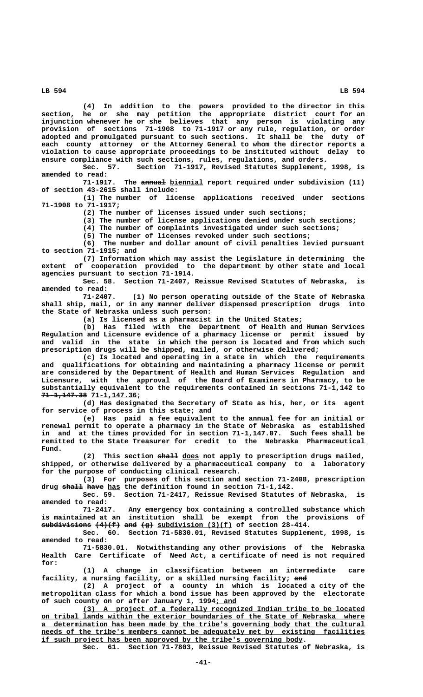**(4) In addition to the powers provided to the director in this section, he or she may petition the appropriate district court for an injunction whenever he or she believes that any person is violating any provision of sections 71-1908 to 71-1917 or any rule, regulation, or order adopted and promulgated pursuant to such sections. It shall be the duty of each county attorney or the Attorney General to whom the director reports a violation to cause appropriate proceedings to be instituted without delay to ensure compliance with such sections, rules, regulations, and orders.**

Section 71-1917, Revised Statutes Supplement, 1998, is **amended to read:**

71-1917. The annual biennial report required under subdivision (11) **of section 43-2615 shall include:**

**(1) The number of license applications received under sections 71-1908 to 71-1917;**

**(2) The number of licenses issued under such sections;**

**(3) The number of license applications denied under such sections;**

**(4) The number of complaints investigated under such sections;**

**(5) The number of licenses revoked under such sections;**

**(6) The number and dollar amount of civil penalties levied pursuant to section 71-1915; and**

**(7) Information which may assist the Legislature in determining the extent of cooperation provided to the department by other state and local agencies pursuant to section 71-1914.**

**Sec. 58. Section 71-2407, Reissue Revised Statutes of Nebraska, is amended to read:**

**71-2407. (1) No person operating outside of the State of Nebraska shall ship, mail, or in any manner deliver dispensed prescription drugs into the State of Nebraska unless such person:**

**(a) Is licensed as a pharmacist in the United States;**

**(b) Has filed with the Department of Health and Human Services Regulation and Licensure evidence of a pharmacy license or permit issued by and valid in the state in which the person is located and from which such prescription drugs will be shipped, mailed, or otherwise delivered;**

**(c) Is located and operating in a state in which the requirements and qualifications for obtaining and maintaining a pharmacy license or permit are considered by the Department of Health and Human Services Regulation and Licensure, with the approval of the Board of Examiners in Pharmacy, to be substantially equivalent to the requirements contained in sections 71-1,142 to** 71-1,147.38 71-1,147.36;

**(d) Has designated the Secretary of State as his, her, or its agent for service of process in this state; and**

**(e) Has paid a fee equivalent to the annual fee for an initial or renewal permit to operate a pharmacy in the State of Nebraska as established in and at the times provided for in section 71-1,147.07. Such fees shall be remitted to the State Treasurer for credit to the Nebraska Pharmaceutical Fund.**

 **————— \_\_\_\_ (2) This section shall does not apply to prescription drugs mailed, shipped, or otherwise delivered by a pharmaceutical company to a laboratory for the purpose of conducting clinical research.**

**(3) For purposes of this section and section 71-2408, prescription** drug shall have has the definition found in section 71-1,142.

**Sec. 59. Section 71-2417, Reissue Revised Statutes of Nebraska, is amended to read:**

**71-2417. Any emergency box containing a controlled substance which is maintained at an institution shall be exempt from the provisions of**  $s$ ubdivisions  $(4)$ (f) and  $(g)$  subdivision  $(3)$ (f) of section 28-414.

**Sec. 60. Section 71-5830.01, Revised Statutes Supplement, 1998, is amended to read:**

**71-5830.01. Notwithstanding any other provisions of the Nebraska Health Care Certificate of Need Act, a certificate of need is not required for:**

**(1) A change in classification between an intermediate care** facility, a nursing facility, or a skilled nursing facility; and

**(2) A project of a county in which is located a city of the metropolitan class for which a bond issue has been approved by the electorate \_\_\_\_\_ of such county on or after January 1, 1994; and**

 **\_\_\_\_\_\_\_\_\_\_\_\_\_\_\_\_\_\_\_\_\_\_\_\_\_\_\_\_\_\_\_\_\_\_\_\_\_\_\_\_\_\_\_\_\_\_\_\_\_\_\_\_\_\_\_\_\_\_\_\_\_\_\_\_\_\_\_\_ (3) A project of a federally recognized Indian tribe to be located \_\_\_\_\_\_\_\_\_\_\_\_\_\_\_\_\_\_\_\_\_\_\_\_\_\_\_\_\_\_\_\_\_\_\_\_\_\_\_\_\_\_\_\_\_\_\_\_\_\_\_\_\_\_\_\_\_\_\_\_\_\_\_\_\_\_\_\_\_\_\_\_\_\_\_\_\_\_ on tribal lands within the exterior boundaries of the State of Nebraska where \_\_\_\_\_\_\_\_\_\_\_\_\_\_\_\_\_\_\_\_\_\_\_\_\_\_\_\_\_\_\_\_\_\_\_\_\_\_\_\_\_\_\_\_\_\_\_\_\_\_\_\_\_\_\_\_\_\_\_\_\_\_\_\_\_\_\_\_\_\_\_\_\_\_\_\_\_\_ a determination has been made by the tribe's governing body that the cultural** needs of the tribe's members cannot be adequately met by existing facilities  **\_\_\_\_\_\_\_\_\_\_\_\_\_\_\_\_\_\_\_\_\_\_\_\_\_\_\_\_\_\_\_\_\_\_\_\_\_\_\_\_\_\_\_\_\_\_\_\_\_\_\_\_\_\_\_\_\_\_\_\_\_\_\_ if such project has been approved by the tribe's governing body.**

**Sec. 61. Section 71-7803, Reissue Revised Statutes of Nebraska, is**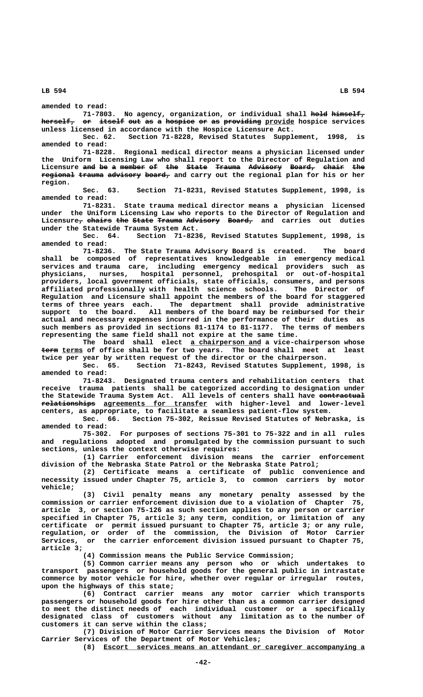**amended to read:**

**71-7803. No agency, organization, or individual shall hold himself, ———— ———————** herself, or itself out as a hospice or as providing provide hospice services **unless licensed in accordance with the Hospice Licensure Act.**

**Sec. 62. Section 71-8228, Revised Statutes Supplement, 1998, is amended to read:**

**71-8228. Regional medical director means a physician licensed under the Uniform Licensing Law who shall report to the Director of Regulation and** Licensure and be a member of the State Trauma Advisory Board, chair the **regional trauma advisory board, and carry out the regional plan for his or her region.**

**Sec. 63. Section 71-8231, Revised Statutes Supplement, 1998, is amended to read:**

**71-8231. State trauma medical director means a physician licensed under the Uniform Licensing Law who reports to the Director of Regulation and** Licensure<sub>7</sub> chairs the State Trauma Advisory Board, and carries out duties **under the Statewide Trauma System Act.**

**Sec. 64. Section 71-8236, Revised Statutes Supplement, 1998, is amended to read:**

**71-8236. The State Trauma Advisory Board is created. The board shall be composed of representatives knowledgeable in emergency medical services and trauma care, including emergency medical providers such as physicians, nurses, hospital personnel, prehospital or out-of-hospital providers, local government officials, state officials, consumers, and persons affiliated professionally with health science schools. The Director of Regulation and Licensure shall appoint the members of the board for staggered terms of three years each. The department shall provide administrative support to the board. All members of the board may be reimbursed for their actual and necessary expenses incurred in the performance of their duties as such members as provided in sections 81-1174 to 81-1177. The terms of members representing the same field shall not expire at the same time.**

The board shall elect <u>a chairperson and</u> a vice-chairperson whose **term** terms of office shall be for two years. The board shall meet at least **twice per year by written request of the director or the chairperson.**

**Sec. 65. Section 71-8243, Revised Statutes Supplement, 1998, is amended to read:**

**71-8243. Designated trauma centers and rehabilitation centers that receive trauma patients shall be categorized according to designation under** the Statewide Trauma System Act. All levels of centers shall have contractual  $\texttt{relationships}$  agreements for transfer with higher-level and lower-level **centers, as appropriate, to facilitate a seamless patient-flow system.**

**Sec. 66. Section 75-302, Reissue Revised Statutes of Nebraska, is amended to read:**

**75-302. For purposes of sections 75-301 to 75-322 and in all rules and regulations adopted and promulgated by the commission pursuant to such sections, unless the context otherwise requires:**

**(1) Carrier enforcement division means the carrier enforcement division of the Nebraska State Patrol or the Nebraska State Patrol;**

**(2) Certificate means a certificate of public convenience and necessity issued under Chapter 75, article 3, to common carriers by motor vehicle;**

**(3) Civil penalty means any monetary penalty assessed by the commission or carrier enforcement division due to a violation of Chapter 75, article 3, or section 75-126 as such section applies to any person or carrier specified in Chapter 75, article 3; any term, condition, or limitation of any certificate or permit issued pursuant to Chapter 75, article 3; or any rule, regulation, or order of the commission, the Division of Motor Carrier Services, or the carrier enforcement division issued pursuant to Chapter 75, article 3;**

**(4) Commission means the Public Service Commission;**

**(5) Common carrier means any person who or which undertakes to transport passengers or household goods for the general public in intrastate commerce by motor vehicle for hire, whether over regular or irregular routes, upon the highways of this state;**

**(6) Contract carrier means any motor carrier which transports passengers or household goods for hire other than as a common carrier designed to meet the distinct needs of each individual customer or a specifically designated class of customers without any limitation as to the number of customers it can serve within the class;**

**(7) Division of Motor Carrier Services means the Division of Motor Carrier Services of the Department of Motor Vehicles;**

 **\_\_\_\_\_\_\_\_\_\_\_\_\_\_\_\_\_\_\_\_\_\_\_\_\_\_\_\_\_\_\_\_\_\_\_\_\_\_\_\_\_\_\_\_\_\_\_\_\_\_\_\_\_\_\_\_\_\_\_\_\_\_\_ (8) Escort services means an attendant or caregiver accompanying a**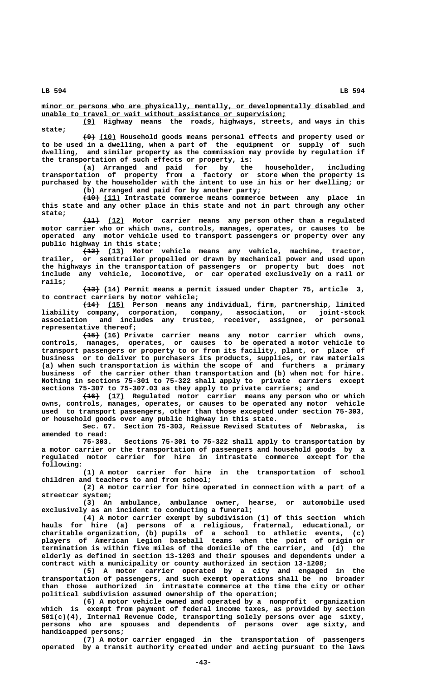$minor$  or persons who are physically, mentally, or developmentally disabled and  **\_\_\_\_\_\_\_\_\_\_\_\_\_\_\_\_\_\_\_\_\_\_\_\_\_\_\_\_\_\_\_\_\_\_\_\_\_\_\_\_\_\_\_\_\_\_\_\_\_\_\_\_\_\_\_\_\_\_\_ unable to travel or wait without assistance or supervision;**

 **\_\_\_ (9) Highway means the roads, highways, streets, and ways in this state;**

 **——— \_\_\_\_ (9) (10) Household goods means personal effects and property used or to be used in a dwelling, when a part of the equipment or supply of such dwelling, and similar property as the commission may provide by regulation if the transportation of such effects or property, is:**

**(a) Arranged and paid for by the householder, including transportation of property from a factory or store when the property is purchased by the householder with the intent to use in his or her dwelling; or (b) Arranged and paid for by another party;**

 **———— \_\_\_\_ (10) (11) Intrastate commerce means commerce between any place in this state and any other place in this state and not in part through any other state;**

 **———— \_\_\_\_ (11) (12) Motor carrier means any person other than a regulated motor carrier who or which owns, controls, manages, operates, or causes to be operated any motor vehicle used to transport passengers or property over any public highway in this state;**

 **———— \_\_\_\_ (12) (13) Motor vehicle means any vehicle, machine, tractor, trailer, or semitrailer propelled or drawn by mechanical power and used upon the highways in the transportation of passengers or property but does not include any vehicle, locomotive, or car operated exclusively on a rail or rails;**

 **———— \_\_\_\_ (13) (14) Permit means a permit issued under Chapter 75, article 3, to contract carriers by motor vehicle;**

 **———— \_\_\_\_ (14) (15) Person means any individual, firm, partnership, limited liability company, corporation, company, association, or joint-stock association and includes any trustee, receiver, assignee, or personal representative thereof;**

 **———— \_\_\_\_ (15) (16) Private carrier means any motor carrier which owns, controls, manages, operates, or causes to be operated a motor vehicle to transport passengers or property to or from its facility, plant, or place of business or to deliver to purchasers its products, supplies, or raw materials (a) when such transportation is within the scope of and furthers a primary business of the carrier other than transportation and (b) when not for hire. Nothing in sections 75-301 to 75-322 shall apply to private carriers except sections 75-307 to 75-307.03 as they apply to private carriers; and**

 **———— \_\_\_\_ (16) (17) Regulated motor carrier means any person who or which owns, controls, manages, operates, or causes to be operated any motor vehicle used to transport passengers, other than those excepted under section 75-303, or household goods over any public highway in this state.**

**Sec. 67. Section 75-303, Reissue Revised Statutes of Nebraska, is amended to read:**

**75-303. Sections 75-301 to 75-322 shall apply to transportation by a motor carrier or the transportation of passengers and household goods by a regulated motor carrier for hire in intrastate commerce except for the following:**

**(1) A motor carrier for hire in the transportation of school children and teachers to and from school;**

**(2) A motor carrier for hire operated in connection with a part of a streetcar system;**

**(3) An ambulance, ambulance owner, hearse, or automobile used exclusively as an incident to conducting a funeral;**

**(4) A motor carrier exempt by subdivision (1) of this section which hauls for hire (a) persons of a religious, fraternal, educational, or charitable organization, (b) pupils of a school to athletic events, (c) players of American Legion baseball teams when the point of origin or termination is within five miles of the domicile of the carrier, and (d) the elderly as defined in section 13-1203 and their spouses and dependents under a contract with a municipality or county authorized in section 13-1208;**

**(5) A motor carrier operated by a city and engaged in the transportation of passengers, and such exempt operations shall be no broader than those authorized in intrastate commerce at the time the city or other political subdivision assumed ownership of the operation;**

**(6) A motor vehicle owned and operated by a nonprofit organization which is exempt from payment of federal income taxes, as provided by section 501(c)(4), Internal Revenue Code, transporting solely persons over age sixty, persons who are spouses and dependents of persons over age sixty, and handicapped persons;**

**(7) A motor carrier engaged in the transportation of passengers operated by a transit authority created under and acting pursuant to the laws**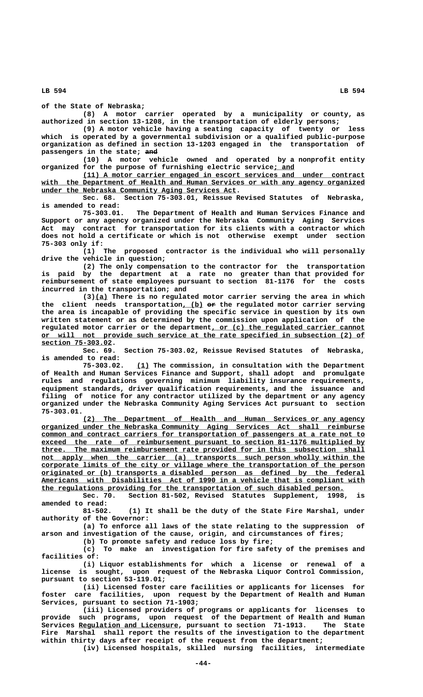**of the State of Nebraska;**

**(8) A motor carrier operated by a municipality or county, as authorized in section 13-1208, in the transportation of elderly persons;**

**(9) A motor vehicle having a seating capacity of twenty or less which is operated by a governmental subdivision or a qualified public-purpose organization as defined in section 13-1203 engaged in the transportation of** passengers in the state; and

**(10) A motor vehicle owned and operated by a nonprofit entity organized for the purpose of furnishing electric service; and \_\_\_\_\_**

 **\_\_\_\_\_\_\_\_\_\_\_\_\_\_\_\_\_\_\_\_\_\_\_\_\_\_\_\_\_\_\_\_\_\_\_\_\_\_\_\_\_\_\_\_\_\_\_\_\_\_\_\_\_\_\_\_\_\_\_\_\_\_\_\_\_\_\_\_ (11) A motor carrier engaged in escort services and under contract \_\_\_\_\_\_\_\_\_\_\_\_\_\_\_\_\_\_\_\_\_\_\_\_\_\_\_\_\_\_\_\_\_\_\_\_\_\_\_\_\_\_\_\_\_\_\_\_\_\_\_\_\_\_\_\_\_\_\_\_\_\_\_\_\_\_\_\_\_\_\_\_\_\_\_\_\_\_ with the Department of Health and Human Services or with any agency organized \_\_\_\_\_\_\_\_\_\_\_\_\_\_\_\_\_\_\_\_\_\_\_\_\_\_\_\_\_\_\_\_\_\_\_\_\_\_\_\_\_\_\_\_\_\_\_ under the Nebraska Community Aging Services Act.**

**Sec. 68. Section 75-303.01, Reissue Revised Statutes of Nebraska, is amended to read:**

**75-303.01. The Department of Health and Human Services Finance and Support or any agency organized under the Nebraska Community Aging Services Act may contract for transportation for its clients with a contractor which does not hold a certificate or which is not otherwise exempt under section 75-303 only if:**

**(1) The proposed contractor is the individual who will personally drive the vehicle in question;**

**(2) The only compensation to the contractor for the transportation is paid by the department at a rate no greater than that provided for reimbursement of state employees pursuant to section 81-1176 for the costs incurred in the transportation; and**

 **\_\_\_ (3)(a) There is no regulated motor carrier serving the area in which** the client needs transportation<u>, (b)</u> <del>or</del> the regulated motor carrier serving **the area is incapable of providing the specific service in question by its own written statement or as determined by the commission upon application of the** regulated motor carrier or the department, or (c) the regulated carrier cannot  **\_\_\_\_\_\_\_\_\_\_\_\_\_\_\_\_\_\_\_\_\_\_\_\_\_\_\_\_\_\_\_\_\_\_\_\_\_\_\_\_\_\_\_\_\_\_\_\_\_\_\_\_\_\_\_\_\_\_\_\_\_\_\_\_\_\_\_\_\_\_\_\_\_\_\_\_\_\_ or will not provide such service at the rate specified in subsection (2) of section 75-303.02. \_\_\_\_\_\_\_\_\_\_\_\_\_\_\_\_\_**

**Sec. 69. Section 75-303.02, Reissue Revised Statutes of Nebraska, is amended to read:**

 **\_\_\_ 75-303.02. (1) The commission, in consultation with the Department of Health and Human Services Finance and Support, shall adopt and promulgate rules and regulations governing minimum liability insurance requirements, equipment standards, driver qualification requirements, and the issuance and filing of notice for any contractor utilized by the department or any agency organized under the Nebraska Community Aging Services Act pursuant to section 75-303.01.**

 **\_\_\_\_\_\_\_\_\_\_\_\_\_\_\_\_\_\_\_\_\_\_\_\_\_\_\_\_\_\_\_\_\_\_\_\_\_\_\_\_\_\_\_\_\_\_\_\_\_\_\_\_\_\_\_\_\_\_\_\_\_\_\_\_\_\_\_\_ (2) The Department of Health and Human Services or any agency \_\_\_\_\_\_\_\_\_\_\_\_\_\_\_\_\_\_\_\_\_\_\_\_\_\_\_\_\_\_\_\_\_\_\_\_\_\_\_\_\_\_\_\_\_\_\_\_\_\_\_\_\_\_\_\_\_\_\_\_\_\_\_\_\_\_\_\_\_\_\_\_\_\_\_\_\_\_ organized under the Nebraska Community Aging Services Act shall reimburse \_\_\_\_\_\_\_\_\_\_\_\_\_\_\_\_\_\_\_\_\_\_\_\_\_\_\_\_\_\_\_\_\_\_\_\_\_\_\_\_\_\_\_\_\_\_\_\_\_\_\_\_\_\_\_\_\_\_\_\_\_\_\_\_\_\_\_\_\_\_\_\_\_\_\_\_\_\_ common and contract carriers for transportation of passengers at a rate not to \_\_\_\_\_\_\_\_\_\_\_\_\_\_\_\_\_\_\_\_\_\_\_\_\_\_\_\_\_\_\_\_\_\_\_\_\_\_\_\_\_\_\_\_\_\_\_\_\_\_\_\_\_\_\_\_\_\_\_\_\_\_\_\_\_\_\_\_\_\_\_\_\_\_\_\_\_\_ exceed the rate of reimbursement pursuant to section 81-1176 multiplied by \_\_\_\_\_\_\_\_\_\_\_\_\_\_\_\_\_\_\_\_\_\_\_\_\_\_\_\_\_\_\_\_\_\_\_\_\_\_\_\_\_\_\_\_\_\_\_\_\_\_\_\_\_\_\_\_\_\_\_\_\_\_\_\_\_\_\_\_\_\_\_\_\_\_\_\_\_\_ three. The maximum reimbursement rate provided for in this subsection shall** not apply when the carrier (a) transports such person wholly within the  **\_\_\_\_\_\_\_\_\_\_\_\_\_\_\_\_\_\_\_\_\_\_\_\_\_\_\_\_\_\_\_\_\_\_\_\_\_\_\_\_\_\_\_\_\_\_\_\_\_\_\_\_\_\_\_\_\_\_\_\_\_\_\_\_\_\_\_\_\_\_\_\_\_\_\_\_\_\_ corporate limits of the city or village where the transportation of the person \_\_\_\_\_\_\_\_\_\_\_\_\_\_\_\_\_\_\_\_\_\_\_\_\_\_\_\_\_\_\_\_\_\_\_\_\_\_\_\_\_\_\_\_\_\_\_\_\_\_\_\_\_\_\_\_\_\_\_\_\_\_\_\_\_\_\_\_\_\_\_\_\_\_\_\_\_\_ originated or (b) transports a disabled person as defined by the federal \_\_\_\_\_\_\_\_\_\_\_\_\_\_\_\_\_\_\_\_\_\_\_\_\_\_\_\_\_\_\_\_\_\_\_\_\_\_\_\_\_\_\_\_\_\_\_\_\_\_\_\_\_\_\_\_\_\_\_\_\_\_\_\_\_\_\_\_\_\_\_\_\_\_\_\_\_\_ Americans with Disabilities Act of 1990 in a vehicle that is compliant with \_\_\_\_\_\_\_\_\_\_\_\_\_\_\_\_\_\_\_\_\_\_\_\_\_\_\_\_\_\_\_\_\_\_\_\_\_\_\_\_\_\_\_\_\_\_\_\_\_\_\_\_\_\_\_\_\_\_\_\_\_\_\_\_\_\_\_\_\_\_\_\_\_ the regulations providing for the transportation of such disabled person.**

**Sec. 70. Section 81-502, Revised Statutes Supplement, 1998, is amended to read:**

**81-502. (1) It shall be the duty of the State Fire Marshal, under authority of the Governor:**

**(a) To enforce all laws of the state relating to the suppression of arson and investigation of the cause, origin, and circumstances of fires;**

**(b) To promote safety and reduce loss by fire;**

**(c) To make an investigation for fire safety of the premises and facilities of:**

**(i) Liquor establishments for which a license or renewal of a license is sought, upon request of the Nebraska Liquor Control Commission, pursuant to section 53-119.01;**

**(ii) Licensed foster care facilities or applicants for licenses for foster care facilities, upon request by the Department of Health and Human Services, pursuant to section 71-1903;**

**(iii) Licensed providers of programs or applicants for licenses to provide such programs, upon request of the Department of Health and Human \_\_\_\_\_\_\_\_\_\_\_\_\_\_\_\_\_\_\_\_\_\_\_\_ Services Regulation and Licensure, pursuant to section 71-1913. The State Fire Marshal shall report the results of the investigation to the department within thirty days after receipt of the request from the department;**

**(iv) Licensed hospitals, skilled nursing facilities, intermediate**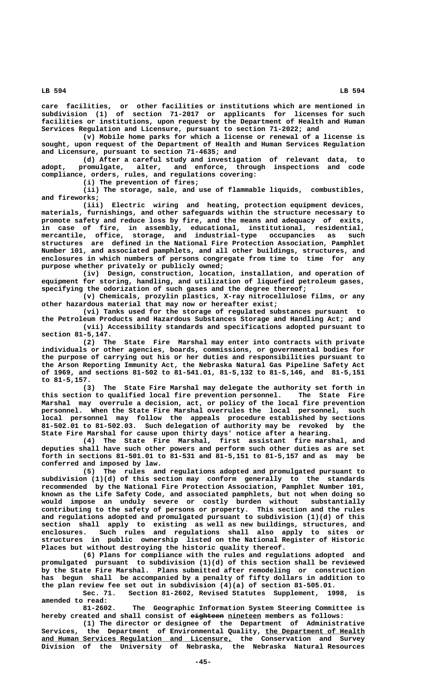**care facilities, or other facilities or institutions which are mentioned in subdivision (1) of section 71-2017 or applicants for licenses for such facilities or institutions, upon request by the Department of Health and Human Services Regulation and Licensure, pursuant to section 71-2022; and**

**(v) Mobile home parks for which a license or renewal of a license is sought, upon request of the Department of Health and Human Services Regulation and Licensure, pursuant to section 71-4635; and**

**(d) After a careful study and investigation of relevant data, to adopt, promulgate, alter, and enforce, through inspections and code compliance, orders, rules, and regulations covering:**

**(i) The prevention of fires;**

**(ii) The storage, sale, and use of flammable liquids, combustibles, and fireworks;**

Electric wiring and heating, protection equipment devices, **materials, furnishings, and other safeguards within the structure necessary to promote safety and reduce loss by fire, and the means and adequacy of exits, in case of fire, in assembly, educational, institutional, residential, mercantile, office, storage, and industrial-type occupancies as such structures are defined in the National Fire Protection Association, Pamphlet Number 101, and associated pamphlets, and all other buildings, structures, and enclosures in which numbers of persons congregate from time to time for any purpose whether privately or publicly owned;**

**(iv) Design, construction, location, installation, and operation of equipment for storing, handling, and utilization of liquefied petroleum gases, specifying the odorization of such gases and the degree thereof;**

**(v) Chemicals, prozylin plastics, X-ray nitrocellulose films, or any other hazardous material that may now or hereafter exist;**

**(vi) Tanks used for the storage of regulated substances pursuant to the Petroleum Products and Hazardous Substances Storage and Handling Act; and (vii) Accessibility standards and specifications adopted pursuant to**

 **section 81-5,147.**

**(2) The State Fire Marshal may enter into contracts with private individuals or other agencies, boards, commissions, or governmental bodies for the purpose of carrying out his or her duties and responsibilities pursuant to the Arson Reporting Immunity Act, the Nebraska Natural Gas Pipeline Safety Act of 1969, and sections 81-502 to 81-541.01, 81-5,132 to 81-5,146, and 81-5,151 to 81-5,157.**

**(3) The State Fire Marshal may delegate the authority set forth in this section to qualified local fire prevention personnel. The State Fire Marshal may overrule a decision, act, or policy of the local fire prevention personnel. When the State Fire Marshal overrules the local personnel, such local personnel may follow the appeals procedure established by sections 81-502.01 to 81-502.03. Such delegation of authority may be revoked by the State Fire Marshal for cause upon thirty days' notice after a hearing.**

**(4) The State Fire Marshal, first assistant fire marshal, and deputies shall have such other powers and perform such other duties as are set forth in sections 81-501.01 to 81-531 and 81-5,151 to 81-5,157 and as may be conferred and imposed by law.**

**(5) The rules and regulations adopted and promulgated pursuant to subdivision (1)(d) of this section may conform generally to the standards recommended by the National Fire Protection Association, Pamphlet Number 101, known as the Life Safety Code, and associated pamphlets, but not when doing so would impose an unduly severe or costly burden without substantially contributing to the safety of persons or property. This section and the rules and regulations adopted and promulgated pursuant to subdivision (1)(d) of this section shall apply to existing as well as new buildings, structures, and enclosures. Such rules and regulations shall also apply to sites or structures in public ownership listed on the National Register of Historic Places but without destroying the historic quality thereof.**

**(6) Plans for compliance with the rules and regulations adopted and promulgated pursuant to subdivision (1)(d) of this section shall be reviewed by the State Fire Marshal. Plans submitted after remodeling or construction has begun shall be accompanied by a penalty of fifty dollars in addition to the plan review fee set out in subdivision (4)(a) of section 81-505.01.**

**Sec. 71. Section 81-2602, Revised Statutes Supplement, 1998, is amended to read:**

**81-2602. The Geographic Information System Steering Committee is** hereby created and shall consist of eighteen nineteen members as follows:

**(1) The director or designee of the Department of Administrative** Services, the Department of Environmental Quality, the Department of Health  **\_\_\_\_\_\_\_\_\_\_\_\_\_\_\_\_\_\_\_\_\_\_\_\_\_\_\_\_\_\_\_\_\_\_\_\_\_\_\_\_\_\_\_\_\_\_ and Human Services Regulation and Licensure, the Conservation and Survey Division of the University of Nebraska, the Nebraska Natural Resources**